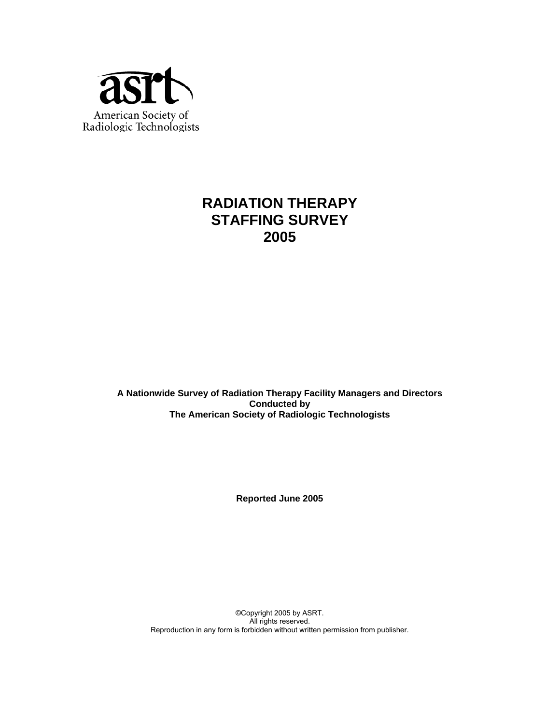

# **RADIATION THERAPY STAFFING SURVEY 2005**

**A Nationwide Survey of Radiation Therapy Facility Managers and Directors Conducted by The American Society of Radiologic Technologists** 

**Reported June 2005** 

©Copyright 2005 by ASRT. All rights reserved. Reproduction in any form is forbidden without written permission from publisher.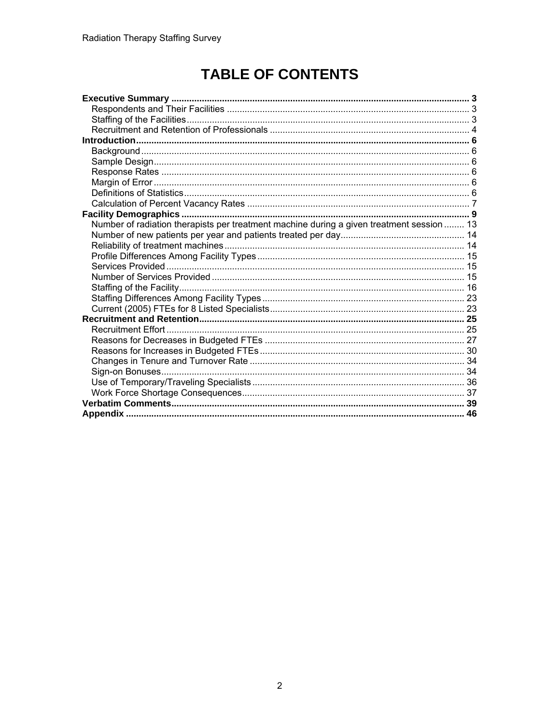# **TABLE OF CONTENTS**

| Number of radiation therapists per treatment machine during a given treatment session  13 |  |
|-------------------------------------------------------------------------------------------|--|
|                                                                                           |  |
|                                                                                           |  |
|                                                                                           |  |
|                                                                                           |  |
|                                                                                           |  |
|                                                                                           |  |
|                                                                                           |  |
|                                                                                           |  |
|                                                                                           |  |
|                                                                                           |  |
|                                                                                           |  |
|                                                                                           |  |
|                                                                                           |  |
|                                                                                           |  |
|                                                                                           |  |
|                                                                                           |  |
|                                                                                           |  |
|                                                                                           |  |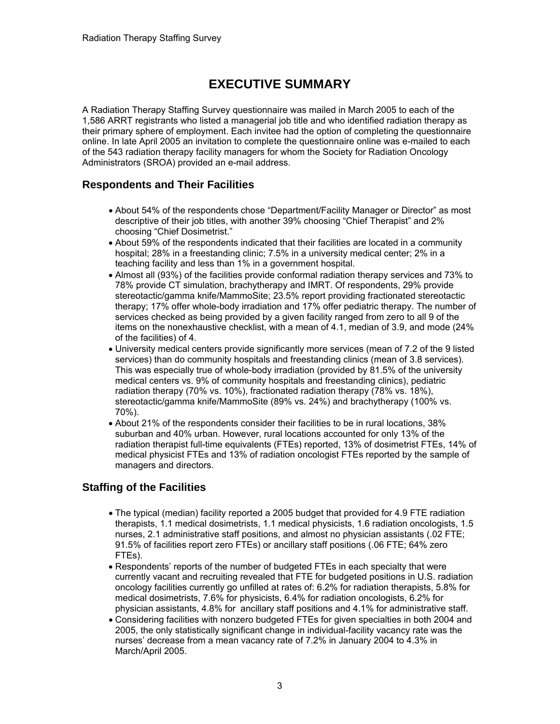# **EXECUTIVE SUMMARY**

A Radiation Therapy Staffing Survey questionnaire was mailed in March 2005 to each of the 1,586 ARRT registrants who listed a managerial job title and who identified radiation therapy as their primary sphere of employment. Each invitee had the option of completing the questionnaire online. In late April 2005 an invitation to complete the questionnaire online was e-mailed to each of the 543 radiation therapy facility managers for whom the Society for Radiation Oncology Administrators (SROA) provided an e-mail address.

# **Respondents and Their Facilities**

- About 54% of the respondents chose "Department/Facility Manager or Director" as most descriptive of their job titles, with another 39% choosing "Chief Therapist" and 2% choosing "Chief Dosimetrist."
- About 59% of the respondents indicated that their facilities are located in a community hospital; 28% in a freestanding clinic; 7.5% in a university medical center; 2% in a teaching facility and less than 1% in a government hospital.
- Almost all (93%) of the facilities provide conformal radiation therapy services and 73% to 78% provide CT simulation, brachytherapy and IMRT. Of respondents, 29% provide stereotactic/gamma knife/MammoSite; 23.5% report providing fractionated stereotactic therapy; 17% offer whole-body irradiation and 17% offer pediatric therapy. The number of services checked as being provided by a given facility ranged from zero to all 9 of the items on the nonexhaustive checklist, with a mean of 4.1, median of 3.9, and mode (24% of the facilities) of 4.
- University medical centers provide significantly more services (mean of 7.2 of the 9 listed services) than do community hospitals and freestanding clinics (mean of 3.8 services). This was especially true of whole-body irradiation (provided by 81.5% of the university medical centers vs. 9% of community hospitals and freestanding clinics), pediatric radiation therapy (70% vs. 10%), fractionated radiation therapy (78% vs. 18%), stereotactic/gamma knife/MammoSite (89% vs. 24%) and brachytherapy (100% vs. 70%).
- About 21% of the respondents consider their facilities to be in rural locations, 38% suburban and 40% urban. However, rural locations accounted for only 13% of the radiation therapist full-time equivalents (FTEs) reported, 13% of dosimetrist FTEs, 14% of medical physicist FTEs and 13% of radiation oncologist FTEs reported by the sample of managers and directors.

# **Staffing of the Facilities**

- The typical (median) facility reported a 2005 budget that provided for 4.9 FTE radiation therapists, 1.1 medical dosimetrists, 1.1 medical physicists, 1.6 radiation oncologists, 1.5 nurses, 2.1 administrative staff positions, and almost no physician assistants (.02 FTE; 91.5% of facilities report zero FTEs) or ancillary staff positions (.06 FTE; 64% zero FTEs).
- Respondents' reports of the number of budgeted FTEs in each specialty that were currently vacant and recruiting revealed that FTE for budgeted positions in U.S. radiation oncology facilities currently go unfilled at rates of: 6.2% for radiation therapists, 5.8% for medical dosimetrists, 7.6% for physicists, 6.4% for radiation oncologists, 6.2% for physician assistants, 4.8% for ancillary staff positions and 4.1% for administrative staff.
- Considering facilities with nonzero budgeted FTEs for given specialties in both 2004 and 2005, the only statistically significant change in individual-facility vacancy rate was the nurses' decrease from a mean vacancy rate of 7.2% in January 2004 to 4.3% in March/April 2005.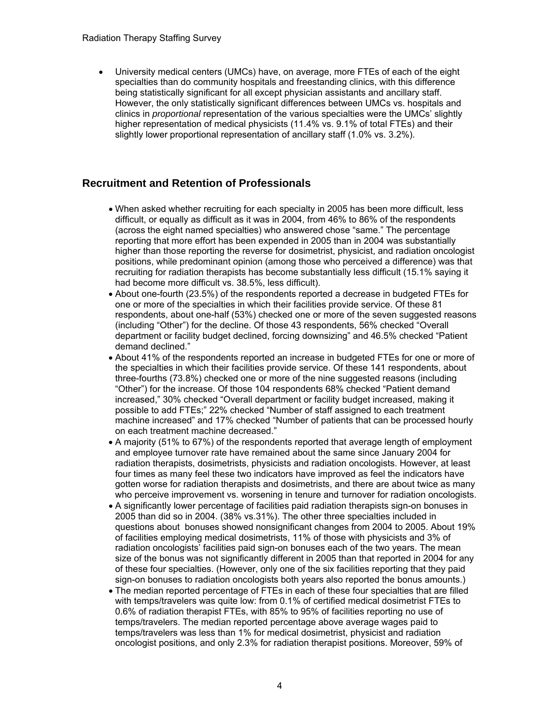• University medical centers (UMCs) have, on average, more FTEs of each of the eight specialties than do community hospitals and freestanding clinics, with this difference being statistically significant for all except physician assistants and ancillary staff. However, the only statistically significant differences between UMCs vs. hospitals and clinics in *proportional* representation of the various specialties were the UMCs' slightly higher representation of medical physicists (11.4% vs. 9.1% of total FTEs) and their slightly lower proportional representation of ancillary staff (1.0% vs. 3.2%).

### **Recruitment and Retention of Professionals**

- When asked whether recruiting for each specialty in 2005 has been more difficult, less difficult, or equally as difficult as it was in 2004, from 46% to 86% of the respondents (across the eight named specialties) who answered chose "same." The percentage reporting that more effort has been expended in 2005 than in 2004 was substantially higher than those reporting the reverse for dosimetrist, physicist, and radiation oncologist positions, while predominant opinion (among those who perceived a difference) was that recruiting for radiation therapists has become substantially less difficult (15.1% saying it had become more difficult vs. 38.5%, less difficult).
- About one-fourth (23.5%) of the respondents reported a decrease in budgeted FTEs for one or more of the specialties in which their facilities provide service. Of these 81 respondents, about one-half (53%) checked one or more of the seven suggested reasons (including "Other") for the decline. Of those 43 respondents, 56% checked "Overall department or facility budget declined, forcing downsizing" and 46.5% checked "Patient demand declined."
- About 41% of the respondents reported an increase in budgeted FTEs for one or more of the specialties in which their facilities provide service. Of these 141 respondents, about three-fourths (73.8%) checked one or more of the nine suggested reasons (including "Other") for the increase. Of those 104 respondents 68% checked "Patient demand increased," 30% checked "Overall department or facility budget increased, making it possible to add FTEs;" 22% checked "Number of staff assigned to each treatment machine increased" and 17% checked "Number of patients that can be processed hourly on each treatment machine decreased."
- A majority (51% to 67%) of the respondents reported that average length of employment and employee turnover rate have remained about the same since January 2004 for radiation therapists, dosimetrists, physicists and radiation oncologists. However, at least four times as many feel these two indicators have improved as feel the indicators have gotten worse for radiation therapists and dosimetrists, and there are about twice as many who perceive improvement vs. worsening in tenure and turnover for radiation oncologists.
- A significantly lower percentage of facilities paid radiation therapists sign-on bonuses in 2005 than did so in 2004. (38% vs.31%). The other three specialties included in questions about bonuses showed nonsignificant changes from 2004 to 2005. About 19% of facilities employing medical dosimetrists, 11% of those with physicists and 3% of radiation oncologists' facilities paid sign-on bonuses each of the two years. The mean size of the bonus was not significantly different in 2005 than that reported in 2004 for any of these four specialties. (However, only one of the six facilities reporting that they paid sign-on bonuses to radiation oncologists both years also reported the bonus amounts.)
- The median reported percentage of FTEs in each of these four specialties that are filled with temps/travelers was quite low: from 0.1% of certified medical dosimetrist FTEs to 0.6% of radiation therapist FTEs, with 85% to 95% of facilities reporting no use of temps/travelers. The median reported percentage above average wages paid to temps/travelers was less than 1% for medical dosimetrist, physicist and radiation oncologist positions, and only 2.3% for radiation therapist positions. Moreover, 59% of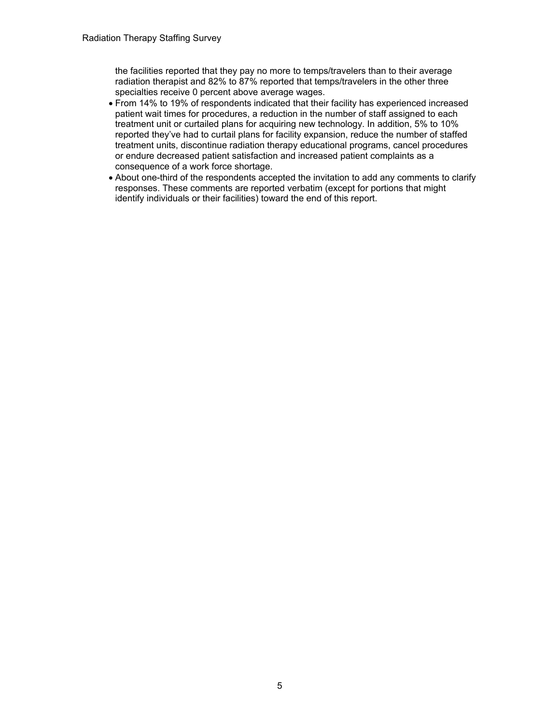the facilities reported that they pay no more to temps/travelers than to their average radiation therapist and 82% to 87% reported that temps/travelers in the other three specialties receive 0 percent above average wages.

- From 14% to 19% of respondents indicated that their facility has experienced increased patient wait times for procedures, a reduction in the number of staff assigned to each treatment unit or curtailed plans for acquiring new technology. In addition, 5% to 10% reported they've had to curtail plans for facility expansion, reduce the number of staffed treatment units, discontinue radiation therapy educational programs, cancel procedures or endure decreased patient satisfaction and increased patient complaints as a consequence of a work force shortage.
- About one-third of the respondents accepted the invitation to add any comments to clarify responses. These comments are reported verbatim (except for portions that might identify individuals or their facilities) toward the end of this report.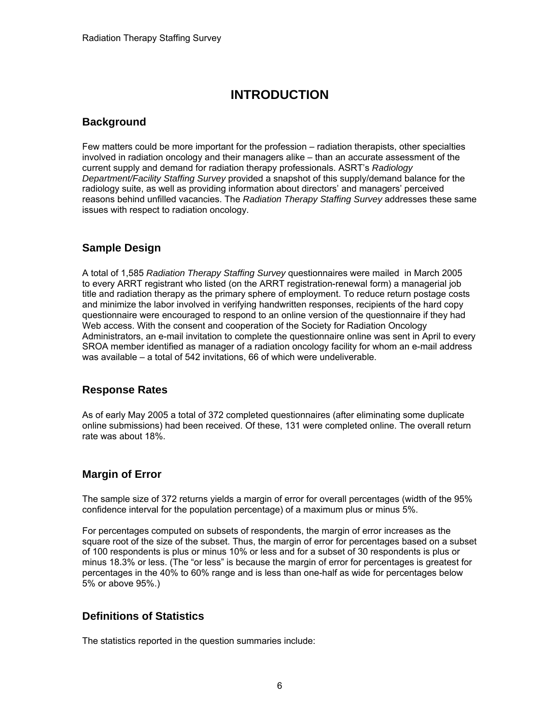# **INTRODUCTION**

### **Background**

Few matters could be more important for the profession – radiation therapists, other specialties involved in radiation oncology and their managers alike – than an accurate assessment of the current supply and demand for radiation therapy professionals. ASRT's *Radiology Department/Facility Staffing Survey* provided a snapshot of this supply/demand balance for the radiology suite, as well as providing information about directors' and managers' perceived reasons behind unfilled vacancies. The *Radiation Therapy Staffing Survey* addresses these same issues with respect to radiation oncology.

# **Sample Design**

A total of 1,585 *Radiation Therapy Staffing Survey* questionnaires were mailed in March 2005 to every ARRT registrant who listed (on the ARRT registration-renewal form) a managerial job title and radiation therapy as the primary sphere of employment. To reduce return postage costs and minimize the labor involved in verifying handwritten responses, recipients of the hard copy questionnaire were encouraged to respond to an online version of the questionnaire if they had Web access. With the consent and cooperation of the Society for Radiation Oncology Administrators, an e-mail invitation to complete the questionnaire online was sent in April to every SROA member identified as manager of a radiation oncology facility for whom an e-mail address was available – a total of 542 invitations, 66 of which were undeliverable.

# **Response Rates**

As of early May 2005 a total of 372 completed questionnaires (after eliminating some duplicate online submissions) had been received. Of these, 131 were completed online. The overall return rate was about 18%.

# **Margin of Error**

The sample size of 372 returns yields a margin of error for overall percentages (width of the 95% confidence interval for the population percentage) of a maximum plus or minus 5%.

For percentages computed on subsets of respondents, the margin of error increases as the square root of the size of the subset. Thus, the margin of error for percentages based on a subset of 100 respondents is plus or minus 10% or less and for a subset of 30 respondents is plus or minus 18.3% or less. (The "or less" is because the margin of error for percentages is greatest for percentages in the 40% to 60% range and is less than one-half as wide for percentages below 5% or above 95%.)

# **Definitions of Statistics**

The statistics reported in the question summaries include: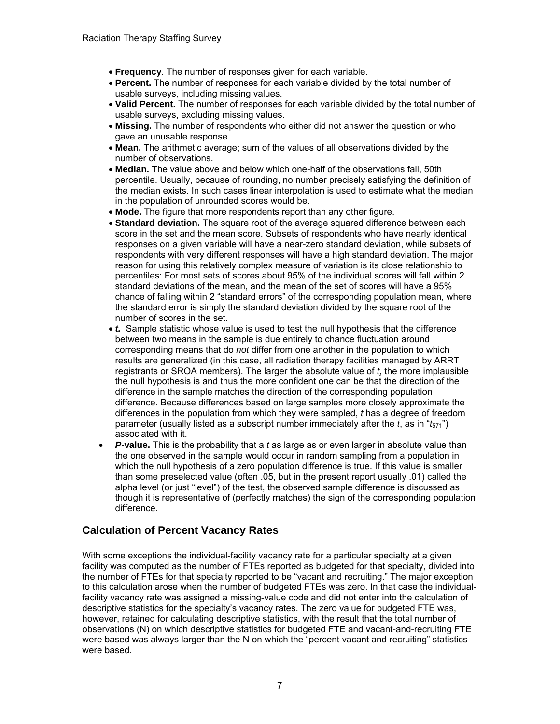- **Frequency**. The number of responses given for each variable.
- **Percent.** The number of responses for each variable divided by the total number of usable surveys, including missing values.
- **Valid Percent.** The number of responses for each variable divided by the total number of usable surveys, excluding missing values.
- **Missing.** The number of respondents who either did not answer the question or who gave an unusable response.
- **Mean.** The arithmetic average; sum of the values of all observations divided by the number of observations.
- **Median.** The value above and below which one-half of the observations fall, 50th percentile. Usually, because of rounding, no number precisely satisfying the definition of the median exists. In such cases linear interpolation is used to estimate what the median in the population of unrounded scores would be.
- **Mode.** The figure that more respondents report than any other figure.
- **Standard deviation.** The square root of the average squared difference between each score in the set and the mean score. Subsets of respondents who have nearly identical responses on a given variable will have a near-zero standard deviation, while subsets of respondents with very different responses will have a high standard deviation. The major reason for using this relatively complex measure of variation is its close relationship to percentiles: For most sets of scores about 95% of the individual scores will fall within 2 standard deviations of the mean, and the mean of the set of scores will have a 95% chance of falling within 2 "standard errors" of the corresponding population mean, where the standard error is simply the standard deviation divided by the square root of the number of scores in the set.
- *t.* Sample statistic whose value is used to test the null hypothesis that the difference between two means in the sample is due entirely to chance fluctuation around corresponding means that do *not* differ from one another in the population to which results are generalized (in this case, all radiation therapy facilities managed by ARRT registrants or SROA members). The larger the absolute value of *t,* the more implausible the null hypothesis is and thus the more confident one can be that the direction of the difference in the sample matches the direction of the corresponding population difference. Because differences based on large samples more closely approximate the differences in the population from which they were sampled, *t* has a degree of freedom parameter (usually listed as a subscript number immediately after the  $t$ , as in " $t_{571}$ ") associated with it.
- *P***-value.** This is the probability that a *t* as large as or even larger in absolute value than the one observed in the sample would occur in random sampling from a population in which the null hypothesis of a zero population difference is true. If this value is smaller than some preselected value (often .05, but in the present report usually .01) called the alpha level (or just "level") of the test, the observed sample difference is discussed as though it is representative of (perfectly matches) the sign of the corresponding population difference.

# **Calculation of Percent Vacancy Rates**

With some exceptions the individual-facility vacancy rate for a particular specialty at a given facility was computed as the number of FTEs reported as budgeted for that specialty, divided into the number of FTEs for that specialty reported to be "vacant and recruiting." The major exception to this calculation arose when the number of budgeted FTEs was zero. In that case the individualfacility vacancy rate was assigned a missing-value code and did not enter into the calculation of descriptive statistics for the specialty's vacancy rates. The zero value for budgeted FTE was, however, retained for calculating descriptive statistics, with the result that the total number of observations (N) on which descriptive statistics for budgeted FTE and vacant-and-recruiting FTE were based was always larger than the N on which the "percent vacant and recruiting" statistics were based.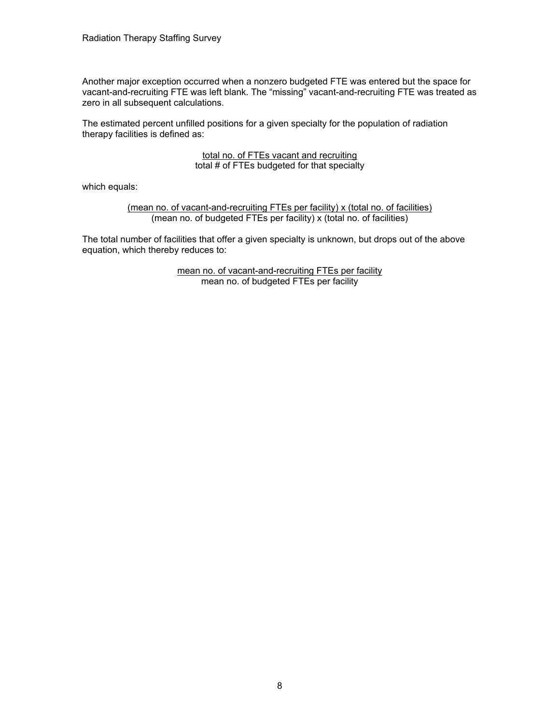Another major exception occurred when a nonzero budgeted FTE was entered but the space for vacant-and-recruiting FTE was left blank. The "missing" vacant-and-recruiting FTE was treated as zero in all subsequent calculations.

The estimated percent unfilled positions for a given specialty for the population of radiation therapy facilities is defined as:

#### total no. of FTEs vacant and recruiting total # of FTEs budgeted for that specialty

which equals:

(mean no. of vacant-and-recruiting FTEs per facility) x (total no. of facilities) (mean no. of budgeted FTEs per facility) x (total no. of facilities)

The total number of facilities that offer a given specialty is unknown, but drops out of the above equation, which thereby reduces to:

> mean no. of vacant-and-recruiting FTEs per facility mean no. of budgeted FTEs per facility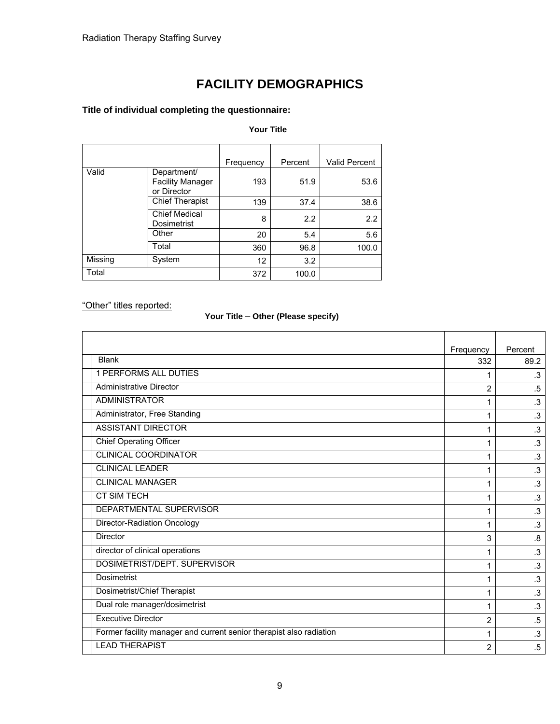# **FACILITY DEMOGRAPHICS**

### **Title of individual completing the questionnaire:**

#### **Your Title**

|         |                                                       | Frequency | Percent | <b>Valid Percent</b> |
|---------|-------------------------------------------------------|-----------|---------|----------------------|
| Valid   | Department/<br><b>Facility Manager</b><br>or Director | 193       | 51.9    | 53.6                 |
|         | <b>Chief Therapist</b>                                | 139       | 37.4    | 38.6                 |
|         | <b>Chief Medical</b><br>Dosimetrist                   | 8         | 2.2     | 2.2                  |
|         | Other                                                 | 20        | 5.4     | 5.6                  |
|         | Total                                                 | 360       | 96.8    | 100.0                |
| Missing | System                                                | 12        | 3.2     |                      |
| Total   |                                                       | 372       | 100.0   |                      |

"Other" titles reported:

### **Your Title** – **Other (Please specify)**

|                                                                     | Frequency      | Percent   |
|---------------------------------------------------------------------|----------------|-----------|
| <b>Blank</b>                                                        | 332            | 89.2      |
| <b>1 PERFORMS ALL DUTIES</b>                                        | 1              | $\cdot$ 3 |
| <b>Administrative Director</b>                                      | $\overline{2}$ | $.5\,$    |
| <b>ADMINISTRATOR</b>                                                | 1              | $\cdot$ 3 |
| Administrator, Free Standing                                        | 1              | $\cdot$ 3 |
| <b>ASSISTANT DIRECTOR</b>                                           | 1              | $\cdot$ 3 |
| <b>Chief Operating Officer</b>                                      | 1              | $\cdot$ 3 |
| <b>CLINICAL COORDINATOR</b>                                         | 1              | $\cdot$ 3 |
| <b>CLINICAL LEADER</b>                                              | 1              | $\cdot$ 3 |
| <b>CLINICAL MANAGER</b>                                             | 1              | $\cdot$ 3 |
| <b>CT SIM TECH</b>                                                  | 1              | $\cdot$ 3 |
| DEPARTMENTAL SUPERVISOR                                             | 1              | $\cdot$ 3 |
| Director-Radiation Oncology                                         | 1              | $\cdot$ 3 |
| <b>Director</b>                                                     | 3              | .8        |
| director of clinical operations                                     | 1              | $\cdot$ 3 |
| DOSIMETRIST/DEPT. SUPERVISOR                                        | 1              | $\cdot$ 3 |
| <b>Dosimetrist</b>                                                  | 1              | $\cdot$ 3 |
| Dosimetrist/Chief Therapist                                         | 1              | $\cdot$ 3 |
| Dual role manager/dosimetrist                                       | 1              | $\cdot$ 3 |
| <b>Executive Director</b>                                           | 2              | $.5\,$    |
| Former facility manager and current senior therapist also radiation | 1              | $\cdot$ 3 |
| <b>LEAD THERAPIST</b>                                               | $\overline{2}$ | $.5\,$    |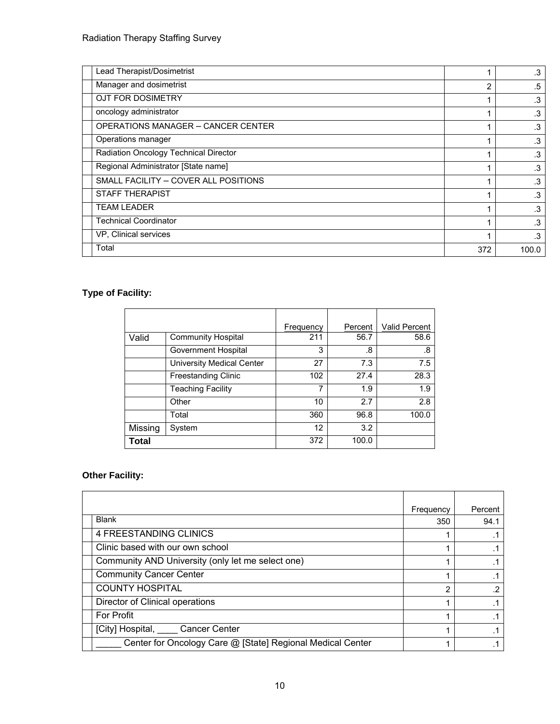| Lead Therapist/Dosimetrist                |     | .3        |
|-------------------------------------------|-----|-----------|
| Manager and dosimetrist                   | 2   | .5        |
| OJT FOR DOSIMETRY                         |     | $\cdot 3$ |
| oncology administrator                    |     | .3        |
| <b>OPERATIONS MANAGER - CANCER CENTER</b> |     | .3        |
| Operations manager                        |     | .3        |
| Radiation Oncology Technical Director     |     | .3        |
| Regional Administrator [State name]       |     | .3        |
| SMALL FACILITY - COVER ALL POSITIONS      |     | .3        |
| <b>STAFF THERAPIST</b>                    |     | .3        |
| <b>TEAM LEADER</b>                        |     | .3        |
| <b>Technical Coordinator</b>              |     | .3        |
| VP, Clinical services                     |     | .3        |
| Total                                     | 372 | 100.0     |

# **Type of Facility:**

|              |                                  | Frequency | Percent | <b>Valid Percent</b> |
|--------------|----------------------------------|-----------|---------|----------------------|
| Valid        | <b>Community Hospital</b>        | 211       | 56.7    | 58.6                 |
|              | <b>Government Hospital</b>       | 3         | .8      | .8                   |
|              | <b>University Medical Center</b> | 27        | 7.3     | 7.5                  |
|              | <b>Freestanding Clinic</b>       | 102       | 27.4    | 28.3                 |
|              | <b>Teaching Facility</b>         | 7         | 1.9     | 1.9                  |
|              | Other                            | 10        | 2.7     | 2.8                  |
|              | Total                            | 360       | 96.8    | 100.0                |
| Missing      | System                           | 12        | 3.2     |                      |
| <b>Total</b> |                                  | 372       | 100.0   |                      |

# **Other Facility:**

|                                                            | Frequency | Percent |
|------------------------------------------------------------|-----------|---------|
| <b>Blank</b>                                               | 350       | 94.1    |
| 4 FREESTANDING CLINICS                                     |           |         |
| Clinic based with our own school                           |           |         |
| Community AND University (only let me select one)          |           |         |
| <b>Community Cancer Center</b>                             |           |         |
| <b>COUNTY HOSPITAL</b>                                     | 2         | .2      |
| Director of Clinical operations                            |           |         |
| <b>For Profit</b>                                          |           |         |
| [City] Hospital, _____ Cancer Center                       |           |         |
| Center for Oncology Care @ [State] Regional Medical Center |           |         |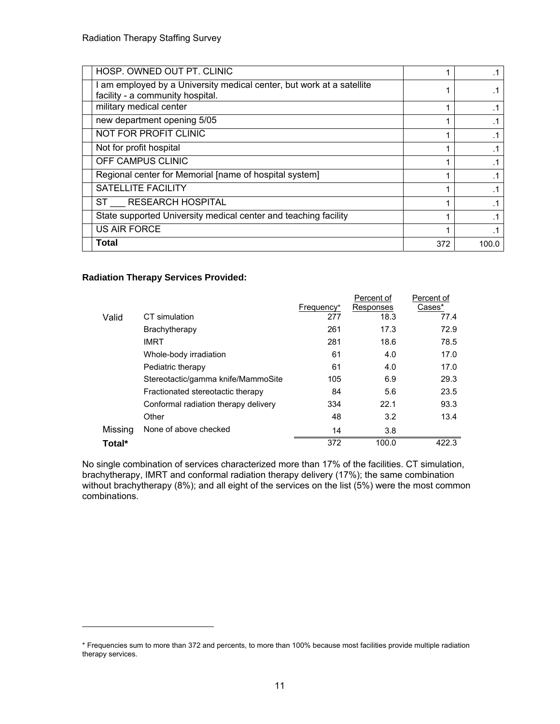| HOSP. OWNED OUT PT. CLINIC                                                                              |     |       |
|---------------------------------------------------------------------------------------------------------|-----|-------|
| am employed by a University medical center, but work at a satellite<br>facility - a community hospital. |     |       |
| military medical center                                                                                 |     |       |
| new department opening 5/05                                                                             |     |       |
| NOT FOR PROFIT CLINIC                                                                                   |     |       |
| Not for profit hospital                                                                                 |     |       |
| OFF CAMPUS CLINIC                                                                                       |     |       |
| Regional center for Memorial [name of hospital system]                                                  |     |       |
| <b>SATELLITE FACILITY</b>                                                                               |     |       |
| ST RESEARCH HOSPITAL                                                                                    |     |       |
| State supported University medical center and teaching facility                                         |     |       |
| <b>US AIR FORCE</b>                                                                                     |     |       |
| <b>Total</b>                                                                                            | 372 | 100.0 |

#### **Radiation Therapy Services Provided:**

l

|         |                                      | Frequency* | Percent of<br>Responses | Percent of<br>Cases* |
|---------|--------------------------------------|------------|-------------------------|----------------------|
| Valid   | CT simulation                        | 277        | 18.3                    | 77.4                 |
|         | Brachytherapy                        | 261        | 17.3                    | 72.9                 |
|         | <b>IMRT</b>                          | 281        | 18.6                    | 78.5                 |
|         | Whole-body irradiation               | 61         | 4.0                     | 17.0                 |
|         | Pediatric therapy                    | 61         | 4.0                     | 17.0                 |
|         | Stereotactic/gamma knife/MammoSite   | 105        | 6.9                     | 29.3                 |
|         | Fractionated stereotactic therapy    | 84         | 5.6                     | 23.5                 |
|         | Conformal radiation therapy delivery | 334        | 22.1                    | 93.3                 |
|         | Other                                | 48         | 3.2                     | 13.4                 |
| Missing | None of above checked                | 14         | 3.8                     |                      |
| Total*  |                                      | 372        | 100.0                   | 422.3                |

No single combination of services characterized more than 17% of the facilities. CT simulation, brachytherapy, IMRT and conformal radiation therapy delivery (17%); the same combination without brachytherapy (8%); and all eight of the services on the list (5%) were the most common combinations.

<sup>\*</sup> Frequencies sum to more than 372 and percents, to more than 100% because most facilities provide multiple radiation therapy services.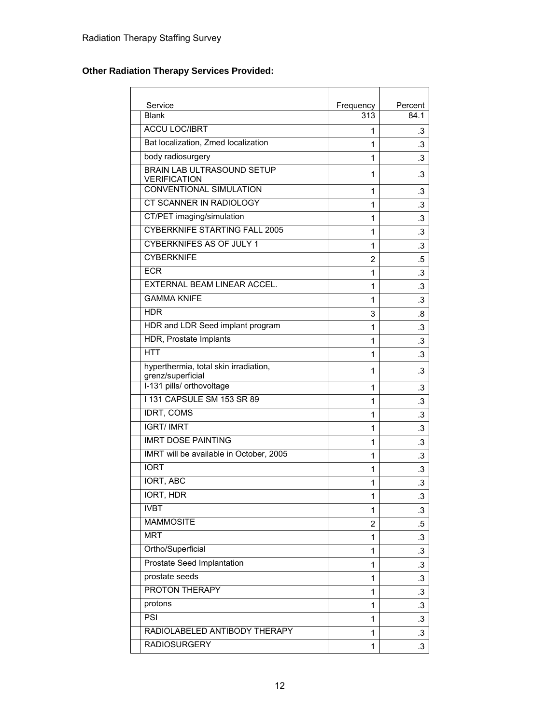# **Other Radiation Therapy Services Provided:**

| Service<br><b>Blank</b>                                    | Frequency      | Percent   |
|------------------------------------------------------------|----------------|-----------|
|                                                            | 313            | 84.1      |
| <b>ACCU LOC/IBRT</b>                                       | 1              | .3        |
| Bat localization, Zmed localization                        | 1              | .3        |
| body radiosurgery                                          | 1              | $\cdot$ 3 |
| <b>BRAIN LAB ULTRASOUND SETUP</b><br><b>VERIFICATION</b>   | 1              | .3        |
| <b>CONVENTIONAL SIMULATION</b>                             | 1              | .3        |
| <b>CT SCANNER IN RADIOLOGY</b>                             | 1              | $\cdot$ 3 |
| CT/PET imaging/simulation                                  | 1              | $\cdot$ 3 |
| <b>CYBERKNIFE STARTING FALL 2005</b>                       | 1              | .3        |
| <b>CYBERKNIFES AS OF JULY 1</b>                            | 1              | $\cdot$ 3 |
| <b>CYBERKNIFE</b>                                          | $\overline{2}$ | .5        |
| <b>ECR</b>                                                 | 1              | $\cdot$ 3 |
| <b>EXTERNAL BEAM LINEAR ACCEL.</b>                         | 1              | $\cdot$ 3 |
| <b>GAMMA KNIFE</b>                                         | 1              | .3        |
| HDR                                                        | 3              | .8        |
| HDR and LDR Seed implant program                           | 1              | $\cdot$ 3 |
| HDR, Prostate Implants                                     | 1              | $\cdot$ 3 |
| <b>HTT</b>                                                 | 1              | .3        |
| hyperthermia, total skin irradiation,<br>grenz/superficial | 1              | .3        |
| I-131 pills/ orthovoltage                                  | 1              | .3        |
| <b>1131 CAPSULE SM 153 SR 89</b>                           | 1              | .3        |
| <b>IDRT, COMS</b>                                          | 1              | $\cdot$ 3 |
| <b>IGRT/IMRT</b>                                           | 1              | $\cdot$   |
| <b>IMRT DOSE PAINTING</b>                                  | 1              | $\cdot$ 3 |
| IMRT will be available in October, 2005                    | 1              | $.3\,$    |
| <b>IORT</b>                                                | 1              | $\cdot$ 3 |
| <b>IORT, ABC</b>                                           | 1              | $\cdot$ 3 |
| <b>IORT, HDR</b>                                           | 1              | $\cdot$   |
| <b>IVBT</b>                                                | 1              | $\cdot$ 3 |
| <b>MAMMOSITE</b>                                           | $\overline{2}$ | $.5\,$    |
| <b>MRT</b>                                                 | 1              | $\cdot$ 3 |
| Ortho/Superficial                                          | 1              | $\cdot$ 3 |
| <b>Prostate Seed Implantation</b>                          | 1              | $\cdot$ 3 |
| prostate seeds                                             | 1              | $\cdot$ 3 |
| <b>PROTON THERAPY</b>                                      | 1              | .3        |
| protons                                                    | 1              | .3        |
| PSI                                                        | $\mathbf{1}$   | $\cdot$ 3 |
| RADIOLABELED ANTIBODY THERAPY                              | 1              | $\cdot$ 3 |
| <b>RADIOSURGERY</b>                                        | 1              | $\cdot$ 3 |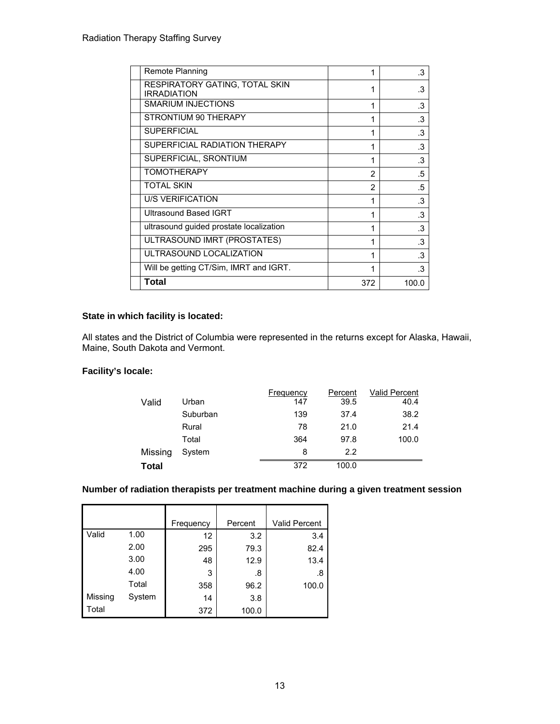| Remote Planning                                      | 1              | .3        |
|------------------------------------------------------|----------------|-----------|
| RESPIRATORY GATING, TOTAL SKIN<br><b>IRRADIATION</b> | 1              | .3        |
| <b>SMARIUM INJECTIONS</b>                            | 1              | .3        |
| STRONTIUM 90 THERAPY                                 | 1              | .3        |
| <b>SUPERFICIAL</b>                                   | 1              | .3        |
| SUPERFICIAL RADIATION THERAPY                        | 1              | .3        |
| SUPERFICIAL, SRONTIUM                                | 1              | .3        |
| <b>TOMOTHERAPY</b>                                   | 2              | .5        |
| <b>TOTAL SKIN</b>                                    | $\overline{2}$ | .5        |
| <b>U/S VERIFICATION</b>                              | 1              | .3        |
| <b>Ultrasound Based IGRT</b>                         | 1              | .3        |
| ultrasound guided prostate localization              | 1              | $\cdot$ 3 |
| ULTRASOUND IMRT (PROSTATES)                          | 1              | .3        |
| ULTRASOUND LOCALIZATION                              | 1              | .3        |
| Will be getting CT/Sim, IMRT and IGRT.               | 1              | .3        |
| Total                                                | 372            | 100.0     |

#### **State in which facility is located:**

All states and the District of Columbia were represented in the returns except for Alaska, Hawaii, Maine, South Dakota and Vermont.

#### **Facility's locale:**

|         |          | Frequency | Percent | <b>Valid Percent</b> |
|---------|----------|-----------|---------|----------------------|
| Valid   | Urban    | 147       | 39.5    | 40.4                 |
|         | Suburban | 139       | 37.4    | 38.2                 |
|         | Rural    | 78        | 21.0    | 21.4                 |
|         | Total    | 364       | 97.8    | 100.0                |
| Missing | System   | 8         | 2.2     |                      |
| Total   |          | 372       | 100.0   |                      |

### **Number of radiation therapists per treatment machine during a given treatment session**

|         |        | Frequency | Percent | Valid Percent |
|---------|--------|-----------|---------|---------------|
| Valid   | 1.00   | 12        | 3.2     | 3.4           |
|         | 2.00   | 295       | 79.3    | 82.4          |
|         | 3.00   | 48        | 12.9    | 13.4          |
|         | 4.00   | 3         | .8      | .8            |
|         | Total  | 358       | 96.2    | 100.0         |
| Missing | System | 14        | 3.8     |               |
| Total   |        | 372       | 100.0   |               |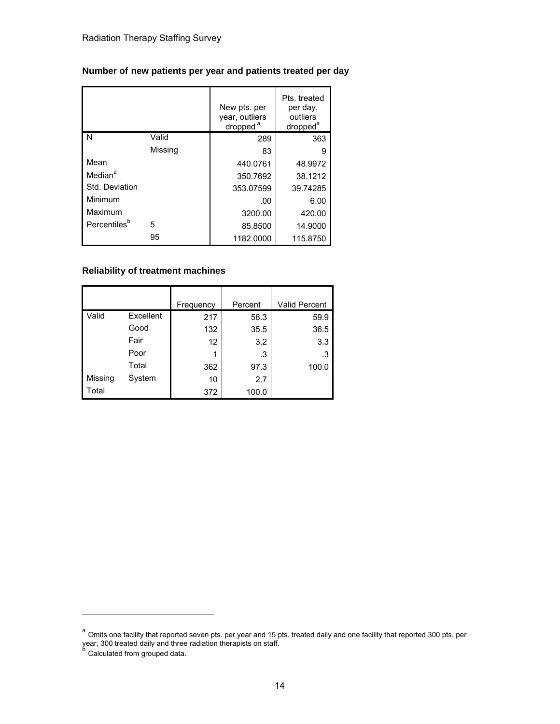### **Number of new patients per year and patients treated per day**

|                          |         | New pts. per<br>year, outliers<br>dropped <sup>a</sup> | Pts. treated<br>per day,<br>outliers<br>dropped <sup>a</sup> |
|--------------------------|---------|--------------------------------------------------------|--------------------------------------------------------------|
| l N                      | Valid   | 289                                                    | 363                                                          |
|                          | Missing | 83                                                     | 9                                                            |
| Mean                     |         | 440.0761                                               | 48.9972                                                      |
| Median <sup>a</sup>      |         | 350.7692                                               | 38.1212                                                      |
| Std. Deviation           |         | 353.07599                                              | 39.74285                                                     |
| Minimum                  |         | .00                                                    | 6.00                                                         |
| Maximum                  |         | 3200.00                                                | 420.00                                                       |
| Percentiles <sup>b</sup> | 5       | 85.8500                                                | 14.9000                                                      |
|                          | 95      | 1182.0000                                              | 115.8750                                                     |

#### **Reliability of treatment machines**

|         |           | Frequency | Percent | <b>Valid Percent</b> |
|---------|-----------|-----------|---------|----------------------|
| Valid   | Excellent | 217       | 58.3    | 59.9                 |
|         | Good      | 132       | 35.5    | 36.5                 |
|         | Fair      | 12        | 3.2     | 3.3                  |
|         | Poor      |           | .3      | .3                   |
|         | Total     | 362       | 97.3    | 100.0                |
| Missing | System    | 10        | 2.7     |                      |
| Total   |           | 372       | 100.0   |                      |

<sup>&</sup>lt;sup>a</sup> Omits one facility that reported seven pts. per year and 15 pts. treated daily and one facility that reported 300 pts. per year, 300 treated daily and three radiation therapists on staff.<br><sup>b</sup> Calculated from grouped data.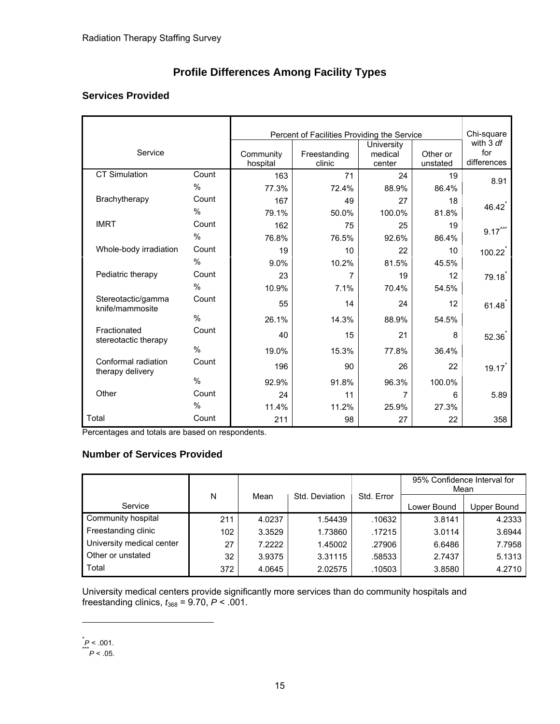# **Profile Differences Among Facility Types**

## **Services Provided**

|                                         |               |                       | Percent of Facilities Providing the Service |                                 |                      |                                 |  |  |  |
|-----------------------------------------|---------------|-----------------------|---------------------------------------------|---------------------------------|----------------------|---------------------------------|--|--|--|
| Service                                 |               | Community<br>hospital | Freestanding<br>clinic                      | University<br>medical<br>center | Other or<br>unstated | with 3 df<br>for<br>differences |  |  |  |
| <b>CT Simulation</b>                    | Count         | 163                   | 71                                          | 24                              | 19                   | 8.91                            |  |  |  |
|                                         | $\%$          | 77.3%                 | 72.4%                                       | 88.9%                           | 86.4%                |                                 |  |  |  |
| Brachytherapy                           | Count         | 167                   | 49                                          | 27                              | 18                   | 46.42                           |  |  |  |
|                                         | $\%$          | 79.1%                 | 50.0%                                       | 100.0%                          | 81.8%                |                                 |  |  |  |
| <b>IMRT</b>                             | Count         | 162                   | 75                                          | 25                              | 19                   | $9.17^{\prime\prime\prime}$     |  |  |  |
|                                         | $\%$          | 76.8%                 | 76.5%                                       | 92.6%                           | 86.4%                |                                 |  |  |  |
| Whole-body irradiation                  | Count         | 19                    | 10                                          | 22                              | 10                   | 100.22                          |  |  |  |
|                                         | $\%$          | 9.0%                  | 10.2%                                       | 81.5%                           | 45.5%                |                                 |  |  |  |
| Pediatric therapy                       | Count         | 23                    | 7                                           | 19                              | 12                   | 79.18                           |  |  |  |
|                                         | $\%$          | 10.9%                 | 7.1%                                        | 70.4%                           | 54.5%                |                                 |  |  |  |
| Stereotactic/gamma<br>knife/mammosite   | Count         | 55                    | 14                                          | 24                              | 12                   | 61.48                           |  |  |  |
|                                         | $\%$          | 26.1%                 | 14.3%                                       | 88.9%                           | 54.5%                |                                 |  |  |  |
| Fractionated<br>stereotactic therapy    | Count         | 40                    | 15                                          | 21                              | 8                    | 52.36                           |  |  |  |
|                                         | $\frac{0}{0}$ | 19.0%                 | 15.3%                                       | 77.8%                           | 36.4%                |                                 |  |  |  |
| Conformal radiation<br>therapy delivery | Count         | 196                   | 90                                          | 26                              | 22                   | 19.17                           |  |  |  |
|                                         | $\%$          | 92.9%                 | 91.8%                                       | 96.3%                           | 100.0%               |                                 |  |  |  |
| Other                                   | Count         | 24                    | 11                                          | 7                               | 6                    | 5.89                            |  |  |  |
|                                         | %             | 11.4%                 | 11.2%                                       | 25.9%                           | 27.3%                |                                 |  |  |  |
| Total                                   | Count         | 211                   | 98                                          | 27                              | 22                   | 358                             |  |  |  |

Percentages and totals are based on respondents.

# **Number of Services Provided**

|                           |     |        |                |            | 95% Confidence Interval for<br>Mean |             |
|---------------------------|-----|--------|----------------|------------|-------------------------------------|-------------|
| Service                   | N   | Mean   | Std. Deviation | Std. Error | Lower Bound                         | Upper Bound |
|                           |     |        |                |            |                                     |             |
| Community hospital        | 211 | 4.0237 | 1.54439        | .10632     | 3.8141                              | 4.2333      |
| Freestanding clinic       | 102 | 3.3529 | 1.73860        | .17215     | 3.0114                              | 3.6944      |
| University medical center | 27  | 7.2222 | 1.45002        | .27906     | 6.6486                              | 7.7958      |
| Other or unstated         | 32  | 3.9375 | 3.31115        | .58533     | 2.7437                              | 5.1313      |
| Total                     | 372 | 4.0645 | 2.02575        | .10503     | 3.8580                              | 4.2710      |

University medical centers provide significantly more services than do community hospitals and freestanding clinics, *t*368 = 9.70, *P* < .001.

-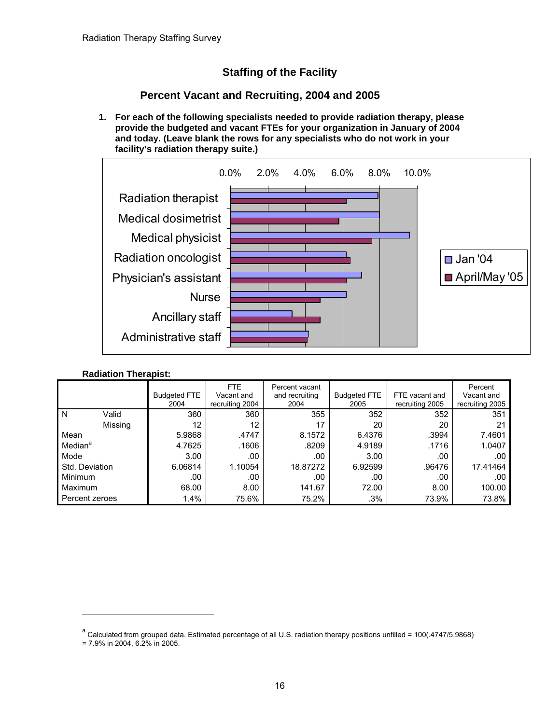# **Staffing of the Facility**

# **Percent Vacant and Recruiting, 2004 and 2005**

**1. For each of the following specialists needed to provide radiation therapy, please provide the budgeted and vacant FTEs for your organization in January of 2004 and today. (Leave blank the rows for any specialists who do not work in your facility's radiation therapy suite.)** 



#### **Radiation Therapist:**

|                     | <b>Budgeted FTE</b><br>2004 | FTE.<br>Vacant and<br>recruiting 2004 | Percent vacant<br>and recruiting<br>2004 | <b>Budgeted FTE</b><br>2005 | FTE vacant and<br>recruiting 2005 | Percent<br>Vacant and<br>recruiting 2005 |
|---------------------|-----------------------------|---------------------------------------|------------------------------------------|-----------------------------|-----------------------------------|------------------------------------------|
| Valid<br>N          | 360                         | 360                                   | 355                                      | 352                         | 352                               | 351                                      |
| Missing             | 12                          | 12                                    | 17                                       | 20                          | 20                                | 21                                       |
| Mean                | 5.9868                      | .4747                                 | 8.1572                                   | 6.4376                      | .3994                             | 7.4601                                   |
| Median <sup>a</sup> | 4.7625                      | .1606                                 | .8209                                    | 4.9189                      | .1716                             | 1.0407                                   |
| Mode                | 3.00                        | .00                                   | .00                                      | 3.00                        | .00                               | .00                                      |
| Std. Deviation      | 6.06814                     | 1.10054                               | 18.87272                                 | 6.92599                     | .96476                            | 17.41464                                 |
| <b>Minimum</b>      | .00                         | .00                                   | .00                                      | .00                         | .00                               | .00.                                     |
| <b>Maximum</b>      | 68.00                       | 8.00                                  | 141.67                                   | 72.00                       | 8.00                              | 100.00                                   |
| Percent zeroes      | 1.4%                        | 75.6%                                 | 75.2%                                    | .3%                         | 73.9%                             | 73.8%                                    |

a<br>Calculated from grouped data. Estimated percentage of all U.S. radiation therapy positions unfilled = 100(.4747/5.9868)

<sup>= 7.9%</sup> in 2004, 6.2% in 2005.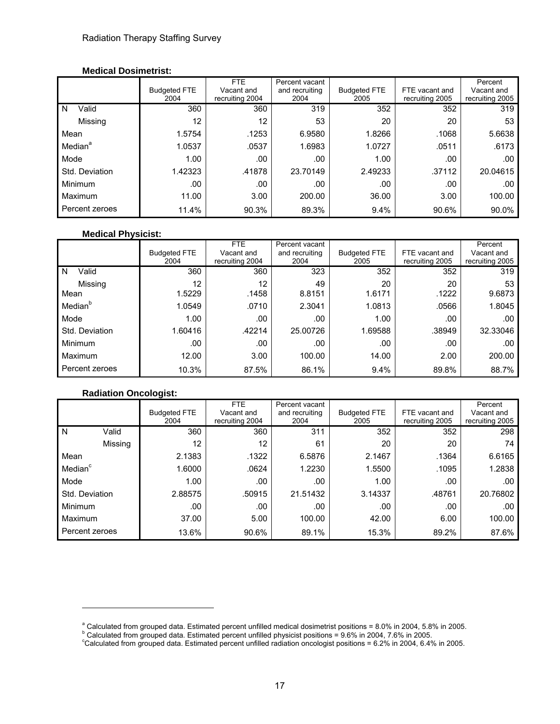#### **Medical Dosimetrist:**

|                     |                     | <b>FTE</b>      | Percent vacant |                     |                 | Percent         |
|---------------------|---------------------|-----------------|----------------|---------------------|-----------------|-----------------|
|                     | <b>Budgeted FTE</b> | Vacant and      | and recruiting | <b>Budgeted FTE</b> | FTE vacant and  | Vacant and      |
|                     | 2004                | recruiting 2004 | 2004           | 2005                | recruiting 2005 | recruiting 2005 |
| Valid<br>N          | 360                 | 360             | 319            | 352                 | 352             | 319             |
| Missing             | 12                  | 12              | 53             | 20                  | 20              | 53              |
| Mean                | 1.5754              | .1253           | 6.9580         | 1.8266              | .1068           | 5.6638          |
| Median <sup>a</sup> | 1.0537              | .0537           | 1.6983         | 1.0727              | .0511           | .6173           |
| Mode                | 1.00                | .00             | .00            | 1.00                | .00             | .00             |
| Std. Deviation      | 1.42323             | .41878          | 23.70149       | 2.49233             | .37112          | 20.04615        |
| Minimum             | .00                 | .00             | .00            | .00                 | .00             | .00             |
| Maximum             | 11.00               | 3.00            | 200.00         | 36.00               | 3.00            | 100.00          |
| Percent zeroes      | 11.4%               | 90.3%           | 89.3%          | 9.4%                | 90.6%           | 90.0%           |

#### **Medical Physicist:**

|                     | <b>Budgeted FTE</b><br>2004 | FTE<br>Vacant and<br>recruiting 2004 | Percent vacant<br>and recruiting<br>2004 | <b>Budgeted FTE</b><br>2005 | FTE vacant and<br>recruiting 2005 | Percent<br>Vacant and<br>recruiting 2005 |
|---------------------|-----------------------------|--------------------------------------|------------------------------------------|-----------------------------|-----------------------------------|------------------------------------------|
| Valid<br>N          | 360                         | 360                                  | 323                                      | 352                         | 352                               | 319                                      |
| Missing<br>Mean     | 12<br>1.5229                | 12<br>.1458                          | 49<br>8.8151                             | 20<br>1.6171                | 20<br>.1222                       | 53<br>9.6873                             |
| Median <sup>b</sup> | 1.0549                      | .0710                                | 2.3041                                   | 1.0813                      | .0566                             | 1.8045                                   |
| Mode                | 1.00                        | .00                                  | .00                                      | 1.00                        | .00                               | .00                                      |
| Std. Deviation      | 1.60416                     | .42214                               | 25.00726                                 | 1.69588                     | .38949                            | 32.33046                                 |
| Minimum             | .00                         | .00                                  | .00                                      | .00                         | .00                               | .00                                      |
| Maximum             | 12.00                       | 3.00                                 | 100.00                                   | 14.00                       | 2.00                              | 200.00                                   |
| Percent zeroes      | 10.3%                       | 87.5%                                | 86.1%                                    | 9.4%                        | 89.8%                             | 88.7%                                    |

### **Radiation Oncologist:**

|                     |                |                     | FTE.            | Percent vacant |                     |                 | Percent         |
|---------------------|----------------|---------------------|-----------------|----------------|---------------------|-----------------|-----------------|
|                     |                | <b>Budgeted FTE</b> | Vacant and      | and recruiting | <b>Budgeted FTE</b> | FTE vacant and  | Vacant and      |
|                     |                | 2004                | recruiting 2004 | 2004           | 2005                | recruiting 2005 | recruiting 2005 |
| l N                 | Valid          | 360                 | 360             | 311            | 352                 | 352             | 298             |
|                     | Missing        | 12                  | 12              | 61             | 20                  | 20              | 74              |
| Mean                |                | 2.1383              | .1322           | 6.5876         | 2.1467              | .1364           | 6.6165          |
| Median <sup>c</sup> |                | 1.6000              | .0624           | 1.2230         | 1.5500              | .1095           | 1.2838          |
| Mode                |                | 1.00                | .00.            | .00            | 1.00                | .00             | .00             |
| Std. Deviation      |                | 2.88575             | .50915          | 21.51432       | 3.14337             | .48761          | 20.76802        |
| Minimum             |                | .00                 | .00             | .00            | .00                 | .00             | .00             |
| Maximum             |                | 37.00               | 5.00            | 100.00         | 42.00               | 6.00            | 100.00          |
|                     | Percent zeroes | 13.6%               | 90.6%           | 89.1%          | 15.3%               | 89.2%           | 87.6%           |

<sup>&</sup>lt;sup>a</sup> Calculated from grouped data. Estimated percent unfilled medical dosimetrist positions = 8.0% in 2004, 5.8% in 2005.

<sup>°</sup> Calculated from grouped data. Estimated percent unfilled physicist positions = 9.6% in 2004, 7.6% in 2005.<br>°Calculated from grouped data. Estimated percent unfilled radiation oncologist positions = 6.2% in 2004, 6.4% in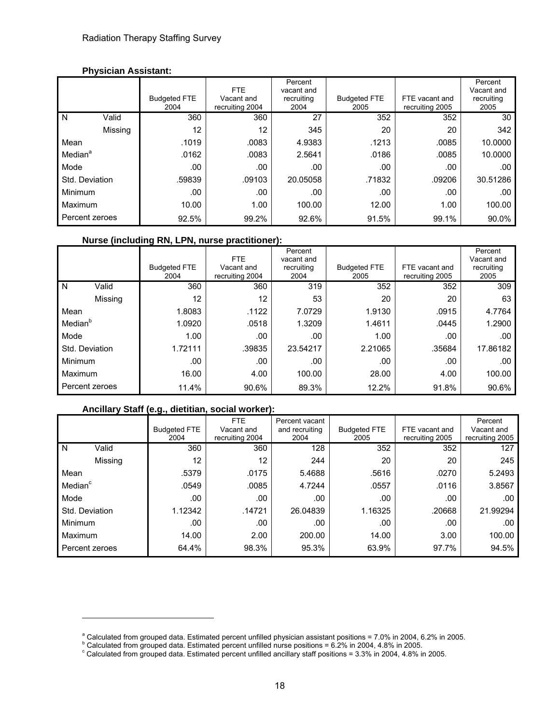#### **Physician Assistant:**

|                     |         |                             | FTE.                          | Percent<br>vacant and |                             |                                   | Percent<br>Vacant and |
|---------------------|---------|-----------------------------|-------------------------------|-----------------------|-----------------------------|-----------------------------------|-----------------------|
|                     |         | <b>Budgeted FTE</b><br>2004 | Vacant and<br>recruiting 2004 | recruiting<br>2004    | <b>Budgeted FTE</b><br>2005 | FTE vacant and<br>recruiting 2005 | recruiting<br>2005    |
| N                   | Valid   | 360                         | 360                           | 27                    | 352                         | 352                               | 30                    |
|                     | Missing | 12                          | 12                            | 345                   | 20                          | 20                                | 342                   |
| Mean                |         | .1019                       | .0083                         | 4.9383                | .1213                       | .0085                             | 10.0000               |
| Median <sup>a</sup> |         | .0162                       | .0083                         | 2.5641                | .0186                       | .0085                             | 10.0000               |
| Mode                |         | .00                         | .00                           | .00                   | .00                         | .00                               | .00                   |
| Std. Deviation      |         | .59839                      | .09103                        | 20.05058              | .71832                      | .09206                            | 30.51286              |
| Minimum             |         | .00                         | .00                           | .00                   | .00                         | .00                               | .00                   |
| Maximum             |         | 10.00                       | 1.00                          | 100.00                | 12.00                       | 1.00                              | 100.00                |
| Percent zeroes      |         | 92.5%                       | 99.2%                         | 92.6%                 | 91.5%                       | 99.1%                             | 90.0%                 |

#### **Nurse (including RN, LPN, nurse practitioner):**

|                     |         | <b>Budgeted FTE</b><br>2004 | FTE.<br>Vacant and<br>recruiting 2004 | Percent<br>vacant and<br>recruiting<br>2004 | <b>Budgeted FTE</b><br>2005 | FTE vacant and<br>recruiting 2005 | Percent<br>Vacant and<br>recruiting<br>2005 |
|---------------------|---------|-----------------------------|---------------------------------------|---------------------------------------------|-----------------------------|-----------------------------------|---------------------------------------------|
| N                   | Valid   | 360                         | 360                                   | 319                                         | 352                         | 352                               | 309                                         |
|                     | Missing | 12                          | 12                                    | 53                                          | 20                          | 20                                | 63                                          |
| Mean                |         | 1.8083                      | .1122                                 | 7.0729                                      | 1.9130                      | .0915                             | 4.7764                                      |
| Median <sup>b</sup> |         | 1.0920                      | .0518                                 | 1.3209                                      | 1.4611                      | .0445                             | 1.2900                                      |
| Mode                |         | 1.00                        | .00                                   | .00                                         | 1.00                        | .00                               | .00                                         |
| Std. Deviation      |         | 1.72111                     | .39835                                | 23.54217                                    | 2.21065                     | .35684                            | 17.86182                                    |
| Minimum             |         | .00                         | .00                                   | .00                                         | .00                         | .00                               | .00                                         |
| Maximum             |         | 16.00                       | 4.00                                  | 100.00                                      | 28.00                       | 4.00                              | 100.00                                      |
| Percent zeroes      |         | 11.4%                       | 90.6%                                 | 89.3%                                       | 12.2%                       | 91.8%                             | 90.6%                                       |

### **Ancillary Staff (e.g., dietitian, social worker):**

|                     |                | <b>Budgeted FTE</b><br>2004 | <b>FTE</b><br>Vacant and<br>recruiting 2004 | Percent vacant<br>and recruiting<br>2004 | <b>Budgeted FTE</b><br>2005 | FTE vacant and<br>recruiting 2005 | Percent<br>Vacant and<br>recruiting 2005 |
|---------------------|----------------|-----------------------------|---------------------------------------------|------------------------------------------|-----------------------------|-----------------------------------|------------------------------------------|
| N                   | Valid          | 360                         | 360                                         | 128                                      | 352                         | 352                               | 127                                      |
|                     | Missing        | 12                          | 12                                          | 244                                      | 20                          | 20                                | 245                                      |
| Mean                |                | .5379                       | .0175                                       | 5.4688                                   | .5616                       | .0270                             | 5.2493                                   |
| Median <sup>c</sup> |                | .0549                       | .0085                                       | 4.7244                                   | .0557                       | .0116                             | 3.8567                                   |
| Mode                |                | .00                         | .00                                         | .00                                      | .00                         | .00                               | .00                                      |
| Std. Deviation      |                | 1.12342                     | .14721                                      | 26.04839                                 | 1.16325                     | .20668                            | 21.99294                                 |
| Minimum             |                | .00.                        | .00                                         | .00                                      | .00                         | .00                               | .00                                      |
| Maximum             |                | 14.00                       | 2.00                                        | 200.00                                   | 14.00                       | 3.00                              | 100.00                                   |
|                     | Percent zeroes | 64.4%                       | 98.3%                                       | 95.3%                                    | 63.9%                       | 97.7%                             | 94.5%                                    |

<sup>&</sup>lt;sup>a</sup> Calculated from grouped data. Estimated percent unfilled physician assistant positions = 7.0% in 2004, 6.2% in 2005.<br>**b** Calculated from grouped data. Estimated persont unfilled pures positions = 6.3% in 2004, 4.8% in

<sup>°</sup> Calculated from grouped data. Estimated percent unfilled nurse positions = 6.2% in 2004, 4.8% in 2005.<br>° Calculated from grouped data. Estimated percent unfilled ancillary staff positions = 3.3% in 2004, 4.8% in 2005.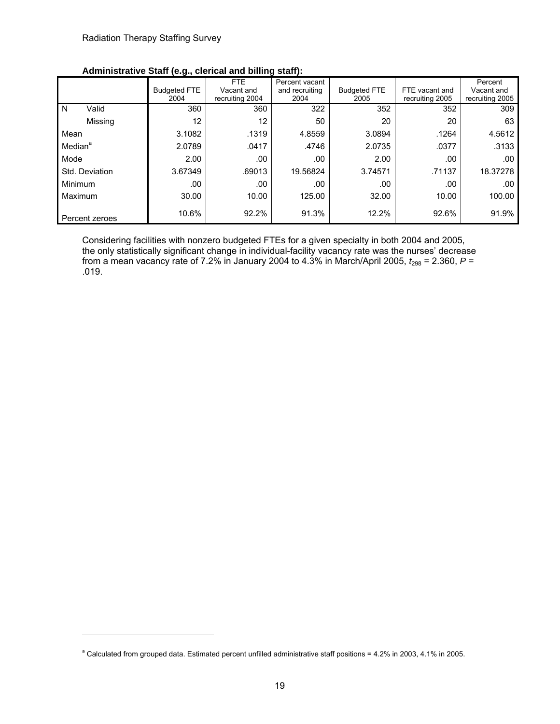l

|                     |                | יישיש ויפישן                | FTE                           | Percent vacant         |                             |                                   | Percent                       |
|---------------------|----------------|-----------------------------|-------------------------------|------------------------|-----------------------------|-----------------------------------|-------------------------------|
|                     |                | <b>Budgeted FTE</b><br>2004 | Vacant and<br>recruiting 2004 | and recruiting<br>2004 | <b>Budgeted FTE</b><br>2005 | FTE vacant and<br>recruiting 2005 | Vacant and<br>recruiting 2005 |
| N                   | Valid          | 360                         | 360                           | 322                    | 352                         | 352                               | 309                           |
|                     | Missing        | 12                          | 12                            | 50                     | 20                          | 20                                | 63                            |
| Mean                |                | 3.1082                      | .1319                         | 4.8559                 | 3.0894                      | .1264                             | 4.5612                        |
| Median <sup>a</sup> |                | 2.0789                      | .0417                         | .4746                  | 2.0735                      | .0377                             | .3133                         |
| Mode                |                | 2.00                        | .00                           | .00                    | 2.00                        | .00                               | .00                           |
|                     | Std. Deviation | 3.67349                     | .69013                        | 19.56824               | 3.74571                     | .71137                            | 18.37278                      |
| Minimum             |                | .00                         | .00                           | .00                    | .00                         | .00                               | .00                           |
| Maximum             |                | 30.00                       | 10.00                         | 125.00                 | 32.00                       | 10.00                             | 100.00                        |
|                     | Percent zeroes | 10.6%                       | 92.2%                         | 91.3%                  | 12.2%                       | 92.6%                             | 91.9%                         |

### **Administrative Staff (e.g., clerical and billing staff):**

Considering facilities with nonzero budgeted FTEs for a given specialty in both 2004 and 2005, the only statistically significant change in individual-facility vacancy rate was the nurses' decrease from a mean vacancy rate of 7.2% in January 2004 to 4.3% in March/April 2005,  $t_{298}$  = 2.360,  $P =$ .019.

<sup>&</sup>lt;sup>a</sup> Calculated from grouped data. Estimated percent unfilled administrative staff positions = 4.2% in 2003, 4.1% in 2005.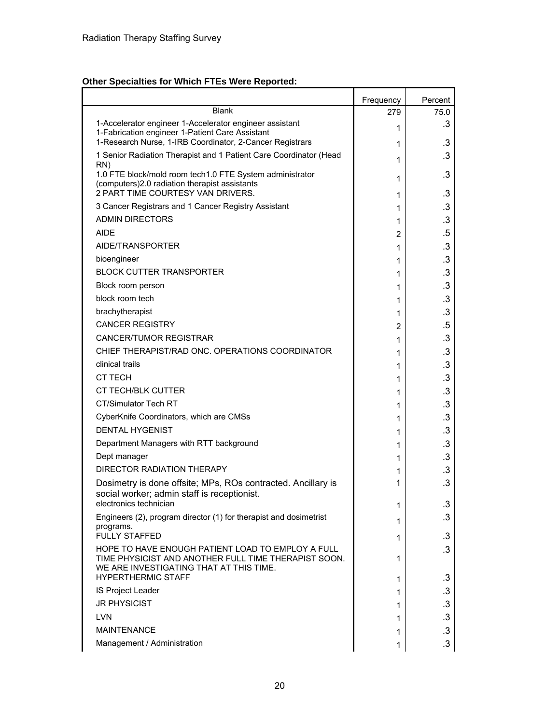# **Other Specialties for Which FTEs Were Reported:**

|                                                                                                                                                                                   | Frequency | Percent         |
|-----------------------------------------------------------------------------------------------------------------------------------------------------------------------------------|-----------|-----------------|
| <b>Blank</b>                                                                                                                                                                      | 279       | 75.0            |
| 1-Accelerator engineer 1-Accelerator engineer assistant<br>1-Fabrication engineer 1-Patient Care Assistant                                                                        | 1         | .3              |
| 1-Research Nurse, 1-IRB Coordinator, 2-Cancer Registrars                                                                                                                          | 1         | .3              |
| 1 Senior Radiation Therapist and 1 Patient Care Coordinator (Head<br>RN)                                                                                                          | 1         | .3              |
| 1.0 FTE block/mold room tech1.0 FTE System administrator<br>(computers)2.0 radiation therapist assistants                                                                         | 1         | $\cdot$ 3       |
| 2 PART TIME COURTESY VAN DRIVERS.                                                                                                                                                 | 1         | .3              |
| 3 Cancer Registrars and 1 Cancer Registry Assistant                                                                                                                               | 1         | .3              |
| <b>ADMIN DIRECTORS</b>                                                                                                                                                            | 1         | $\cdot$ 3       |
| <b>AIDE</b>                                                                                                                                                                       | 2         | .5              |
| AIDE/TRANSPORTER                                                                                                                                                                  | 1         | .3              |
| bioengineer                                                                                                                                                                       | 1         | $\cdot$ 3       |
| <b>BLOCK CUTTER TRANSPORTER</b>                                                                                                                                                   | 1         | $\cdot$ 3       |
| Block room person                                                                                                                                                                 | 1         | $\cdot$ 3       |
| block room tech                                                                                                                                                                   | 1         | $\cdot$ 3       |
| brachytherapist                                                                                                                                                                   | 1         | .3              |
| <b>CANCER REGISTRY</b>                                                                                                                                                            | 2         | .5              |
| <b>CANCER/TUMOR REGISTRAR</b>                                                                                                                                                     | 1         | $\cdot$ 3       |
| CHIEF THERAPIST/RAD ONC. OPERATIONS COORDINATOR                                                                                                                                   | 1         | $\cdot$ 3       |
| clinical trails                                                                                                                                                                   | 1         | $\cdot$ 3       |
| <b>CT TECH</b>                                                                                                                                                                    | 1         | .3              |
| <b>CT TECH/BLK CUTTER</b>                                                                                                                                                         | 1         | $\cdot$ 3       |
| <b>CT/Simulator Tech RT</b>                                                                                                                                                       | 1         | $\cdot$ 3       |
| CyberKnife Coordinators, which are CMSs                                                                                                                                           | 1         | $\cdot$ 3       |
| <b>DENTAL HYGENIST</b>                                                                                                                                                            | 1         | $\cdot$ 3       |
| Department Managers with RTT background                                                                                                                                           | 1         | .3              |
| Dept manager                                                                                                                                                                      | 1         | $\cdot$ 3       |
| DIRECTOR RADIATION THERAPY                                                                                                                                                        | 1         | .3              |
| Dosimetry is done offsite; MPs, ROs contracted. Ancillary is<br>social worker; admin staff is receptionist.                                                                       | 1         | $\cdot$ 3       |
| electronics technician                                                                                                                                                            | 1         | .3              |
| Engineers (2), program director (1) for therapist and dosimetrist<br>programs.                                                                                                    | 1         | $\cdot$ 3       |
| <b>FULLY STAFFED</b>                                                                                                                                                              | 1         | $\cdot$ 3       |
| HOPE TO HAVE ENOUGH PATIENT LOAD TO EMPLOY A FULL<br>TIME PHYSICIST AND ANOTHER FULL TIME THERAPIST SOON.<br>WE ARE INVESTIGATING THAT AT THIS TIME.<br><b>HYPERTHERMIC STAFF</b> | 1         | $\cdot$ 3<br>.3 |
| IS Project Leader                                                                                                                                                                 | 1         |                 |
| <b>JR PHYSICIST</b>                                                                                                                                                               | 1         | .3              |
| <b>LVN</b>                                                                                                                                                                        | 1         | $\cdot$ 3       |
|                                                                                                                                                                                   | 1         | $\cdot$ 3       |
| <b>MAINTENANCE</b>                                                                                                                                                                | 1         | $\cdot$ 3       |
| Management / Administration                                                                                                                                                       | 1         | $\cdot$ 3       |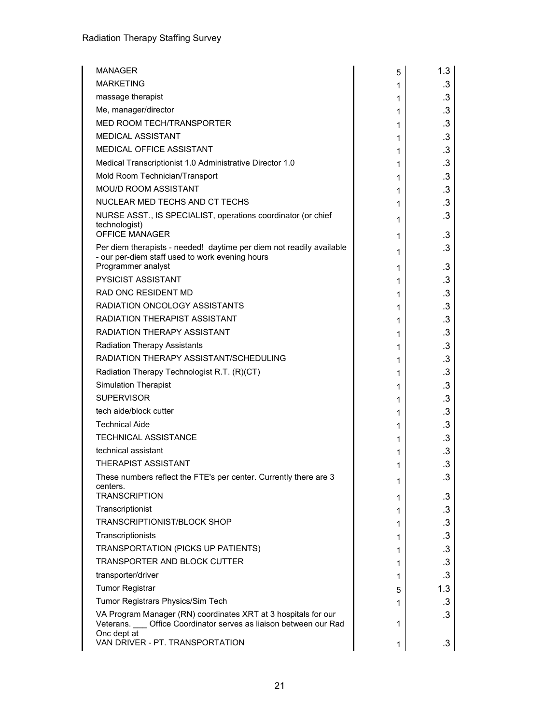| MANAGER                                                                                                                                       | 5      | 1.3          |
|-----------------------------------------------------------------------------------------------------------------------------------------------|--------|--------------|
| <b>MARKETING</b>                                                                                                                              | 1      | $.3\,$       |
| massage therapist                                                                                                                             | 1      | $\cdot$ 3    |
| Me, manager/director                                                                                                                          | 1      | $\cdot$ 3    |
| MED ROOM TECH/TRANSPORTER                                                                                                                     | 1      | $\cdot$ 3    |
| <b>MEDICAL ASSISTANT</b>                                                                                                                      | 1      | $\cdot$ 3    |
| MEDICAL OFFICE ASSISTANT                                                                                                                      | 1      | .3           |
| Medical Transcriptionist 1.0 Administrative Director 1.0                                                                                      | 1      | $\cdot$ 3    |
| Mold Room Technician/Transport                                                                                                                | 1      | .3           |
| <b>MOU/D ROOM ASSISTANT</b>                                                                                                                   | 1      | $\cdot$ 3    |
| NUCLEAR MED TECHS AND CT TECHS                                                                                                                | 1      | .3           |
| NURSE ASST., IS SPECIALIST, operations coordinator (or chief<br>technologist)                                                                 | 1      | .3           |
| <b>OFFICE MANAGER</b>                                                                                                                         | 1      | .3           |
| Per diem therapists - needed! daytime per diem not readily available<br>- our per-diem staff used to work evening hours<br>Programmer analyst | 1      | .3           |
| <b>PYSICIST ASSISTANT</b>                                                                                                                     | 1      | .3           |
| <b>RAD ONC RESIDENT MD</b>                                                                                                                    | 1      | .3<br>$.3\,$ |
| <b>RADIATION ONCOLOGY ASSISTANTS</b>                                                                                                          | 1      | $\cdot$ 3    |
| <b>RADIATION THERAPIST ASSISTANT</b>                                                                                                          | 1      | .3           |
| RADIATION THERAPY ASSISTANT                                                                                                                   | 1      | $\cdot$ 3    |
| <b>Radiation Therapy Assistants</b>                                                                                                           | 1      | .3           |
| RADIATION THERAPY ASSISTANT/SCHEDULING                                                                                                        | 1      | $.3\,$       |
| Radiation Therapy Technologist R.T. (R)(CT)                                                                                                   | 1      | $\cdot$ 3    |
| <b>Simulation Therapist</b>                                                                                                                   | 1<br>1 | .3           |
| <b>SUPERVISOR</b>                                                                                                                             | 1      | $\cdot$ 3    |
| tech aide/block cutter                                                                                                                        | 1      | .3           |
| <b>Technical Aide</b>                                                                                                                         | 1      | $.3\,$       |
| <b>TECHNICAL ASSISTANCE</b>                                                                                                                   | 1      | $\cdot$ 3    |
| technical assistant                                                                                                                           | 1      | $\cdot$ 3    |
| <b>THERAPIST ASSISTANT</b>                                                                                                                    | 1      | $\cdot$ 3    |
| These numbers reflect the FTE's per center. Currently there are 3                                                                             |        | .3           |
| centers.<br><b>TRANSCRIPTION</b>                                                                                                              | 1<br>1 | $\cdot$ 3    |
| Transcriptionist                                                                                                                              | 1      | $.3\,$       |
| <b>TRANSCRIPTIONIST/BLOCK SHOP</b>                                                                                                            | 1      | $.3\,$       |
| Transcriptionists                                                                                                                             | 1      | $\cdot$ 3    |
| TRANSPORTATION (PICKS UP PATIENTS)                                                                                                            | 1      | .3           |
| <b>TRANSPORTER AND BLOCK CUTTER</b>                                                                                                           | 1      | $\cdot$ 3    |
| transporter/driver                                                                                                                            | 1      | $\cdot$ 3    |
| <b>Tumor Registrar</b>                                                                                                                        | 5      | 1.3          |
| Tumor Registrars Physics/Sim Tech                                                                                                             | 1      | .3           |
| VA Program Manager (RN) coordinates XRT at 3 hospitals for our<br>Veterans. __ Office Coordinator serves as liaison between our Rad           | 1      | $\cdot$ 3    |
| Onc dept at<br>VAN DRIVER - PT. TRANSPORTATION                                                                                                | 1      | .3           |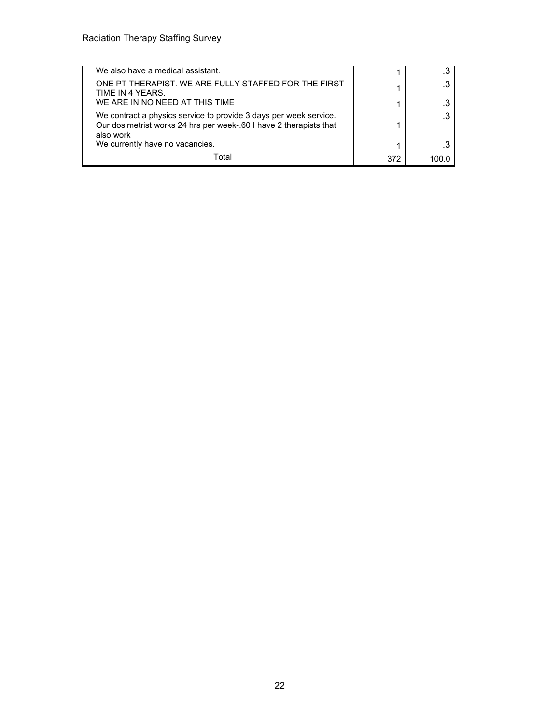| We also have a medical assistant.                                                                                                                    |     | .3 |
|------------------------------------------------------------------------------------------------------------------------------------------------------|-----|----|
| ONE PT THERAPIST. WE ARE FULLY STAFFED FOR THE FIRST<br>TIME IN 4 YEARS.                                                                             |     | .3 |
| WE ARE IN NO NEED AT THIS TIME                                                                                                                       |     | .3 |
| We contract a physics service to provide 3 days per week service.<br>Our dosimetrist works 24 hrs per week-.60 I have 2 therapists that<br>also work |     | .3 |
| We currently have no vacancies.                                                                                                                      |     | .3 |
| Total                                                                                                                                                | 372 |    |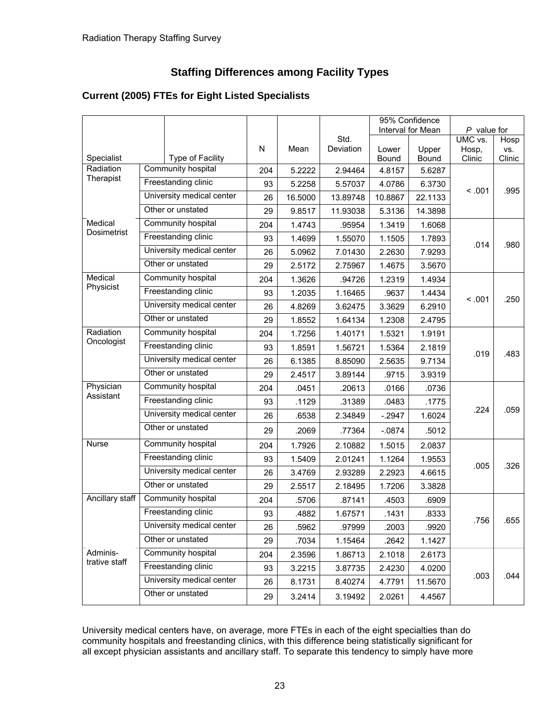# **Staffing Differences among Facility Types**

|                 |                    |                           |     |         |                   |          | 95% Confidence    |                  |             |
|-----------------|--------------------|---------------------------|-----|---------|-------------------|----------|-------------------|------------------|-------------|
|                 |                    |                           |     |         |                   |          | Interval for Mean | $P$ value for    |             |
|                 |                    |                           | N   | Mean    | Std.<br>Deviation | Lower    | Upper             | UMC vs.<br>Hosp, | Hosp<br>VS. |
| Specialist      |                    | Type of Facility          |     |         |                   | Bound    | Bound             | Clinic           | Clinic      |
| Radiation       |                    | Community hospital        | 204 | 5.2222  | 2.94464           | 4.8157   | 5.6287            |                  |             |
| Therapist       |                    | Freestanding clinic       | 93  | 5.2258  | 5.57037           | 4.0786   | 6.3730            |                  |             |
|                 |                    | University medical center | 26  | 16.5000 | 13.89748          | 10.8867  | 22.1133           | < 0.01           | .995        |
|                 |                    | Other or unstated         | 29  | 9.8517  | 11.93038          | 5.3136   | 14.3898           |                  |             |
| Medical         |                    | Community hospital        | 204 | 1.4743  | .95954            | 1.3419   | 1.6068            |                  |             |
| Dosimetrist     |                    | Freestanding clinic       | 93  | 1.4699  | 1.55070           | 1.1505   | 1.7893            |                  |             |
|                 |                    | University medical center | 26  | 5.0962  | 7.01430           | 2.2630   | 7.9293            | .014             | .980        |
|                 |                    | Other or unstated         | 29  | 2.5172  | 2.75967           | 1.4675   | 3.5670            |                  |             |
| Medical         |                    | Community hospital        | 204 | 1.3626  | .94726            | 1.2319   | 1.4934            |                  |             |
| Physicist       |                    | Freestanding clinic       | 93  | 1.2035  | 1.16465           | .9637    | 1.4434            | < 0.01           | .250        |
|                 |                    | University medical center | 26  | 4.8269  | 3.62475           | 3.3629   | 6.2910            |                  |             |
|                 |                    | Other or unstated         | 29  | 1.8552  | 1.64134           | 1.2308   | 2.4795            |                  |             |
| Radiation       | Community hospital |                           | 204 | 1.7256  | 1.40171           | 1.5321   | 1.9191            |                  |             |
| Oncologist      |                    | Freestanding clinic       |     | 1.8591  | 1.56721           | 1.5364   | 2.1819            | .019             | .483        |
|                 |                    | University medical center |     | 6.1385  | 8.85090           | 2.5635   | 9.7134            |                  |             |
|                 |                    | Other or unstated         | 29  | 2.4517  | 3.89144           | .9715    | 3.9319            |                  |             |
| Physician       |                    | Community hospital        | 204 | .0451   | .20613            | .0166    | .0736             |                  |             |
| Assistant       |                    | Freestanding clinic       | 93  | .1129   | .31389            | .0483    | .1775             |                  |             |
|                 |                    | University medical center | 26  | .6538   | 2.34849           | $-2947$  | 1.6024            | .224             | .059        |
|                 |                    | Other or unstated         | 29  | .2069   | .77364            | $-.0874$ | .5012             |                  |             |
| <b>Nurse</b>    |                    | Community hospital        | 204 | 1.7926  | 2.10882           | 1.5015   | 2.0837            |                  |             |
|                 |                    | Freestanding clinic       | 93  | 1.5409  | 2.01241           | 1.1264   | 1.9553            | .005             | .326        |
|                 |                    | University medical center | 26  | 3.4769  | 2.93289           | 2.2923   | 4.6615            |                  |             |
|                 |                    | Other or unstated         | 29  | 2.5517  | 2.18495           | 1.7206   | 3.3828            |                  |             |
| Ancillary staff |                    | Community hospital        | 204 | .5706   | .87141            | .4503    | .6909             |                  |             |
|                 |                    | Freestanding clinic       | 93  | .4882   | 1.67571           | .1431    | .8333             | .756             | .655        |
|                 |                    | University medical center | 26  | .5962   | .97999            | .2003    | .9920             |                  |             |
|                 |                    | Other or unstated         | 29  | .7034   | 1.15464           | .2642    | 1.1427            |                  |             |
| Adminis-        |                    | Community hospital        | 204 | 2.3596  | 1.86713           | 2.1018   | 2.6173            |                  |             |
| trative staff   |                    | Freestanding clinic       | 93  | 3.2215  | 3.87735           | 2.4230   | 4.0200            |                  |             |
|                 |                    | University medical center | 26  | 8.1731  | 8.40274           | 4.7791   | 11.5670           | .003             | .044        |
|                 |                    | Other or unstated         | 29  | 3.2414  | 3.19492           | 2.0261   | 4.4567            |                  |             |

# **Current (2005) FTEs for Eight Listed Specialists**

University medical centers have, on average, more FTEs in each of the eight specialties than do community hospitals and freestanding clinics, with this difference being statistically significant for all except physician assistants and ancillary staff. To separate this tendency to simply have more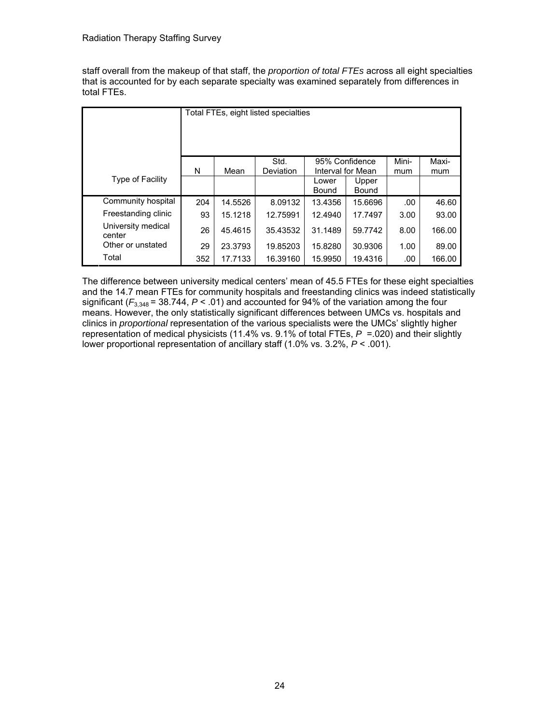staff overall from the makeup of that staff, the *proportion of total FTEs* across all eight specialties that is accounted for by each separate specialty was examined separately from differences in total FTEs.

|                              |     | Total FTEs, eight listed specialties |                   |                                     |                |       |        |  |
|------------------------------|-----|--------------------------------------|-------------------|-------------------------------------|----------------|-------|--------|--|
|                              | N   | Mean                                 | Std.<br>Deviation | 95% Confidence<br>Interval for Mean |                | Mini- | Maxi-  |  |
| <b>Type of Facility</b>      |     |                                      |                   | Lower<br>Bound                      | Upper<br>Bound | mum   | mum    |  |
| Community hospital           | 204 | 14.5526                              | 8.09132           | 13.4356                             | 15.6696        | .00   | 46.60  |  |
| Freestanding clinic          | 93  | 15.1218                              | 12.75991          | 12.4940                             | 17.7497        | 3.00  | 93.00  |  |
| University medical<br>center | 26  | 45.4615                              | 35.43532          | 31.1489                             | 59.7742        | 8.00  | 166.00 |  |
| Other or unstated            | 29  | 23.3793                              | 19.85203          | 15.8280                             | 30.9306        | 1.00  | 89.00  |  |
| Total                        | 352 | 17.7133                              | 16.39160          | 15.9950                             | 19.4316        | .00   | 166.00 |  |

The difference between university medical centers' mean of 45.5 FTEs for these eight specialties and the 14.7 mean FTEs for community hospitals and freestanding clinics was indeed statistically significant  $(F_{3,348} = 38.744, P < .01)$  and accounted for 94% of the variation among the four means. However, the only statistically significant differences between UMCs vs. hospitals and clinics in *proportional* representation of the various specialists were the UMCs' slightly higher representation of medical physicists (11.4% vs. 9.1% of total FTEs, *P* =.020) and their slightly lower proportional representation of ancillary staff (1.0% vs. 3.2%, *P* < .001).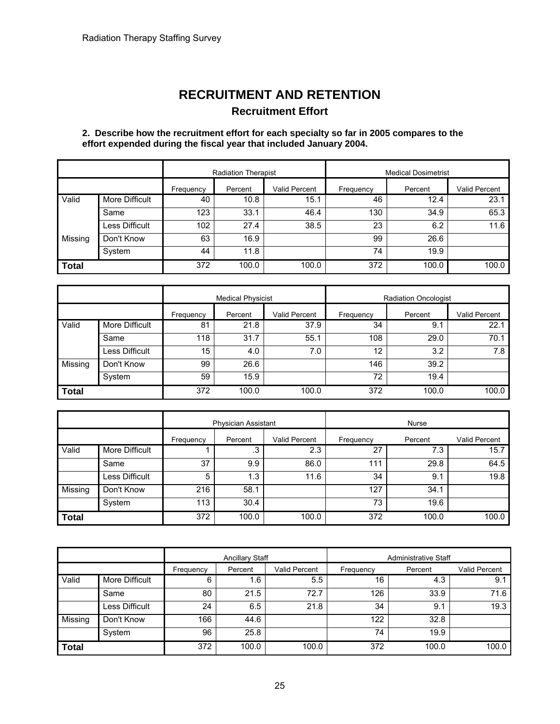# **RECRUITMENT AND RETENTION Recruitment Effort**

#### **2. Describe how the recruitment effort for each specialty so far in 2005 compares to the effort expended during the fiscal year that included January 2004.**

|              |                | <b>Radiation Therapist</b> |         |               | <b>Medical Dosimetrist</b> |         |               |
|--------------|----------------|----------------------------|---------|---------------|----------------------------|---------|---------------|
|              |                | Frequency                  | Percent | Valid Percent | Frequency                  | Percent | Valid Percent |
| Valid        | More Difficult | 40                         | 10.8    | 15.1          | 46                         | 12.4    | 23.1          |
|              | Same           | 123                        | 33.1    | 46.4          | 130                        | 34.9    | 65.3          |
|              | Less Difficult | 102                        | 27.4    | 38.5          | 23                         | 6.2     | 11.6          |
| Missing      | Don't Know     | 63                         | 16.9    |               | 99                         | 26.6    |               |
|              | System         | 44                         | 11.8    |               | 74                         | 19.9    |               |
| <b>Total</b> |                | 372                        | 100.0   | 100.0         | 372                        | 100.0   | 100.0         |

| <b>Medical Physicist</b> |                |           | <b>Radiation Oncologist</b> |               |           |         |               |
|--------------------------|----------------|-----------|-----------------------------|---------------|-----------|---------|---------------|
|                          |                | Frequency | Percent                     | Valid Percent | Frequency | Percent | Valid Percent |
| Valid                    | More Difficult | 81        | 21.8                        | 37.9          | 34        | 9.1     | 22.1          |
|                          | Same           | 118       | 31.7                        | 55.1          | 108       | 29.0    | 70.1          |
|                          | Less Difficult | 15        | 4.0                         | 7.0           | 12        | 3.2     | 7.8           |
| Missing                  | Don't Know     | 99        | 26.6                        |               | 146       | 39.2    |               |
|                          | System         | 59        | 15.9                        |               | 72        | 19.4    |               |
| <b>Total</b>             |                | 372       | 100.0                       | 100.0         | 372       | 100.0   | 100.0         |

|              |                | <b>Physician Assistant</b> |         |               |           | Nurse   |               |
|--------------|----------------|----------------------------|---------|---------------|-----------|---------|---------------|
|              |                | Frequency                  | Percent | Valid Percent | Frequency | Percent | Valid Percent |
| Valid        | More Difficult |                            | .3      | 2.3           | 27        | 7.3     | 15.7          |
|              | Same           | 37                         | 9.9     | 86.0          | 111       | 29.8    | 64.5          |
|              | Less Difficult | 5                          | 1.3     | 11.6          | 34        | 9.1     | 19.8          |
| Missing      | Don't Know     | 216                        | 58.1    |               | 127       | 34.1    |               |
|              | System         | 113                        | 30.4    |               | 73        | 19.6    |               |
| <b>Total</b> |                | 372                        | 100.0   | 100.0         | 372       | 100.0   | 100.0         |

|         |                |           | <b>Ancillary Staff</b> |                      | <b>Administrative Staff</b> |         |               |
|---------|----------------|-----------|------------------------|----------------------|-----------------------------|---------|---------------|
|         |                | Frequency | Percent                | <b>Valid Percent</b> | Frequency                   | Percent | Valid Percent |
| Valid   | More Difficult | 6         | 1.6                    | 5.5                  | 16                          | 4.3     | 9.1           |
|         | Same           | 80        | 21.5                   | 72.7                 | 126                         | 33.9    | 71.6          |
|         | Less Difficult | 24        | 6.5                    | 21.8                 | 34                          | 9.1     | 19.3          |
| Missing | Don't Know     | 166       | 44.6                   |                      | 122                         | 32.8    |               |
|         | System         | 96        | 25.8                   |                      | 74                          | 19.9    |               |
| Total   |                | 372       | 100.0                  | 100.0                | 372                         | 100.0   | 100.0         |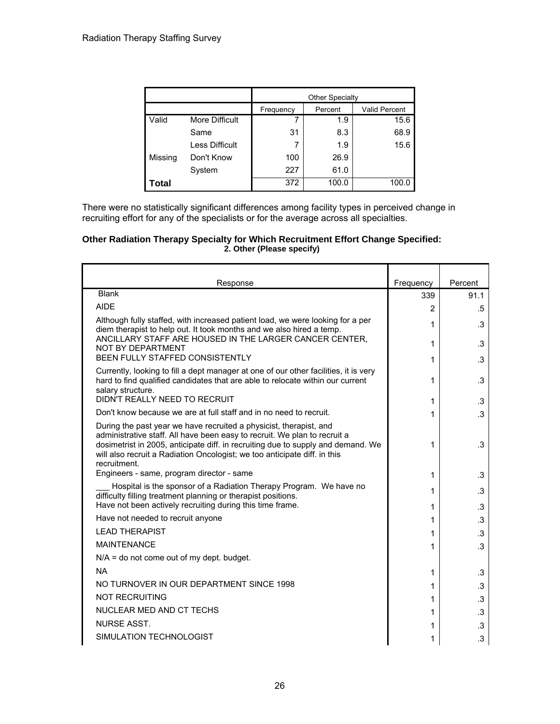|         |                       | <b>Other Specialty</b> |         |                      |  |  |
|---------|-----------------------|------------------------|---------|----------------------|--|--|
|         |                       | Frequency              | Percent | <b>Valid Percent</b> |  |  |
| Valid   | More Difficult        | 7                      | 1.9     | 15.6                 |  |  |
|         | Same                  | 31                     | 8.3     | 68.9                 |  |  |
|         | <b>Less Difficult</b> | 7                      | 1.9     | 15.6                 |  |  |
| Missing | Don't Know            | 100                    | 26.9    |                      |  |  |
|         | System                | 227                    | 61.0    |                      |  |  |
| Total   |                       | 372                    | 100.0   | 100.0                |  |  |

There were no statistically significant differences among facility types in perceived change in recruiting effort for any of the specialists or for the average across all specialties.

#### **Other Radiation Therapy Specialty for Which Recruitment Effort Change Specified: 2. Other (Please specify)**

| Response                                                                                                                                                                                                                                                                                                                         | Frequency | Percent   |
|----------------------------------------------------------------------------------------------------------------------------------------------------------------------------------------------------------------------------------------------------------------------------------------------------------------------------------|-----------|-----------|
| <b>Blank</b>                                                                                                                                                                                                                                                                                                                     | 339       | 91.1      |
| <b>AIDE</b>                                                                                                                                                                                                                                                                                                                      | 2         | .5        |
| Although fully staffed, with increased patient load, we were looking for a per<br>diem therapist to help out. It took months and we also hired a temp.<br>ANCILLARY STAFF ARE HOUSED IN THE LARGER CANCER CENTER.                                                                                                                | 1         | .3        |
| NOT BY DEPARTMENT<br>BEEN FULLY STAFFED CONSISTENTLY                                                                                                                                                                                                                                                                             | 1         | .3        |
|                                                                                                                                                                                                                                                                                                                                  | 1         | .3        |
| Currently, looking to fill a dept manager at one of our other facilities, it is very<br>hard to find qualified candidates that are able to relocate within our current<br>salary structure.                                                                                                                                      | 1         | .3        |
| DIDN'T REALLY NEED TO RECRUIT                                                                                                                                                                                                                                                                                                    | 1         | .3        |
| Don't know because we are at full staff and in no need to recruit.                                                                                                                                                                                                                                                               | 1         | $\cdot$ 3 |
| During the past year we have recruited a physicist, therapist, and<br>administrative staff. All have been easy to recruit. We plan to recruit a<br>dosimetrist in 2005, anticipate diff. in recruiting due to supply and demand. We<br>will also recruit a Radiation Oncologist; we too anticipate diff. in this<br>recruitment. | 1         | .3        |
| Engineers - same, program director - same                                                                                                                                                                                                                                                                                        | 1         | .3        |
| Hospital is the sponsor of a Radiation Therapy Program. We have no<br>difficulty filling treatment planning or therapist positions.<br>Have not been actively recruiting during this time frame.                                                                                                                                 | 1<br>1    | .3<br>.3  |
| Have not needed to recruit anyone                                                                                                                                                                                                                                                                                                | 1         | .3        |
| <b>LEAD THERAPIST</b>                                                                                                                                                                                                                                                                                                            | 1         | .3        |
| <b>MAINTENANCE</b>                                                                                                                                                                                                                                                                                                               |           | .3        |
| $N/A$ = do not come out of my dept. budget.                                                                                                                                                                                                                                                                                      | 1         |           |
| <b>NA</b>                                                                                                                                                                                                                                                                                                                        |           |           |
| NO TURNOVER IN OUR DEPARTMENT SINCE 1998                                                                                                                                                                                                                                                                                         | 1         | .3        |
|                                                                                                                                                                                                                                                                                                                                  | 1         | .3        |
| <b>NOT RECRUITING</b>                                                                                                                                                                                                                                                                                                            | 1         | .3        |
| NUCLEAR MED AND CT TECHS                                                                                                                                                                                                                                                                                                         | 1         | .3        |
| <b>NURSE ASST.</b>                                                                                                                                                                                                                                                                                                               | 1         | .3        |
| SIMULATION TECHNOLOGIST                                                                                                                                                                                                                                                                                                          | 1         | $\cdot$ 3 |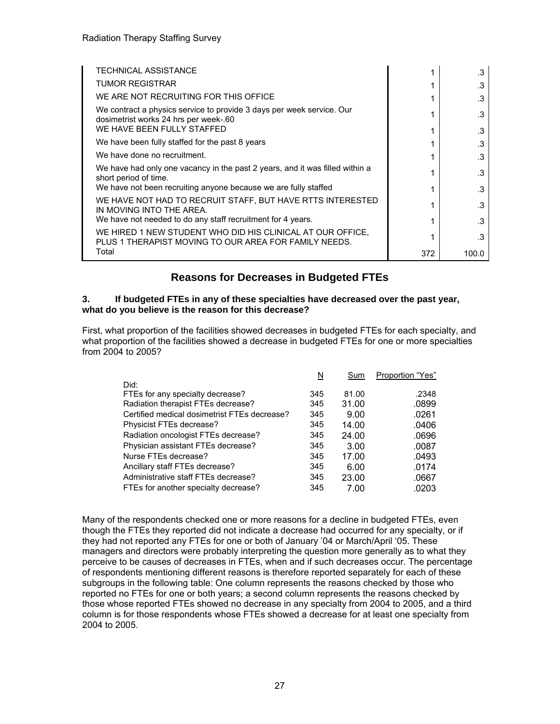| <b>TECHNICAL ASSISTANCE</b>                                                                                                                  |     | .3    |
|----------------------------------------------------------------------------------------------------------------------------------------------|-----|-------|
| <b>TUMOR REGISTRAR</b>                                                                                                                       |     | .3    |
| WE ARE NOT RECRUITING FOR THIS OFFICE                                                                                                        |     | .3    |
| We contract a physics service to provide 3 days per week service. Our<br>dosimetrist works 24 hrs per week-.60<br>WE HAVE BEEN FULLY STAFFED |     | .3    |
|                                                                                                                                              |     | .3    |
| We have been fully staffed for the past 8 years                                                                                              |     | .3    |
| We have done no recruitment.                                                                                                                 |     | .3    |
| We have had only one vacancy in the past 2 years, and it was filled within a<br>short period of time.                                        |     | .3    |
| We have not been recruiting anyone because we are fully staffed                                                                              |     | .3    |
| WE HAVE NOT HAD TO RECRUIT STAFF, BUT HAVE RTTS INTERESTED<br>IN MOVING INTO THE AREA.                                                       |     | .3    |
| We have not needed to do any staff recruitment for 4 years.                                                                                  |     | .3    |
| WE HIRED 1 NEW STUDENT WHO DID HIS CLINICAL AT OUR OFFICE.<br>PLUS 1 THERAPIST MOVING TO OUR AREA FOR FAMILY NEEDS.                          |     | .3    |
| Total                                                                                                                                        | 372 | 100.0 |

# **Reasons for Decreases in Budgeted FTEs**

#### **3. If budgeted FTEs in any of these specialties have decreased over the past year, what do you believe is the reason for this decrease?**

First, what proportion of the facilities showed decreases in budgeted FTEs for each specialty, and what proportion of the facilities showed a decrease in budgeted FTEs for one or more specialties from 2004 to 2005?

|                                              | N   | Sum   | Proportion "Yes" |
|----------------------------------------------|-----|-------|------------------|
| Did:                                         |     |       |                  |
| FTEs for any specialty decrease?             | 345 | 81.00 | .2348            |
| Radiation therapist FTEs decrease?           | 345 | 31.00 | .0899            |
| Certified medical dosimetrist FTEs decrease? | 345 | 9.00  | .0261            |
| Physicist FTEs decrease?                     | 345 | 14.00 | .0406            |
| Radiation oncologist FTEs decrease?          | 345 | 24.00 | .0696            |
| Physician assistant FTEs decrease?           | 345 | 3.00  | .0087            |
| Nurse FTEs decrease?                         | 345 | 17.00 | .0493            |
| Ancillary staff FTEs decrease?               | 345 | 6.00  | .0174            |
| Administrative staff FTEs decrease?          | 345 | 23.00 | .0667            |
| FTEs for another specialty decrease?         | 345 | 7.00  | .0203            |

Many of the respondents checked one or more reasons for a decline in budgeted FTEs, even though the FTEs they reported did not indicate a decrease had occurred for any specialty, or if they had not reported any FTEs for one or both of January '04 or March/April '05. These managers and directors were probably interpreting the question more generally as to what they perceive to be causes of decreases in FTEs, when and if such decreases occur. The percentage of respondents mentioning different reasons is therefore reported separately for each of these subgroups in the following table: One column represents the reasons checked by those who reported no FTEs for one or both years; a second column represents the reasons checked by those whose reported FTEs showed no decrease in any specialty from 2004 to 2005, and a third column is for those respondents whose FTEs showed a decrease for at least one specialty from 2004 to 2005.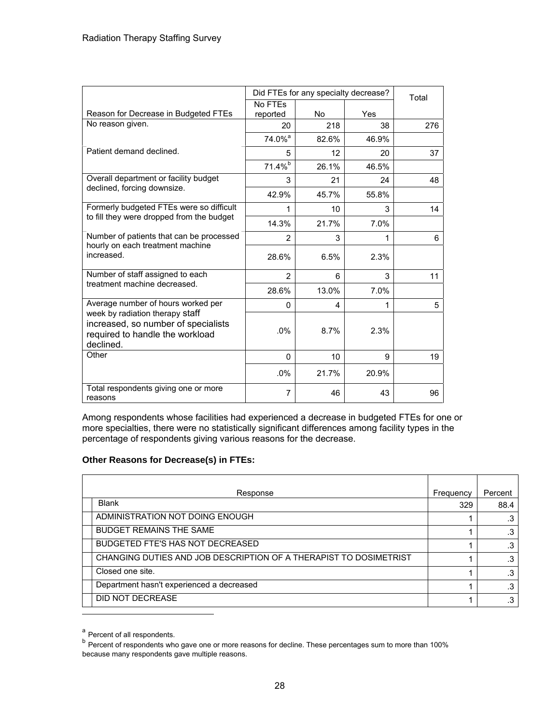|                                                                                                                        |                    | Did FTEs for any specialty decrease? | Total |     |
|------------------------------------------------------------------------------------------------------------------------|--------------------|--------------------------------------|-------|-----|
|                                                                                                                        | No FTEs            |                                      |       |     |
| Reason for Decrease in Budgeted FTEs                                                                                   | reported           | <b>No</b>                            | Yes   |     |
| No reason given.                                                                                                       | 20                 | 218                                  | 38    | 276 |
|                                                                                                                        | 74.0% <sup>a</sup> | 82.6%                                | 46.9% |     |
| Patient demand declined.                                                                                               | 5                  | 12                                   | 20    | 37  |
|                                                                                                                        | $71.4\%$           | 26.1%                                | 46.5% |     |
| Overall department or facility budget                                                                                  | 3                  | 21                                   | 24    | 48  |
| declined, forcing downsize.                                                                                            | 42.9%              | 45.7%                                | 55.8% |     |
| Formerly budgeted FTEs were so difficult                                                                               | 1                  | 10                                   | 3     | 14  |
| to fill they were dropped from the budget                                                                              | 14.3%              | 21.7%                                | 7.0%  |     |
| Number of patients that can be processed                                                                               | $\overline{2}$     | 3                                    | 1     | 6   |
| hourly on each treatment machine<br>increased.                                                                         | 28.6%              | 6.5%                                 | 2.3%  |     |
| Number of staff assigned to each                                                                                       | $\overline{2}$     | 6                                    | 3     | 11  |
| treatment machine decreased.                                                                                           | 28.6%              | 13.0%                                | 7.0%  |     |
| Average number of hours worked per                                                                                     | $\Omega$           | 4                                    | 1     | 5   |
| week by radiation therapy staff<br>increased, so number of specialists<br>required to handle the workload<br>declined. | .0%                | 8.7%                                 | 2.3%  |     |
| Other                                                                                                                  | 0                  | 10                                   | 9     | 19  |
|                                                                                                                        | .0%                | 21.7%                                | 20.9% |     |
| Total respondents giving one or more<br>reasons                                                                        | 7                  | 46                                   | 43    | 96  |

Among respondents whose facilities had experienced a decrease in budgeted FTEs for one or more specialties, there were no statistically significant differences among facility types in the percentage of respondents giving various reasons for the decrease.

#### **Other Reasons for Decrease(s) in FTEs:**

| Response                                                          | Frequency | Percent |
|-------------------------------------------------------------------|-----------|---------|
| <b>Blank</b>                                                      | 329       | 88.4    |
| ADMINISTRATION NOT DOING ENOUGH                                   |           |         |
| <b>BUDGET REMAINS THE SAME</b>                                    |           | .3      |
| <b>BUDGETED FTE'S HAS NOT DECREASED</b>                           |           | .3      |
| CHANGING DUTIES AND JOB DESCRIPTION OF A THERAPIST TO DOSIMETRIST |           | .3      |
| Closed one site.                                                  |           | .3      |
| Department hasn't experienced a decreased                         |           | ົ       |
| DID NOT DECREASE                                                  |           | .3      |

a Percent of all respondents.

b Percent of respondents who gave one or more reasons for decline. These percentages sum to more than 100% because many respondents gave multiple reasons.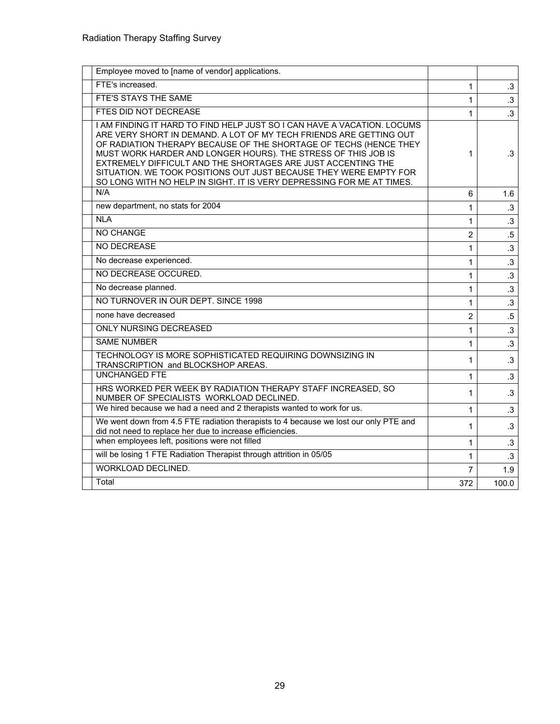| Employee moved to [name of vendor] applications.                                                                                                                                                                                                                                                                                                                                                                                                                                                  |                |           |
|---------------------------------------------------------------------------------------------------------------------------------------------------------------------------------------------------------------------------------------------------------------------------------------------------------------------------------------------------------------------------------------------------------------------------------------------------------------------------------------------------|----------------|-----------|
| FTE's increased.                                                                                                                                                                                                                                                                                                                                                                                                                                                                                  | 1              | $\cdot$ 3 |
| FTE'S STAYS THE SAME                                                                                                                                                                                                                                                                                                                                                                                                                                                                              | 1              | $\cdot$ 3 |
| FTES DID NOT DECREASE                                                                                                                                                                                                                                                                                                                                                                                                                                                                             | 1              | $\cdot$ 3 |
| I AM FINDING IT HARD TO FIND HELP JUST SO I CAN HAVE A VACATION. LOCUMS<br>ARE VERY SHORT IN DEMAND. A LOT OF MY TECH FRIENDS ARE GETTING OUT<br>OF RADIATION THERAPY BECAUSE OF THE SHORTAGE OF TECHS (HENCE THEY<br>MUST WORK HARDER AND LONGER HOURS). THE STRESS OF THIS JOB IS<br>EXTREMELY DIFFICULT AND THE SHORTAGES ARE JUST ACCENTING THE<br>SITUATION. WE TOOK POSITIONS OUT JUST BECAUSE THEY WERE EMPTY FOR<br>SO LONG WITH NO HELP IN SIGHT. IT IS VERY DEPRESSING FOR ME AT TIMES. | 1              | .3        |
| N/A                                                                                                                                                                                                                                                                                                                                                                                                                                                                                               | 6              | 1.6       |
| new department, no stats for 2004                                                                                                                                                                                                                                                                                                                                                                                                                                                                 | 1              | $\cdot$ 3 |
| <b>NLA</b>                                                                                                                                                                                                                                                                                                                                                                                                                                                                                        | 1              | $\cdot$ 3 |
| NO CHANGE                                                                                                                                                                                                                                                                                                                                                                                                                                                                                         | 2              | $.5\,$    |
| NO DECREASE                                                                                                                                                                                                                                                                                                                                                                                                                                                                                       | 1              | $\cdot$ 3 |
| No decrease experienced.                                                                                                                                                                                                                                                                                                                                                                                                                                                                          | 1              | $\cdot$ 3 |
| NO DECREASE OCCURED.                                                                                                                                                                                                                                                                                                                                                                                                                                                                              | 1              | $\cdot$ 3 |
| No decrease planned.                                                                                                                                                                                                                                                                                                                                                                                                                                                                              | 1              | $\cdot$ 3 |
| NO TURNOVER IN OUR DEPT. SINCE 1998                                                                                                                                                                                                                                                                                                                                                                                                                                                               | $\mathbf{1}$   | $\cdot$ 3 |
| none have decreased                                                                                                                                                                                                                                                                                                                                                                                                                                                                               | $\overline{2}$ | $.5\,$    |
| <b>ONLY NURSING DECREASED</b>                                                                                                                                                                                                                                                                                                                                                                                                                                                                     | $\mathbf{1}$   | $\cdot$ 3 |
| <b>SAME NUMBER</b>                                                                                                                                                                                                                                                                                                                                                                                                                                                                                | 1              | $\cdot$ 3 |
| TECHNOLOGY IS MORE SOPHISTICATED REQUIRING DOWNSIZING IN<br>TRANSCRIPTION and BLOCKSHOP AREAS.                                                                                                                                                                                                                                                                                                                                                                                                    | 1              | $.3\,$    |
| <b>UNCHANGED FTE</b>                                                                                                                                                                                                                                                                                                                                                                                                                                                                              | $\mathbf{1}$   | $\cdot$ 3 |
| HRS WORKED PER WEEK BY RADIATION THERAPY STAFF INCREASED, SO<br>NUMBER OF SPECIALISTS WORKLOAD DECLINED.                                                                                                                                                                                                                                                                                                                                                                                          | 1              | $\cdot$ 3 |
| We hired because we had a need and 2 therapists wanted to work for us.                                                                                                                                                                                                                                                                                                                                                                                                                            | 1              | $\cdot$ 3 |
| We went down from 4.5 FTE radiation therapists to 4 because we lost our only PTE and<br>did not need to replace her due to increase efficiencies.                                                                                                                                                                                                                                                                                                                                                 | 1              | $.3\,$    |
| when employees left, positions were not filled                                                                                                                                                                                                                                                                                                                                                                                                                                                    | 1              | .3        |
| will be losing 1 FTE Radiation Therapist through attrition in 05/05                                                                                                                                                                                                                                                                                                                                                                                                                               | $\mathbf{1}$   | $\cdot$ 3 |
| <b>WORKLOAD DECLINED.</b>                                                                                                                                                                                                                                                                                                                                                                                                                                                                         | 7              | 1.9       |
| Total                                                                                                                                                                                                                                                                                                                                                                                                                                                                                             | 372            | 100.0     |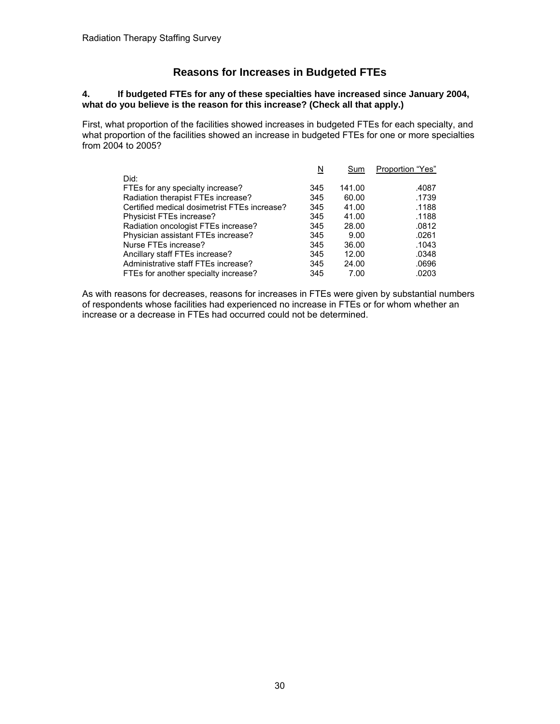# **Reasons for Increases in Budgeted FTEs**

#### **4. If budgeted FTEs for any of these specialties have increased since January 2004, what do you believe is the reason for this increase? (Check all that apply.)**

First, what proportion of the facilities showed increases in budgeted FTEs for each specialty, and what proportion of the facilities showed an increase in budgeted FTEs for one or more specialties from 2004 to 2005?

|                                              | N   | Sum    | Proportion "Yes" |
|----------------------------------------------|-----|--------|------------------|
| Did:                                         |     |        |                  |
| FTEs for any specialty increase?             | 345 | 141.00 | .4087            |
| Radiation therapist FTEs increase?           | 345 | 60.00  | .1739            |
| Certified medical dosimetrist FTEs increase? | 345 | 41.00  | .1188            |
| Physicist FTEs increase?                     | 345 | 41.00  | .1188            |
| Radiation oncologist FTEs increase?          | 345 | 28.00  | .0812            |
| Physician assistant FTEs increase?           | 345 | 9.00   | .0261            |
| Nurse FTEs increase?                         | 345 | 36.00  | .1043            |
| Ancillary staff FTEs increase?               | 345 | 12.00  | .0348            |
| Administrative staff FTEs increase?          | 345 | 24.00  | .0696            |
| FTEs for another specialty increase?         | 345 | 7.00   | .0203            |

As with reasons for decreases, reasons for increases in FTEs were given by substantial numbers of respondents whose facilities had experienced no increase in FTEs or for whom whether an increase or a decrease in FTEs had occurred could not be determined.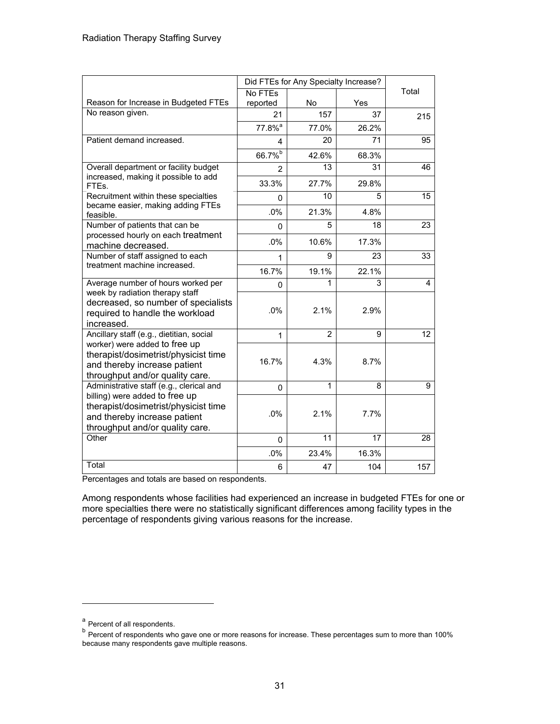|                                                                                                                                           |                    | Did FTEs for Any Specialty Increase? |       |       |
|-------------------------------------------------------------------------------------------------------------------------------------------|--------------------|--------------------------------------|-------|-------|
|                                                                                                                                           | No FTEs            |                                      |       | Total |
| Reason for Increase in Budgeted FTEs                                                                                                      | reported           | <b>No</b>                            | Yes   |       |
| No reason given.                                                                                                                          | 21                 | 157                                  | 37    | 215   |
|                                                                                                                                           | 77.8% <sup>a</sup> | 77.0%                                | 26.2% |       |
| Patient demand increased.                                                                                                                 | 4                  | 20                                   | 71    | 95    |
|                                                                                                                                           | 66.7%b             | 42.6%                                | 68.3% |       |
| Overall department or facility budget                                                                                                     | 2                  | 13                                   | 31    | 46    |
| increased, making it possible to add<br>FTEs.                                                                                             | 33.3%              | 27.7%                                | 29.8% |       |
| Recruitment within these specialties                                                                                                      | 0                  | 10                                   | 5     | 15    |
| became easier, making adding FTEs<br>feasible.                                                                                            | .0%                | 21.3%                                | 4.8%  |       |
| Number of patients that can be                                                                                                            | $\Omega$           | 5                                    | 18    | 23    |
| processed hourly on each treatment<br>machine decreased.                                                                                  | .0%                | 10.6%                                | 17.3% |       |
| Number of staff assigned to each                                                                                                          | 1                  | 9                                    | 23    | 33    |
| treatment machine increased.                                                                                                              | 16.7%              | 19.1%                                | 22.1% |       |
| Average number of hours worked per                                                                                                        | 0                  | 1                                    | 3     | 4     |
| week by radiation therapy staff<br>decreased, so number of specialists<br>required to handle the workload<br>increased.                   | .0%                | 2.1%                                 | 2.9%  |       |
| Ancillary staff (e.g., dietitian, social                                                                                                  | 1                  | $\overline{2}$                       | 9     | 12    |
| worker) were added to free up<br>therapist/dosimetrist/physicist time<br>and thereby increase patient<br>throughput and/or quality care.  | 16.7%              | 4.3%                                 | 8.7%  |       |
| Administrative staff (e.g., clerical and                                                                                                  | $\Omega$           | 1                                    | 8     | 9     |
| billing) were added to free up<br>therapist/dosimetrist/physicist time<br>and thereby increase patient<br>throughput and/or quality care. | .0%                | 2.1%                                 | 7.7%  |       |
| Other                                                                                                                                     | $\Omega$           | 11                                   | 17    | 28    |
|                                                                                                                                           | .0%                | 23.4%                                | 16.3% |       |
| Total                                                                                                                                     | 6                  | 47                                   | 104   | 157   |

Percentages and totals are based on respondents.

Among respondents whose facilities had experienced an increase in budgeted FTEs for one or more specialties there were no statistically significant differences among facility types in the percentage of respondents giving various reasons for the increase.

a<br>Percent of all respondents.

<sup>&</sup>lt;sup>b</sup> Percent of respondents who gave one or more reasons for increase. These percentages sum to more than 100% because many respondents gave multiple reasons.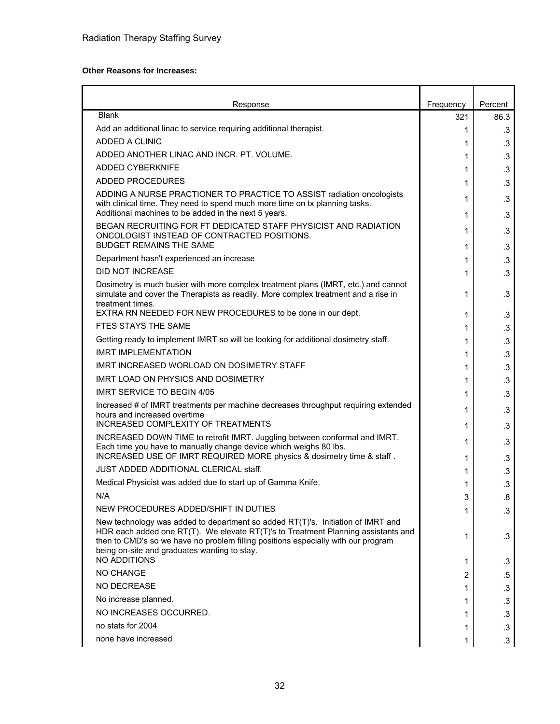#### **Other Reasons for Increases:**

| Response                                                                                                                                                                                                                                                                                                  | Frequency | Percent   |
|-----------------------------------------------------------------------------------------------------------------------------------------------------------------------------------------------------------------------------------------------------------------------------------------------------------|-----------|-----------|
| <b>Blank</b>                                                                                                                                                                                                                                                                                              | 321       | 86.3      |
| Add an additional linac to service requiring additional therapist.                                                                                                                                                                                                                                        | 1         | .3        |
| ADDED A CLINIC                                                                                                                                                                                                                                                                                            | 1         | .3        |
| ADDED ANOTHER LINAC AND INCR. PT. VOLUME.                                                                                                                                                                                                                                                                 | 1         | .3        |
| <b>ADDED CYBERKNIFE</b>                                                                                                                                                                                                                                                                                   | 1         | .3        |
| <b>ADDED PROCEDURES</b>                                                                                                                                                                                                                                                                                   | 1         | .3        |
| ADDING A NURSE PRACTIONER TO PRACTICE TO ASSIST radiation oncologists<br>with clinical time. They need to spend much more time on tx planning tasks.<br>Additional machines to be added in the next 5 years.                                                                                              | 1<br>1    | .3<br>.3  |
| BEGAN RECRUITING FOR FT DEDICATED STAFF PHYSICIST AND RADIATION<br>ONCOLOGIST INSTEAD OF CONTRACTED POSITIONS.                                                                                                                                                                                            | 1         | .3        |
| <b>BUDGET REMAINS THE SAME</b>                                                                                                                                                                                                                                                                            | 1         | .3        |
| Department hasn't experienced an increase                                                                                                                                                                                                                                                                 | 1         | .3        |
| <b>DID NOT INCREASE</b>                                                                                                                                                                                                                                                                                   | 1         | .3        |
| Dosimetry is much busier with more complex treatment plans (IMRT, etc.) and cannot<br>simulate and cover the Therapists as readily. More complex treatment and a rise in<br>treatment times.                                                                                                              | 1         | .3        |
| EXTRA RN NEEDED FOR NEW PROCEDURES to be done in our dept.                                                                                                                                                                                                                                                | 1         | .3        |
| FTES STAYS THE SAME                                                                                                                                                                                                                                                                                       | 1         | .3        |
| Getting ready to implement IMRT so will be looking for additional dosimetry staff.                                                                                                                                                                                                                        | 1         | .3        |
| <b>IMRT IMPLEMENTATION</b>                                                                                                                                                                                                                                                                                | 1         | .3        |
| IMRT INCREASED WORLOAD ON DOSIMETRY STAFF                                                                                                                                                                                                                                                                 | 1         | .3        |
| <b>IMRT LOAD ON PHYSICS AND DOSIMETRY</b>                                                                                                                                                                                                                                                                 | 1         | .3        |
| <b>IMRT SERVICE TO BEGIN 4/05</b>                                                                                                                                                                                                                                                                         | 1         | .3        |
| Increased # of IMRT treatments per machine decreases throughput requiring extended<br>hours and increased overtime<br>INCREASED COMPLEXITY OF TREATMENTS                                                                                                                                                  | 1         | .3        |
| INCREASED DOWN TIME to retrofit IMRT. Juggling between conformal and IMRT.                                                                                                                                                                                                                                | 1         | .3        |
| Each time you have to manually change device which weighs 80 lbs.<br>INCREASED USE OF IMRT REQUIRED MORE physics & dosimetry time & staff.                                                                                                                                                                | 1<br>1    | .3<br>.3  |
| JUST ADDED ADDITIONAL CLERICAL staff.                                                                                                                                                                                                                                                                     | 1         | .3        |
| Medical Physicist was added due to start up of Gamma Knife.                                                                                                                                                                                                                                               | 1         | .3        |
| N/A                                                                                                                                                                                                                                                                                                       | 3         | .8        |
| NEW PROCEDURES ADDED/SHIFT IN DUTIES                                                                                                                                                                                                                                                                      | 1         | .3        |
| New technology was added to department so added RT(T)'s. Initiation of IMRT and<br>HDR each added one RT(T). We elevate RT(T)'s to Treatment Planning assistants and<br>then to CMD's so we have no problem filling positions especially with our program<br>being on-site and graduates wanting to stay. | 1         | .3        |
| <b>NO ADDITIONS</b>                                                                                                                                                                                                                                                                                       | 1         | .3        |
| NO CHANGE                                                                                                                                                                                                                                                                                                 | 2         | .5        |
| <b>NO DECREASE</b>                                                                                                                                                                                                                                                                                        | 1         | .3        |
| No increase planned.                                                                                                                                                                                                                                                                                      | 1         | .3        |
| NO INCREASES OCCURRED.                                                                                                                                                                                                                                                                                    | 1         | $\cdot$ 3 |
| no stats for 2004                                                                                                                                                                                                                                                                                         | 1         | $\cdot$ 3 |
| none have increased                                                                                                                                                                                                                                                                                       | 1         | $\cdot$ 3 |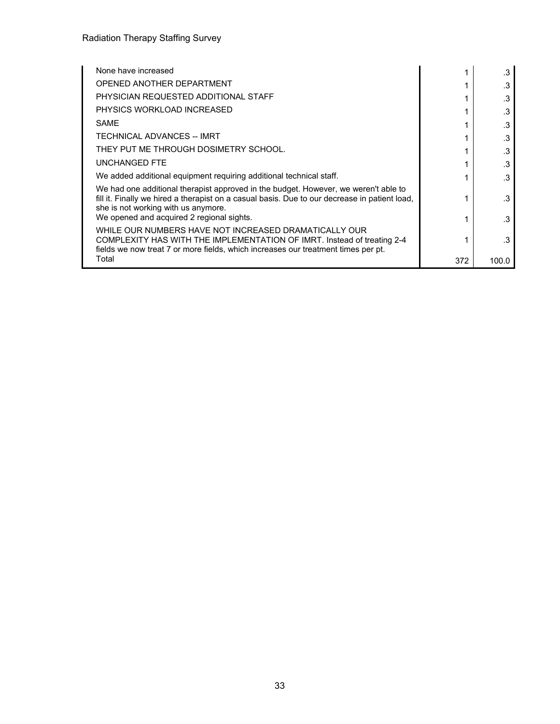| None have increased                                                                                                                                                                                                                                                      |     | .3    |
|--------------------------------------------------------------------------------------------------------------------------------------------------------------------------------------------------------------------------------------------------------------------------|-----|-------|
| OPENED ANOTHER DEPARTMENT                                                                                                                                                                                                                                                |     | .3    |
| PHYSICIAN REQUESTED ADDITIONAL STAFF                                                                                                                                                                                                                                     |     | .3    |
| PHYSICS WORKLOAD INCREASED                                                                                                                                                                                                                                               |     | .3    |
| SAME                                                                                                                                                                                                                                                                     |     | .3    |
| TECHNICAL ADVANCES -- IMRT                                                                                                                                                                                                                                               | 1   | .3    |
| THEY PUT ME THROUGH DOSIMETRY SCHOOL.                                                                                                                                                                                                                                    |     | .3    |
| <b>UNCHANGED FTE</b>                                                                                                                                                                                                                                                     |     | .3    |
| We added additional equipment requiring additional technical staff.                                                                                                                                                                                                      |     | .3    |
| We had one additional therapist approved in the budget. However, we weren't able to<br>fill it. Finally we hired a therapist on a casual basis. Due to our decrease in patient load,<br>she is not working with us anymore.<br>We opened and acquired 2 regional sights. |     | .3    |
| WHILE OUR NUMBERS HAVE NOT INCREASED DRAMATICALLY OUR                                                                                                                                                                                                                    |     | .3    |
| COMPLEXITY HAS WITH THE IMPLEMENTATION OF IMRT. Instead of treating 2-4<br>fields we now treat 7 or more fields, which increases our treatment times per pt.                                                                                                             |     | 3     |
| Total                                                                                                                                                                                                                                                                    | 372 | 100.0 |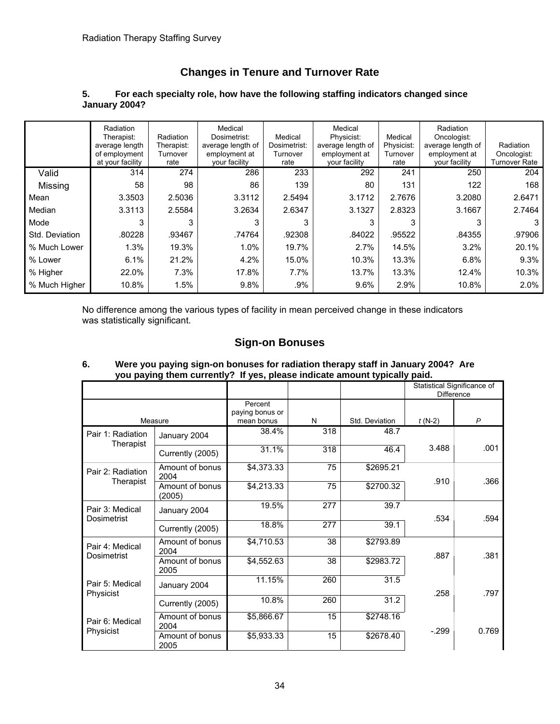# **Changes in Tenure and Turnover Rate**

#### **5. For each specialty role, how have the following staffing indicators changed since January 2004?**

|                | Radiation<br>Therapist:<br>average length<br>of employment<br>at your facility | Radiation<br>Therapist:<br>Turnover<br>rate | Medical<br>Dosimetrist:<br>average length of<br>employment at<br>your facility | Medical<br>Dosimetrist:<br>Turnover<br>rate | Medical<br>Physicist:<br>average length of<br>employment at<br>your facility | Medical<br>Physicist:<br>Turnover<br>rate | Radiation<br>Oncologist:<br>average length of<br>employment at<br>your facility | Radiation<br>Oncologist:<br><b>Turnover Rate</b> |
|----------------|--------------------------------------------------------------------------------|---------------------------------------------|--------------------------------------------------------------------------------|---------------------------------------------|------------------------------------------------------------------------------|-------------------------------------------|---------------------------------------------------------------------------------|--------------------------------------------------|
| Valid          | 314                                                                            | 274                                         | 286                                                                            | 233                                         | 292                                                                          | 241                                       | 250                                                                             | 204                                              |
| Missing        | 58                                                                             | 98                                          | 86                                                                             | 139                                         | 80                                                                           | 131                                       | 122                                                                             | 168                                              |
| Mean           | 3.3503                                                                         | 2.5036                                      | 3.3112                                                                         | 2.5494                                      | 3.1712                                                                       | 2.7676                                    | 3.2080                                                                          | 2.6471                                           |
| Median         | 3.3113                                                                         | 2.5584                                      | 3.2634                                                                         | 2.6347                                      | 3.1327                                                                       | 2.8323                                    | 3.1667                                                                          | 2.7464                                           |
| Mode           | 3                                                                              | 3                                           | 3                                                                              | 3                                           | 3                                                                            | 3                                         | 3                                                                               | 3                                                |
| Std. Deviation | .80228                                                                         | .93467                                      | .74764                                                                         | .92308                                      | .84022                                                                       | .95522                                    | .84355                                                                          | .97906                                           |
| % Much Lower   | 1.3%                                                                           | 19.3%                                       | 1.0%                                                                           | 19.7%                                       | 2.7%                                                                         | 14.5%                                     | 3.2%                                                                            | 20.1%                                            |
| % Lower        | 6.1%                                                                           | 21.2%                                       | 4.2%                                                                           | 15.0%                                       | 10.3%                                                                        | 13.3%                                     | 6.8%                                                                            | 9.3%                                             |
| % Higher       | 22.0%                                                                          | 7.3%                                        | 17.8%                                                                          | $7.7\%$                                     | 13.7%                                                                        | 13.3%                                     | 12.4%                                                                           | 10.3%                                            |
| % Much Higher  | 10.8%                                                                          | 1.5%                                        | 9.8%                                                                           | .9%                                         | 9.6%                                                                         | 2.9%                                      | 10.8%                                                                           | 2.0%                                             |

No difference among the various types of facility in mean perceived change in these indicators was statistically significant.

# **Sign-on Bonuses**

|                                |                           |                                          |     |                | Statistical Significance of<br>Difference |              |
|--------------------------------|---------------------------|------------------------------------------|-----|----------------|-------------------------------------------|--------------|
| Measure                        |                           | Percent<br>paying bonus or<br>mean bonus | N   | Std. Deviation | $t(N-2)$                                  | $\mathsf{P}$ |
| Pair 1: Radiation              | January 2004              | 38.4%                                    | 318 | 48.7           |                                           |              |
| Therapist                      | Currently (2005)          | 31.1%                                    | 318 | 46.4           | 3.488                                     | .001         |
| Pair 2: Radiation              | Amount of bonus<br>2004   | \$4,373.33                               | 75  | \$2695.21      | .910                                      | .366         |
| Therapist                      | Amount of bonus<br>(2005) | \$4,213.33                               | 75  | \$2700.32      |                                           |              |
| Pair 3: Medical<br>Dosimetrist | January 2004              | 19.5%                                    | 277 | 39.7           | .534                                      | .594         |
|                                | Currently (2005)          | 18.8%                                    | 277 | 39.1           |                                           |              |
| Pair 4: Medical                | Amount of bonus<br>2004   | \$4,710.53                               | 38  | \$2793.89      | .887                                      | .381         |
| <b>Dosimetrist</b>             | Amount of bonus<br>2005   | \$4,552.63                               | 38  | \$2983.72      |                                           |              |
| Pair 5: Medical                | January 2004              | 11.15%                                   | 260 | 31.5           | .258                                      |              |
| Physicist                      | Currently (2005)          | 10.8%                                    | 260 | 31.2           |                                           | .797         |
| Pair 6: Medical                | Amount of bonus<br>2004   | \$5,866.67                               | 15  | \$2748.16      |                                           |              |
| Physicist                      | Amount of bonus<br>2005   | \$5,933.33                               | 15  | \$2678.40      | $-299$                                    | 0.769        |

#### **6. Were you paying sign-on bonuses for radiation therapy staff in January 2004? Are you paying them currently? If yes, please indicate amount typically paid.**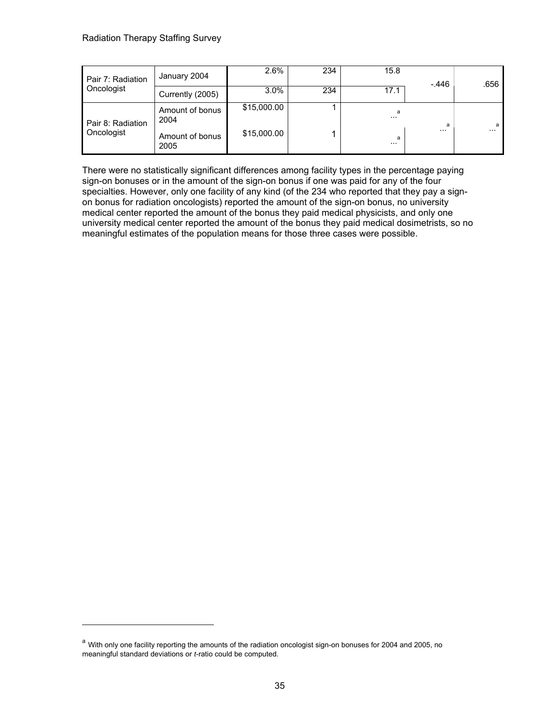| Pair 7: Radiation<br>Oncologist | January 2004            | 2.6%        | 234 | 15.8          | $-.446$  | .656     |
|---------------------------------|-------------------------|-------------|-----|---------------|----------|----------|
|                                 | Currently (2005)        | 3.0%        | 234 | 17.1          |          |          |
| Pair 8: Radiation<br>Oncologist | Amount of bonus<br>2004 | \$15,000.00 |     | a<br>$\cdots$ | a        | a        |
|                                 | Amount of bonus<br>2005 | \$15,000.00 |     | a<br>$\cdots$ | $\cdots$ | $\cdots$ |

There were no statistically significant differences among facility types in the percentage paying sign-on bonuses or in the amount of the sign-on bonus if one was paid for any of the four specialties. However, only one facility of any kind (of the 234 who reported that they pay a signon bonus for radiation oncologists) reported the amount of the sign-on bonus, no university medical center reported the amount of the bonus they paid medical physicists, and only one university medical center reported the amount of the bonus they paid medical dosimetrists, so no meaningful estimates of the population means for those three cases were possible.

a With only one facility reporting the amounts of the radiation oncologist sign-on bonuses for 2004 and 2005, no meaningful standard deviations or *t*-ratio could be computed.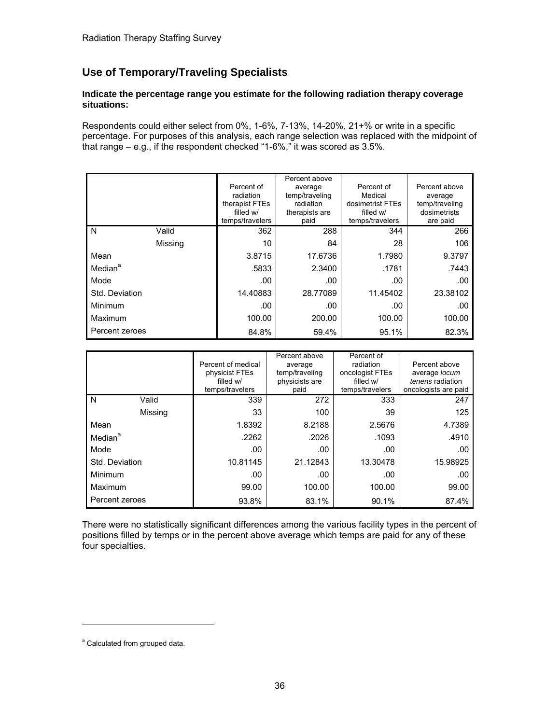# **Use of Temporary/Traveling Specialists**

#### **Indicate the percentage range you estimate for the following radiation therapy coverage situations:**

Respondents could either select from 0%, 1-6%, 7-13%, 14-20%, 21+% or write in a specific percentage. For purposes of this analysis, each range selection was replaced with the midpoint of that range – e.g., if the respondent checked "1-6%," it was scored as 3.5%.

|                     |         | Percent of<br>radiation<br>therapist FTEs<br>filled w/<br>temps/travelers | Percent above<br>average<br>temp/traveling<br>radiation<br>therapists are<br>paid | Percent of<br>Medical<br>dosimetrist FTEs<br>filled w/<br>temps/travelers | Percent above<br>average<br>temp/traveling<br>dosimetrists<br>are paid |
|---------------------|---------|---------------------------------------------------------------------------|-----------------------------------------------------------------------------------|---------------------------------------------------------------------------|------------------------------------------------------------------------|
| N                   | Valid   | 362                                                                       | 288                                                                               | 344                                                                       | 266                                                                    |
|                     | Missing | 10                                                                        | 84                                                                                | 28                                                                        | 106                                                                    |
| Mean                |         | 3.8715                                                                    | 17.6736                                                                           | 1.7980                                                                    | 9.3797                                                                 |
| Median <sup>a</sup> |         | .5833                                                                     | 2.3400                                                                            | .1781                                                                     | .7443                                                                  |
| Mode                |         | .00                                                                       | .00                                                                               | .00                                                                       | .00                                                                    |
| Std. Deviation      |         | 14.40883                                                                  | 28.77089                                                                          | 11.45402                                                                  | 23.38102                                                               |
| Minimum             |         | .00                                                                       | .00                                                                               | .00                                                                       | .00                                                                    |
| Maximum             |         | 100.00                                                                    | 200.00                                                                            | 100.00                                                                    | 100.00                                                                 |
| Percent zeroes      |         | 84.8%                                                                     | 59.4%                                                                             | 95.1%                                                                     | 82.3%                                                                  |

|                     |         | Percent of medical<br>physicist FTEs<br>filled w/<br>temps/travelers | Percent above<br>average<br>temp/traveling<br>physicists are<br>paid | Percent of<br>radiation<br>oncologist FTEs<br>filled w/<br>temps/travelers | Percent above<br>average locum<br>tenens radiation<br>oncologists are paid |
|---------------------|---------|----------------------------------------------------------------------|----------------------------------------------------------------------|----------------------------------------------------------------------------|----------------------------------------------------------------------------|
| N                   | Valid   | 339                                                                  | 272                                                                  | 333                                                                        | 247                                                                        |
|                     | Missing | 33                                                                   | 100                                                                  | 39                                                                         | 125                                                                        |
| Mean                |         | 1.8392                                                               | 8.2188                                                               | 2.5676                                                                     | 4.7389                                                                     |
| Median <sup>a</sup> |         | .2262                                                                | .2026                                                                | .1093                                                                      | .4910                                                                      |
| Mode                |         | .00                                                                  | .00                                                                  | .00                                                                        | .00                                                                        |
| Std. Deviation      |         | 10.81145                                                             | 21.12843                                                             | 13.30478                                                                   | 15.98925                                                                   |
| Minimum             |         | .00                                                                  | .00                                                                  | .00                                                                        | .00                                                                        |
| Maximum             |         | 99.00                                                                | 100.00                                                               | 100.00                                                                     | 99.00                                                                      |
| Percent zeroes      |         | 93.8%                                                                | 83.1%                                                                | 90.1%                                                                      | 87.4%                                                                      |

There were no statistically significant differences among the various facility types in the percent of positions filled by temps or in the percent above average which temps are paid for any of these four specialties.

<sup>&</sup>lt;sup>a</sup> Calculated from grouped data.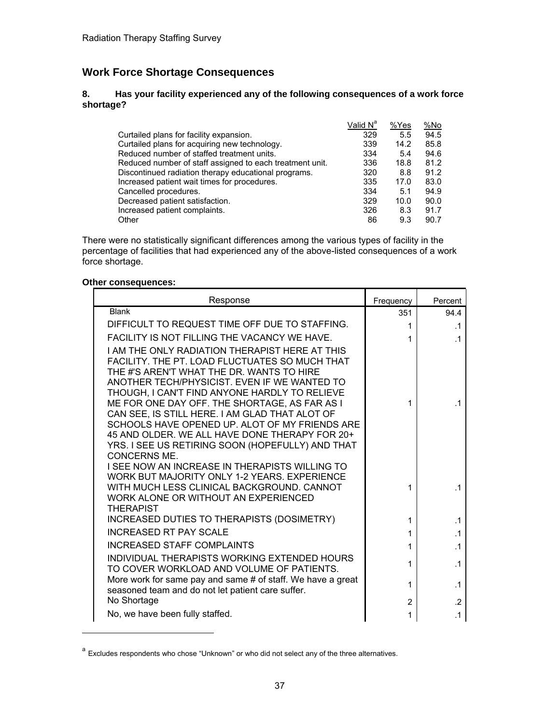# **Work Force Shortage Consequences**

#### **8. Has your facility experienced any of the following consequences of a work force shortage?**

|                                                          | Valid N <sup>a</sup> | %Yes | %No  |
|----------------------------------------------------------|----------------------|------|------|
| Curtailed plans for facility expansion.                  | 329                  | 5.5  | 94.5 |
| Curtailed plans for acquiring new technology.            | 339                  | 14.2 | 85.8 |
| Reduced number of staffed treatment units.               | 334                  | 5.4  | 94.6 |
| Reduced number of staff assigned to each treatment unit. | 336                  | 18.8 | 81.2 |
| Discontinued radiation therapy educational programs.     | 320                  | 8.8  | 91.2 |
| Increased patient wait times for procedures.             | 335                  | 17.0 | 83.0 |
| Cancelled procedures.                                    | 334                  | 5.1  | 94.9 |
| Decreased patient satisfaction.                          | 329                  | 10.0 | 90.0 |
| Increased patient complaints.                            | 326                  | 8.3  | 91.7 |
| Other                                                    | 86                   | 9.3  | 90.7 |

There were no statistically significant differences among the various types of facility in the percentage of facilities that had experienced any of the above-listed consequences of a work force shortage.

#### **Other consequences:**

| Response                                                                                                                                                                                                                                                                                                                                                                                                                                                                                                                         | Frequency      | Percent        |
|----------------------------------------------------------------------------------------------------------------------------------------------------------------------------------------------------------------------------------------------------------------------------------------------------------------------------------------------------------------------------------------------------------------------------------------------------------------------------------------------------------------------------------|----------------|----------------|
| <b>Blank</b>                                                                                                                                                                                                                                                                                                                                                                                                                                                                                                                     | 351            | 94.4           |
| DIFFICULT TO REQUEST TIME OFF DUE TO STAFFING.                                                                                                                                                                                                                                                                                                                                                                                                                                                                                   | 1              | $\cdot$ 1      |
| <b>FACILITY IS NOT FILLING THE VACANCY WE HAVE.</b>                                                                                                                                                                                                                                                                                                                                                                                                                                                                              | 1              | $\cdot$ 1      |
| I AM THE ONLY RADIATION THERAPIST HERE AT THIS<br>FACILITY. THE PT. LOAD FLUCTUATES SO MUCH THAT<br>THE #'S AREN'T WHAT THE DR. WANTS TO HIRE<br>ANOTHER TECH/PHYSICIST. EVEN IF WE WANTED TO<br>THOUGH, I CAN'T FIND ANYONE HARDLY TO RELIEVE<br>ME FOR ONE DAY OFF. THE SHORTAGE, AS FAR AS I<br>CAN SEE, IS STILL HERE. I AM GLAD THAT ALOT OF<br>SCHOOLS HAVE OPENED UP. ALOT OF MY FRIENDS ARE<br>45 AND OLDER. WE ALL HAVE DONE THERAPY FOR 20+<br>YRS. I SEE US RETIRING SOON (HOPEFULLY) AND THAT<br><b>CONCERNS ME.</b> | 1              | .1             |
| I SEE NOW AN INCREASE IN THERAPISTS WILLING TO<br>WORK BUT MAJORITY ONLY 1-2 YEARS. EXPERIENCE<br>WITH MUCH LESS CLINICAL BACKGROUND. CANNOT<br>WORK ALONE OR WITHOUT AN EXPERIENCED<br><b>THERAPIST</b>                                                                                                                                                                                                                                                                                                                         | 1              | $\cdot$ 1      |
| INCREASED DUTIES TO THERAPISTS (DOSIMETRY)                                                                                                                                                                                                                                                                                                                                                                                                                                                                                       | 1              | $\cdot$ 1      |
| INCREASED RT PAY SCALE                                                                                                                                                                                                                                                                                                                                                                                                                                                                                                           | 1              | $\cdot$ 1      |
| <b>INCREASED STAFF COMPLAINTS</b>                                                                                                                                                                                                                                                                                                                                                                                                                                                                                                | 1              | $\cdot$ 1      |
| INDIVIDUAL THERAPISTS WORKING EXTENDED HOURS<br>TO COVER WORKLOAD AND VOLUME OF PATIENTS.                                                                                                                                                                                                                                                                                                                                                                                                                                        | 1              | $\cdot$ 1      |
| More work for same pay and same # of staff. We have a great<br>seasoned team and do not let patient care suffer.                                                                                                                                                                                                                                                                                                                                                                                                                 | 1              | $\cdot$ 1      |
| No Shortage                                                                                                                                                                                                                                                                                                                                                                                                                                                                                                                      | $\overline{2}$ | $\overline{2}$ |
| No, we have been fully staffed.                                                                                                                                                                                                                                                                                                                                                                                                                                                                                                  | 1              | $\cdot$ 1      |

a Excludes respondents who chose "Unknown" or who did not select any of the three alternatives.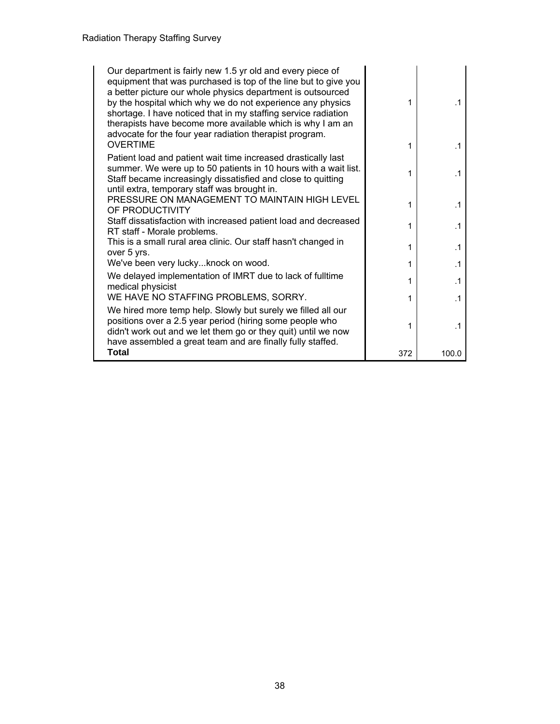| Our department is fairly new 1.5 yr old and every piece of<br>equipment that was purchased is top of the line but to give you<br>a better picture our whole physics department is outsourced<br>by the hospital which why we do not experience any physics<br>shortage. I have noticed that in my staffing service radiation<br>therapists have become more available which is why I am an<br>advocate for the four year radiation therapist program.<br><b>OVERTIME</b> | 1<br>1 | $\cdot$ 1<br>$\cdot$ 1 |
|--------------------------------------------------------------------------------------------------------------------------------------------------------------------------------------------------------------------------------------------------------------------------------------------------------------------------------------------------------------------------------------------------------------------------------------------------------------------------|--------|------------------------|
| Patient load and patient wait time increased drastically last<br>summer. We were up to 50 patients in 10 hours with a wait list.<br>Staff became increasingly dissatisfied and close to quitting<br>until extra, temporary staff was brought in.                                                                                                                                                                                                                         | 1      | $\cdot$ 1              |
| PRESSURE ON MANAGEMENT TO MAINTAIN HIGH LEVEL<br>OF PRODUCTIVITY                                                                                                                                                                                                                                                                                                                                                                                                         | 1      | $\cdot$ 1              |
| Staff dissatisfaction with increased patient load and decreased<br>RT staff - Morale problems.                                                                                                                                                                                                                                                                                                                                                                           | 1      | $\cdot$ 1              |
| This is a small rural area clinic. Our staff hasn't changed in<br>over 5 yrs.                                                                                                                                                                                                                                                                                                                                                                                            | 1      | $\cdot$ 1              |
| We've been very luckyknock on wood.                                                                                                                                                                                                                                                                                                                                                                                                                                      | 1      | $\cdot$ 1              |
| We delayed implementation of IMRT due to lack of fulltime<br>medical physicist                                                                                                                                                                                                                                                                                                                                                                                           | 1      | $\cdot$ 1              |
| WE HAVE NO STAFFING PROBLEMS, SORRY.                                                                                                                                                                                                                                                                                                                                                                                                                                     | 1      | $\cdot$ 1              |
| We hired more temp help. Slowly but surely we filled all our<br>positions over a 2.5 year period (hiring some people who<br>didn't work out and we let them go or they quit) until we now<br>have assembled a great team and are finally fully staffed.                                                                                                                                                                                                                  | 1      | $\cdot$ 1              |
| <b>Total</b>                                                                                                                                                                                                                                                                                                                                                                                                                                                             | 372    | 100.0                  |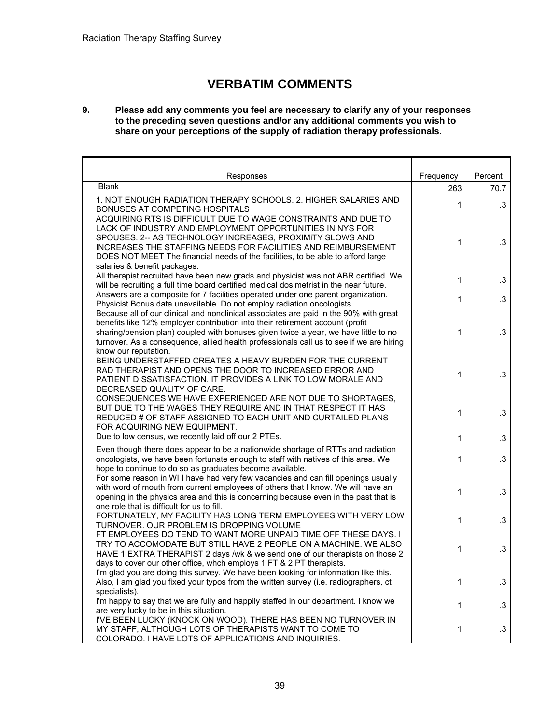# **VERBATIM COMMENTS**

#### **9. Please add any comments you feel are necessary to clarify any of your responses to the preceding seven questions and/or any additional comments you wish to share on your perceptions of the supply of radiation therapy professionals.**

| Responses                                                                                                                                                                                                                                                                                                                                                                  | Frequency    | Percent   |
|----------------------------------------------------------------------------------------------------------------------------------------------------------------------------------------------------------------------------------------------------------------------------------------------------------------------------------------------------------------------------|--------------|-----------|
| <b>Blank</b>                                                                                                                                                                                                                                                                                                                                                               | 263          | 70.7      |
| 1. NOT ENOUGH RADIATION THERAPY SCHOOLS. 2. HIGHER SALARIES AND<br><b>BONUSES AT COMPETING HOSPITALS</b>                                                                                                                                                                                                                                                                   | 1            | $\cdot$ 3 |
| ACQUIRING RTS IS DIFFICULT DUE TO WAGE CONSTRAINTS AND DUE TO<br>LACK OF INDUSTRY AND EMPLOYMENT OPPORTUNITIES IN NYS FOR<br>SPOUSES. 2-- AS TECHNOLOGY INCREASES, PROXIMITY SLOWS AND<br>INCREASES THE STAFFING NEEDS FOR FACILITIES AND REIMBURSEMENT<br>DOES NOT MEET The financial needs of the facilities, to be able to afford large<br>salaries & benefit packages. | 1            | $\cdot$ 3 |
| All therapist recruited have been new grads and physicist was not ABR certified. We<br>will be recruiting a full time board certified medical dosimetrist in the near future.                                                                                                                                                                                              | $\mathbf{1}$ | $\cdot$ 3 |
| Answers are a composite for 7 facilities operated under one parent organization.<br>Physicist Bonus data unavailable. Do not employ radiation oncologists.<br>Because all of our clinical and nonclinical associates are paid in the 90% with great                                                                                                                        | 1            | $.3\,$    |
| benefits like 12% employer contribution into their retirement account (profit<br>sharing/pension plan) coupled with bonuses given twice a year, we have little to no<br>turnover. As a consequence, allied health professionals call us to see if we are hiring<br>know our reputation.                                                                                    | 1            | $\cdot$ 3 |
| BEING UNDERSTAFFED CREATES A HEAVY BURDEN FOR THE CURRENT<br>RAD THERAPIST AND OPENS THE DOOR TO INCREASED ERROR AND<br>PATIENT DISSATISFACTION. IT PROVIDES A LINK TO LOW MORALE AND<br>DECREASED QUALITY OF CARE.                                                                                                                                                        | 1            | $\cdot$ 3 |
| CONSEQUENCES WE HAVE EXPERIENCED ARE NOT DUE TO SHORTAGES.<br>BUT DUE TO THE WAGES THEY REQUIRE AND IN THAT RESPECT IT HAS<br>REDUCED # OF STAFF ASSIGNED TO EACH UNIT AND CURTAILED PLANS<br>FOR ACQUIRING NEW EQUIPMENT.                                                                                                                                                 | 1            | $.3\,$    |
| Due to low census, we recently laid off our 2 PTEs.                                                                                                                                                                                                                                                                                                                        | 1            | $\cdot$ 3 |
| Even though there does appear to be a nationwide shortage of RTTs and radiation<br>oncologists, we have been fortunate enough to staff with natives of this area. We<br>hope to continue to do so as graduates become available.                                                                                                                                           | 1            | $.3\,$    |
| For some reason in WI I have had very few vacancies and can fill openings usually<br>with word of mouth from current employees of others that I know. We will have an<br>opening in the physics area and this is concerning because even in the past that is<br>one role that is difficult for us to fill.                                                                 | 1            | $\cdot$ 3 |
| FORTUNATELY, MY FACILITY HAS LONG TERM EMPLOYEES WITH VERY LOW<br>TURNOVER. OUR PROBLEM IS DROPPING VOLUME                                                                                                                                                                                                                                                                 | 1            | $\cdot$ 3 |
| FT EMPLOYEES DO TEND TO WANT MORE UNPAID TIME OFF THESE DAYS. I<br>TRY TO ACCOMODATE BUT STILL HAVE 2 PEOPLE ON A MACHINE. WE ALSO<br>HAVE 1 EXTRA THERAPIST 2 days /wk & we send one of our therapists on those 2<br>days to cover our other office, whch employs 1 FT & 2 PT therapists.                                                                                 | 1            | $\cdot$ 3 |
| I'm glad you are doing this survey. We have been looking for information like this.<br>Also, I am glad you fixed your typos from the written survey (i.e. radiographers, ct<br>specialists).                                                                                                                                                                               | 1            | $\cdot$ 3 |
| I'm happy to say that we are fully and happily staffed in our department. I know we<br>are very lucky to be in this situation.                                                                                                                                                                                                                                             | 1            | $\cdot$ 3 |
| I'VE BEEN LUCKY (KNOCK ON WOOD). THERE HAS BEEN NO TURNOVER IN<br>MY STAFF, ALTHOUGH LOTS OF THERAPISTS WANT TO COME TO<br>COLORADO. I HAVE LOTS OF APPLICATIONS AND INQUIRIES.                                                                                                                                                                                            | 1            | $\cdot$ 3 |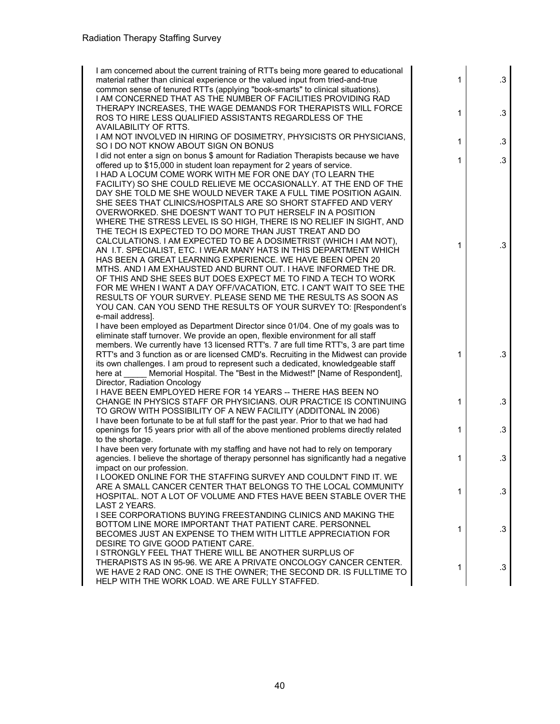| I am concerned about the current training of RTTs being more geared to educational<br>material rather than clinical experience or the valued input from tried-and-true<br>common sense of tenured RTTs (applying "book-smarts" to clinical situations).<br>I AM CONCERNED THAT AS THE NUMBER OF FACILITIES PROVIDING RAD                                                                                                                                                                                                                                                                                                                                                                                                                                                                                                                                                                                                                                                                                                                          | 1            | .3        |
|---------------------------------------------------------------------------------------------------------------------------------------------------------------------------------------------------------------------------------------------------------------------------------------------------------------------------------------------------------------------------------------------------------------------------------------------------------------------------------------------------------------------------------------------------------------------------------------------------------------------------------------------------------------------------------------------------------------------------------------------------------------------------------------------------------------------------------------------------------------------------------------------------------------------------------------------------------------------------------------------------------------------------------------------------|--------------|-----------|
| THERAPY INCREASES, THE WAGE DEMANDS FOR THERAPISTS WILL FORCE<br>ROS TO HIRE LESS QUALIFIED ASSISTANTS REGARDLESS OF THE<br>AVAILABILITY OF RTTS.                                                                                                                                                                                                                                                                                                                                                                                                                                                                                                                                                                                                                                                                                                                                                                                                                                                                                                 | 1            | $\cdot$ 3 |
| I AM NOT INVOLVED IN HIRING OF DOSIMETRY, PHYSICISTS OR PHYSICIANS,<br>SO I DO NOT KNOW ABOUT SIGN ON BONUS                                                                                                                                                                                                                                                                                                                                                                                                                                                                                                                                                                                                                                                                                                                                                                                                                                                                                                                                       | 1            | $\cdot$ 3 |
| I did not enter a sign on bonus \$ amount for Radiation Therapists because we have<br>offered up to \$15,000 in student loan repayment for 2 years of service.                                                                                                                                                                                                                                                                                                                                                                                                                                                                                                                                                                                                                                                                                                                                                                                                                                                                                    | 1            | $\cdot$ 3 |
| I HAD A LOCUM COME WORK WITH ME FOR ONE DAY (TO LEARN THE<br>FACILITY) SO SHE COULD RELIEVE ME OCCASIONALLY. AT THE END OF THE<br>DAY SHE TOLD ME SHE WOULD NEVER TAKE A FULL TIME POSITION AGAIN.<br>SHE SEES THAT CLINICS/HOSPITALS ARE SO SHORT STAFFED AND VERY<br>OVERWORKED. SHE DOESN'T WANT TO PUT HERSELF IN A POSITION<br>WHERE THE STRESS LEVEL IS SO HIGH, THERE IS NO RELIEF IN SIGHT, AND<br>THE TECH IS EXPECTED TO DO MORE THAN JUST TREAT AND DO<br>CALCULATIONS. I AM EXPECTED TO BE A DOSIMETRIST (WHICH I AM NOT),<br>AN I.T. SPECIALIST, ETC. I WEAR MANY HATS IN THIS DEPARTMENT WHICH<br>HAS BEEN A GREAT LEARNING EXPERIENCE. WE HAVE BEEN OPEN 20<br>MTHS. AND I AM EXHAUSTED AND BURNT OUT. I HAVE INFORMED THE DR.<br>OF THIS AND SHE SEES BUT DOES EXPECT ME TO FIND A TECH TO WORK<br>FOR ME WHEN I WANT A DAY OFF/VACATION, ETC. I CAN'T WAIT TO SEE THE<br>RESULTS OF YOUR SURVEY. PLEASE SEND ME THE RESULTS AS SOON AS<br>YOU CAN. CAN YOU SEND THE RESULTS OF YOUR SURVEY TO: [Respondent's<br>e-mail address]. | 1            | $\cdot$ 3 |
| I have been employed as Department Director since 01/04. One of my goals was to<br>eliminate staff turnover. We provide an open, flexible environment for all staff<br>members. We currently have 13 licensed RTT's. 7 are full time RTT's, 3 are part time<br>RTT's and 3 function as or are licensed CMD's. Recruiting in the Midwest can provide<br>its own challenges. I am proud to represent such a dedicated, knowledgeable staff<br>Memorial Hospital. The "Best in the Midwest!" [Name of Respondent],<br>here at<br>Director, Radiation Oncology                                                                                                                                                                                                                                                                                                                                                                                                                                                                                        | 1            | $\cdot$ 3 |
| <b>I HAVE BEEN EMPLOYED HERE FOR 14 YEARS -- THERE HAS BEEN NO</b><br>CHANGE IN PHYSICS STAFF OR PHYSICIANS. OUR PRACTICE IS CONTINUING<br>TO GROW WITH POSSIBILITY OF A NEW FACILITY (ADDITONAL IN 2006)                                                                                                                                                                                                                                                                                                                                                                                                                                                                                                                                                                                                                                                                                                                                                                                                                                         | 1            | $\cdot$ 3 |
| I have been fortunate to be at full staff for the past year. Prior to that we had had<br>openings for 15 years prior with all of the above mentioned problems directly related<br>to the shortage.                                                                                                                                                                                                                                                                                                                                                                                                                                                                                                                                                                                                                                                                                                                                                                                                                                                | 1            | .3        |
| I have been very fortunate with my staffing and have not had to rely on temporary<br>agencies. I believe the shortage of therapy personnel has significantly had a negative<br>impact on our profession.                                                                                                                                                                                                                                                                                                                                                                                                                                                                                                                                                                                                                                                                                                                                                                                                                                          | 1            | $\cdot$ 3 |
| I LOOKED ONLINE FOR THE STAFFING SURVEY AND COULDN'T FIND IT. WE<br>ARE A SMALL CANCER CENTER THAT BELONGS TO THE LOCAL COMMUNITY<br>HOSPITAL, NOT A LOT OF VOLUME AND FTES HAVE BEEN STABLE OVER THE<br><b>LAST 2 YEARS.</b>                                                                                                                                                                                                                                                                                                                                                                                                                                                                                                                                                                                                                                                                                                                                                                                                                     | $\mathbf{1}$ | $\cdot$ 3 |
| I SEE CORPORATIONS BUYING FREESTANDING CLINICS AND MAKING THE<br>BOTTOM LINE MORE IMPORTANT THAT PATIENT CARE. PERSONNEL<br>BECOMES JUST AN EXPENSE TO THEM WITH LITTLE APPRECIATION FOR<br>DESIRE TO GIVE GOOD PATIENT CARE.                                                                                                                                                                                                                                                                                                                                                                                                                                                                                                                                                                                                                                                                                                                                                                                                                     | 1            | $\cdot$ 3 |
| I STRONGLY FEEL THAT THERE WILL BE ANOTHER SURPLUS OF<br>THERAPISTS AS IN 95-96. WE ARE A PRIVATE ONCOLOGY CANCER CENTER.<br>WE HAVE 2 RAD ONC. ONE IS THE OWNER; THE SECOND DR. IS FULLTIME TO<br>HELP WITH THE WORK LOAD. WE ARE FULLY STAFFED.                                                                                                                                                                                                                                                                                                                                                                                                                                                                                                                                                                                                                                                                                                                                                                                                 | 1            | $\cdot$ 3 |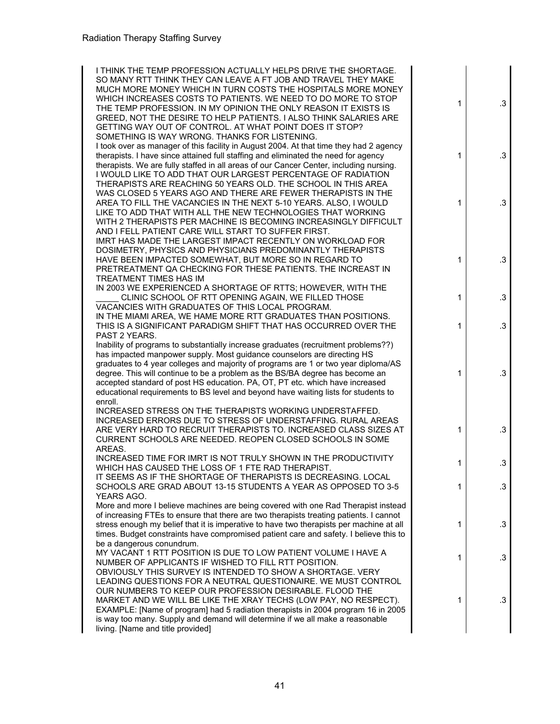| I THINK THE TEMP PROFESSION ACTUALLY HELPS DRIVE THE SHORTAGE.<br>SO MANY RTT THINK THEY CAN LEAVE A FT JOB AND TRAVEL THEY MAKE<br>MUCH MORE MONEY WHICH IN TURN COSTS THE HOSPITALS MORE MONEY<br>WHICH INCREASES COSTS TO PATIENTS. WE NEED TO DO MORE TO STOP<br>THE TEMP PROFESSION. IN MY OPINION THE ONLY REASON IT EXISTS IS<br>GREED, NOT THE DESIRE TO HELP PATIENTS. I ALSO THINK SALARIES ARE<br>GETTING WAY OUT OF CONTROL. AT WHAT POINT DOES IT STOP?                                                 | 1 | $\cdot$ 3       |
|----------------------------------------------------------------------------------------------------------------------------------------------------------------------------------------------------------------------------------------------------------------------------------------------------------------------------------------------------------------------------------------------------------------------------------------------------------------------------------------------------------------------|---|-----------------|
| SOMETHING IS WAY WRONG. THANKS FOR LISTENING.<br>I took over as manager of this facility in August 2004. At that time they had 2 agency<br>therapists. I have since attained full staffing and eliminated the need for agency<br>therapists. We are fully staffed in all areas of our Cancer Center, including nursing.<br>I WOULD LIKE TO ADD THAT OUR LARGEST PERCENTAGE OF RADIATION<br>THERAPISTS ARE REACHING 50 YEARS OLD. THE SCHOOL IN THIS AREA                                                             | 1 | .3              |
| WAS CLOSED 5 YEARS AGO AND THERE ARE FEWER THERAPISTS IN THE<br>AREA TO FILL THE VACANCIES IN THE NEXT 5-10 YEARS. ALSO, I WOULD<br>LIKE TO ADD THAT WITH ALL THE NEW TECHNOLOGIES THAT WORKING<br>WITH 2 THERAPISTS PER MACHINE IS BECOMING INCREASINGLY DIFFICULT<br>AND I FELL PATIENT CARE WILL START TO SUFFER FIRST.                                                                                                                                                                                           | 1 | $\cdot$ 3       |
| IMRT HAS MADE THE LARGEST IMPACT RECENTLY ON WORKLOAD FOR<br>DOSIMETRY, PHYSICS AND PHYSICIANS PREDOMINANTLY THERAPISTS<br>HAVE BEEN IMPACTED SOMEWHAT, BUT MORE SO IN REGARD TO<br>PRETREATMENT QA CHECKING FOR THESE PATIENTS. THE INCREAST IN<br>TREATMENT TIMES HAS IM                                                                                                                                                                                                                                           | 1 | $\cdot$ 3       |
| IN 2003 WE EXPERIENCED A SHORTAGE OF RTTS; HOWEVER, WITH THE<br>CLINIC SCHOOL OF RTT OPENING AGAIN, WE FILLED THOSE                                                                                                                                                                                                                                                                                                                                                                                                  | 1 | .3              |
| VACANCIES WITH GRADUATES OF THIS LOCAL PROGRAM.<br>IN THE MIAMI AREA, WE HAME MORE RTT GRADUATES THAN POSITIONS.<br>THIS IS A SIGNIFICANT PARADIGM SHIFT THAT HAS OCCURRED OVER THE<br>PAST 2 YEARS.                                                                                                                                                                                                                                                                                                                 | 1 | .3              |
| Inability of programs to substantially increase graduates (recruitment problems??)<br>has impacted manpower supply. Most guidance counselors are directing HS<br>graduates to 4 year colleges and majority of programs are 1 or two year diploma/AS<br>degree. This will continue to be a problem as the BS/BA degree has become an<br>accepted standard of post HS education. PA, OT, PT etc. which have increased<br>educational requirements to BS level and beyond have waiting lists for students to<br>enroll. | 1 | $\cdot$ 3       |
| INCREASED STRESS ON THE THERAPISTS WORKING UNDERSTAFFED.<br>INCREASED ERRORS DUE TO STRESS OF UNDERSTAFFING. RURAL AREAS<br>ARE VERY HARD TO RECRUIT THERAPISTS TO. INCREASED CLASS SIZES AT<br>CURRENT SCHOOLS ARE NEEDED. REOPEN CLOSED SCHOOLS IN SOME<br>AREAS.                                                                                                                                                                                                                                                  | 1 | .3              |
| INCREASED TIME FOR IMRT IS NOT TRULY SHOWN IN THE PRODUCTIVITY<br>WHICH HAS CAUSED THE LOSS OF 1 FTE RAD THERAPIST.                                                                                                                                                                                                                                                                                                                                                                                                  | 1 | .3              |
| IT SEEMS AS IF THE SHORTAGE OF THERAPISTS IS DECREASING. LOCAL<br>SCHOOLS ARE GRAD ABOUT 13-15 STUDENTS A YEAR AS OPPOSED TO 3-5                                                                                                                                                                                                                                                                                                                                                                                     | 1 | $\cdot$ 3       |
| YEARS AGO.<br>More and more I believe machines are being covered with one Rad Therapist instead                                                                                                                                                                                                                                                                                                                                                                                                                      |   |                 |
| of increasing FTEs to ensure that there are two therapists treating patients. I cannot<br>stress enough my belief that it is imperative to have two therapists per machine at all<br>times. Budget constraints have compromised patient care and safety. I believe this to                                                                                                                                                                                                                                           | 1 | $\cdot$ 3       |
| be a dangerous conundrum.<br>MY VACANT 1 RTT POSITION IS DUE TO LOW PATIENT VOLUME I HAVE A<br>NUMBER OF APPLICANTS IF WISHED TO FILL RTT POSITION.<br>OBVIOUSLY THIS SURVEY IS INTENDED TO SHOW A SHORTAGE. VERY                                                                                                                                                                                                                                                                                                    | 1 | $.3\phantom{0}$ |
| LEADING QUESTIONS FOR A NEUTRAL QUESTIONAIRE. WE MUST CONTROL<br>OUR NUMBERS TO KEEP OUR PROFESSION DESIRABLE. FLOOD THE<br>MARKET AND WE WILL BE LIKE THE XRAY TECHS (LOW PAY, NO RESPECT).<br>EXAMPLE: [Name of program] had 5 radiation therapists in 2004 program 16 in 2005<br>is way too many. Supply and demand will determine if we all make a reasonable<br>living. [Name and title provided]                                                                                                               | 1 | $\cdot$ 3       |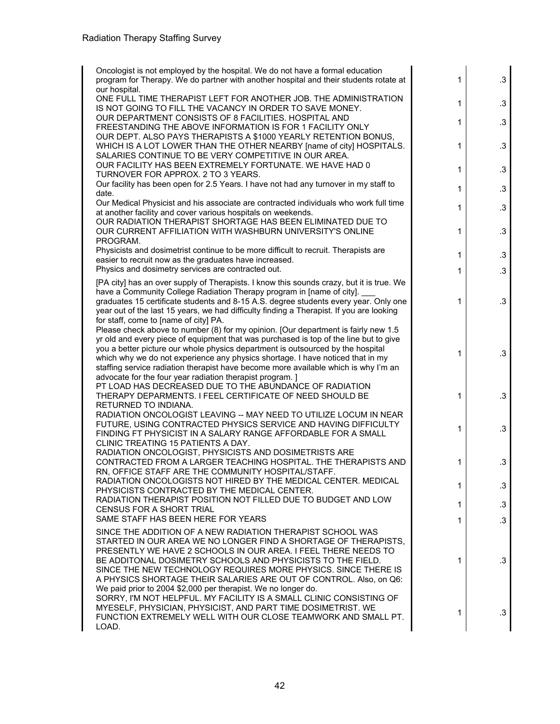| Oncologist is not employed by the hospital. We do not have a formal education<br>program for Therapy. We do partner with another hospital and their students rotate at<br>our hospital.                                                                                                                                                                                                                                                                                                              | 1            | $\cdot$ 3       |
|------------------------------------------------------------------------------------------------------------------------------------------------------------------------------------------------------------------------------------------------------------------------------------------------------------------------------------------------------------------------------------------------------------------------------------------------------------------------------------------------------|--------------|-----------------|
| ONE FULL TIME THERAPIST LEFT FOR ANOTHER JOB. THE ADMINISTRATION<br>IS NOT GOING TO FILL THE VACANCY IN ORDER TO SAVE MONEY.                                                                                                                                                                                                                                                                                                                                                                         | 1            | $\cdot$ 3       |
| OUR DEPARTMENT CONSISTS OF 8 FACILITIES. HOSPITAL AND<br>FREESTANDING THE ABOVE INFORMATION IS FOR 1 FACILITY ONLY                                                                                                                                                                                                                                                                                                                                                                                   | 1            | $\cdot$ 3       |
| OUR DEPT. ALSO PAYS THERAPISTS A \$1000 YEARLY RETENTION BONUS,<br>WHICH IS A LOT LOWER THAN THE OTHER NEARBY [name of city] HOSPITALS.<br>SALARIES CONTINUE TO BE VERY COMPETITIVE IN OUR AREA.                                                                                                                                                                                                                                                                                                     | 1            | $.3\phantom{0}$ |
| OUR FACILITY HAS BEEN EXTREMELY FORTUNATE. WE HAVE HAD 0<br>TURNOVER FOR APPROX. 2 TO 3 YEARS.                                                                                                                                                                                                                                                                                                                                                                                                       | 1            | $\cdot$ 3       |
| Our facility has been open for 2.5 Years. I have not had any turnover in my staff to<br>date.                                                                                                                                                                                                                                                                                                                                                                                                        | 1            | $\cdot$ 3       |
| Our Medical Physicist and his associate are contracted individuals who work full time<br>at another facility and cover various hospitals on weekends.                                                                                                                                                                                                                                                                                                                                                | 1            | .3              |
| OUR RADIATION THERAPIST SHORTAGE HAS BEEN ELIMINATED DUE TO<br>OUR CURRENT AFFILIATION WITH WASHBURN UNIVERSITY'S ONLINE<br>PROGRAM.                                                                                                                                                                                                                                                                                                                                                                 | 1            | .3              |
| Physicists and dosimetrist continue to be more difficult to recruit. Therapists are<br>easier to recruit now as the graduates have increased.                                                                                                                                                                                                                                                                                                                                                        | 1            | $\cdot$ 3       |
| Physics and dosimetry services are contracted out.                                                                                                                                                                                                                                                                                                                                                                                                                                                   | 1            | $\cdot$ 3       |
| [PA city] has an over supply of Therapists. I know this sounds crazy, but it is true. We<br>have a Community College Radiation Therapy program in [name of city].<br>graduates 15 certificate students and 8-15 A.S. degree students every year. Only one<br>year out of the last 15 years, we had difficulty finding a Therapist. If you are looking<br>for staff, come to [name of city] PA.                                                                                                       | 1            | .3              |
| Please check above to number (8) for my opinion. [Our department is fairly new 1.5<br>yr old and every piece of equipment that was purchased is top of the line but to give<br>you a better picture our whole physics department is outsourced by the hospital<br>which why we do not experience any physics shortage. I have noticed that in my<br>staffing service radiation therapist have become more available which is why I'm an<br>advocate for the four year radiation therapist program. ] | 1            | $\cdot$ 3       |
| PT LOAD HAS DECREASED DUE TO THE ABUNDANCE OF RADIATION<br>THERAPY DEPARMENTS. I FEEL CERTIFICATE OF NEED SHOULD BE<br>RETURNED TO INDIANA.                                                                                                                                                                                                                                                                                                                                                          | 1            | $\cdot$ 3       |
| RADIATION ONCOLOGIST LEAVING -- MAY NEED TO UTILIZE LOCUM IN NEAR<br>FUTURE, USING CONTRACTED PHYSICS SERVICE AND HAVING DIFFICULTY<br>FINDING FT PHYSICIST IN A SALARY RANGE AFFORDABLE FOR A SMALL<br>CLINIC TREATING 15 PATIENTS A DAY.                                                                                                                                                                                                                                                           | 1            | $\cdot$ 3       |
| RADIATION ONCOLOGIST, PHYSICISTS AND DOSIMETRISTS ARE<br>CONTRACTED FROM A LARGER TEACHING HOSPITAL. THE THERAPISTS AND<br>RN, OFFICE STAFF ARE THE COMMUNITY HOSPITAL/STAFF.                                                                                                                                                                                                                                                                                                                        | 1            | $\cdot$ 3       |
| RADIATION ONCOLOGISTS NOT HIRED BY THE MEDICAL CENTER. MEDICAL<br>PHYSICISTS CONTRACTED BY THE MEDICAL CENTER.                                                                                                                                                                                                                                                                                                                                                                                       | 1            | $\cdot$ 3       |
| RADIATION THERAPIST POSITION NOT FILLED DUE TO BUDGET AND LOW<br><b>CENSUS FOR A SHORT TRIAL</b>                                                                                                                                                                                                                                                                                                                                                                                                     | $\mathbf{1}$ | $\cdot$ 3       |
| SAME STAFF HAS BEEN HERE FOR YEARS                                                                                                                                                                                                                                                                                                                                                                                                                                                                   | 1            | $\cdot$ 3       |
| SINCE THE ADDITION OF A NEW RADIATION THERAPIST SCHOOL WAS<br>STARTED IN OUR AREA WE NO LONGER FIND A SHORTAGE OF THERAPISTS,<br>PRESENTLY WE HAVE 2 SCHOOLS IN OUR AREA. I FEEL THERE NEEDS TO<br>BE ADDITONAL DOSIMETRY SCHOOLS AND PHYSICISTS TO THE FIELD.<br>SINCE THE NEW TECHNOLOGY REQUIRES MORE PHYSICS. SINCE THERE IS<br>A PHYSICS SHORTAGE THEIR SALARIES ARE OUT OF CONTROL. Also, on Q6:                                                                                               | $\mathbf{1}$ | $\cdot$ 3       |
| We paid prior to 2004 \$2,000 per therapist. We no longer do.<br>SORRY, I'M NOT HELPFUL. MY FACILITY IS A SMALL CLINIC CONSISTING OF<br>MYESELF, PHYSICIAN, PHYSICIST, AND PART TIME DOSIMETRIST. WE<br>FUNCTION EXTREMELY WELL WITH OUR CLOSE TEAMWORK AND SMALL PT.<br>LOAD.                                                                                                                                                                                                                       | $\mathbf 1$  | $\cdot$ 3       |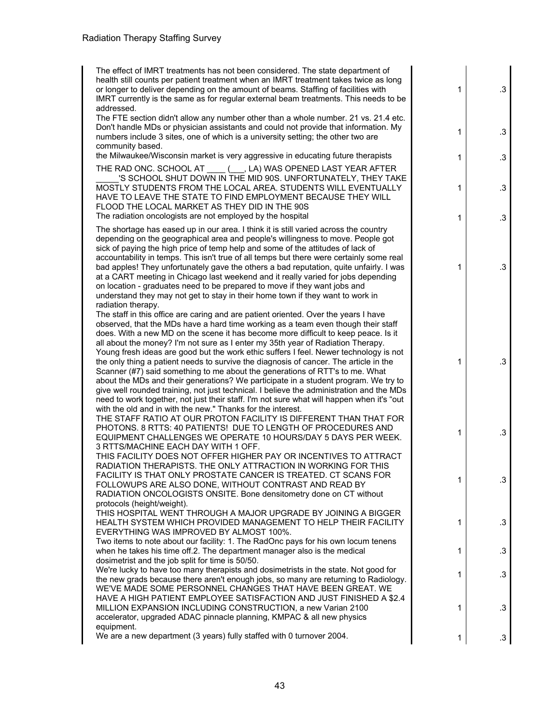# Radiation Therapy Staffing Survey

| The effect of IMRT treatments has not been considered. The state department of                                                                                             |   |           |
|----------------------------------------------------------------------------------------------------------------------------------------------------------------------------|---|-----------|
| health still counts per patient treatment when an IMRT treatment takes twice as long<br>or longer to deliver depending on the amount of beams. Staffing of facilities with | 1 | $\cdot$ 3 |
| IMRT currently is the same as for regular external beam treatments. This needs to be                                                                                       |   |           |
| addressed.<br>The FTE section didn't allow any number other than a whole number. 21 vs. 21.4 etc.                                                                          |   |           |
| Don't handle MDs or physician assistants and could not provide that information. My                                                                                        |   |           |
| numbers include 3 sites, one of which is a university setting; the other two are                                                                                           | 1 | .3        |
| community based.                                                                                                                                                           |   |           |
| the Milwaukee/Wisconsin market is very aggressive in educating future therapists                                                                                           | 1 | $\cdot$ 3 |
| THE RAD ONC. SCHOOL AT ____ (___, LA) WAS OPENED LAST YEAR AFTER                                                                                                           |   |           |
| 'S SCHOOL SHUT DOWN IN THE MID 90S. UNFORTUNATELY, THEY TAKE                                                                                                               |   |           |
| MOSTLY STUDENTS FROM THE LOCAL AREA. STUDENTS WILL EVENTUALLY                                                                                                              | 1 | $\cdot$ 3 |
| HAVE TO LEAVE THE STATE TO FIND EMPLOYMENT BECAUSE THEY WILL                                                                                                               |   |           |
| FLOOD THE LOCAL MARKET AS THEY DID IN THE 90S<br>The radiation oncologists are not employed by the hospital                                                                |   |           |
|                                                                                                                                                                            | 1 | .3        |
| The shortage has eased up in our area. I think it is still varied across the country                                                                                       |   |           |
| depending on the geographical area and people's willingness to move. People got<br>sick of paying the high price of temp help and some of the attitudes of lack of         |   |           |
| accountability in temps. This isn't true of all temps but there were certainly some real                                                                                   |   |           |
| bad apples! They unfortunately gave the others a bad reputation, quite unfairly. I was                                                                                     | 1 | $\cdot$ 3 |
| at a CART meeting in Chicago last weekend and it really varied for jobs depending                                                                                          |   |           |
| on location - graduates need to be prepared to move if they want jobs and                                                                                                  |   |           |
| understand they may not get to stay in their home town if they want to work in                                                                                             |   |           |
| radiation therapy.                                                                                                                                                         |   |           |
| The staff in this office are caring and are patient oriented. Over the years I have                                                                                        |   |           |
| observed, that the MDs have a hard time working as a team even though their staff<br>does. With a new MD on the scene it has become more difficult to keep peace. Is it    |   |           |
| all about the money? I'm not sure as I enter my 35th year of Radiation Therapy.                                                                                            |   |           |
| Young fresh ideas are good but the work ethic suffers I feel. Newer technology is not                                                                                      |   |           |
| the only thing a patient needs to survive the diagnosis of cancer. The article in the                                                                                      | 1 | $\cdot$ 3 |
| Scanner (#7) said something to me about the generations of RTT's to me. What                                                                                               |   |           |
| about the MDs and their generations? We participate in a student program. We try to                                                                                        |   |           |
| give well rounded training, not just technical. I believe the administration and the MDs                                                                                   |   |           |
| need to work together, not just their staff. I'm not sure what will happen when it's "out                                                                                  |   |           |
| with the old and in with the new." Thanks for the interest.                                                                                                                |   |           |
| THE STAFF RATIO AT OUR PROTON FACILITY IS DIFFERENT THAN THAT FOR                                                                                                          |   |           |
| PHOTONS, 8 RTTS: 40 PATIENTS! DUE TO LENGTH OF PROCEDURES AND<br>EQUIPMENT CHALLENGES WE OPERATE 10 HOURS/DAY 5 DAYS PER WEEK.                                             | 1 | $\cdot$ 3 |
| 3 RTTS/MACHINE EACH DAY WITH 1 OFF.                                                                                                                                        |   |           |
| THIS FACILITY DOES NOT OFFER HIGHER PAY OR INCENTIVES TO ATTRACT                                                                                                           |   |           |
| RADIATION THERAPISTS. THE ONLY ATTRACTION IN WORKING FOR THIS                                                                                                              |   |           |
| FACILITY IS THAT ONLY PROSTATE CANCER IS TREATED. CT SCANS FOR                                                                                                             |   | $\cdot$ 3 |
| FOLLOWUPS ARE ALSO DONE, WITHOUT CONTRAST AND READ BY                                                                                                                      | 1 |           |
| RADIATION ONCOLOGISTS ONSITE. Bone densitometry done on CT without                                                                                                         |   |           |
| protocols (height/weight).                                                                                                                                                 |   |           |
| THIS HOSPITAL WENT THROUGH A MAJOR UPGRADE BY JOINING A BIGGER                                                                                                             |   |           |
| HEALTH SYSTEM WHICH PROVIDED MANAGEMENT TO HELP THEIR FACILITY<br>EVERYTHING WAS IMPROVED BY ALMOST 100%.                                                                  | 1 | $\cdot$ 3 |
| Two items to note about our facility: 1. The RadOnc pays for his own locum tenens                                                                                          |   |           |
| when he takes his time off.2. The department manager also is the medical                                                                                                   | 1 | $\cdot$ 3 |
| dosimetrist and the job split for time is 50/50.                                                                                                                           |   |           |
| We're lucky to have too many therapists and dosimetrists in the state. Not good for                                                                                        | 1 | $\cdot$ 3 |
| the new grads because there aren't enough jobs, so many are returning to Radiology.                                                                                        |   |           |
| WE'VE MADE SOME PERSONNEL CHANGES THAT HAVE BEEN GREAT. WE                                                                                                                 |   |           |
| HAVE A HIGH PATIENT EMPLOYEE SATISFACTION AND JUST FINISHED A \$2.4                                                                                                        |   |           |
| MILLION EXPANSION INCLUDING CONSTRUCTION, a new Varian 2100                                                                                                                | 1 | .3        |
| accelerator, upgraded ADAC pinnacle planning, KMPAC & all new physics<br>equipment.                                                                                        |   |           |
| We are a new department (3 years) fully staffed with 0 turnover 2004.                                                                                                      | 1 |           |
|                                                                                                                                                                            |   | .3        |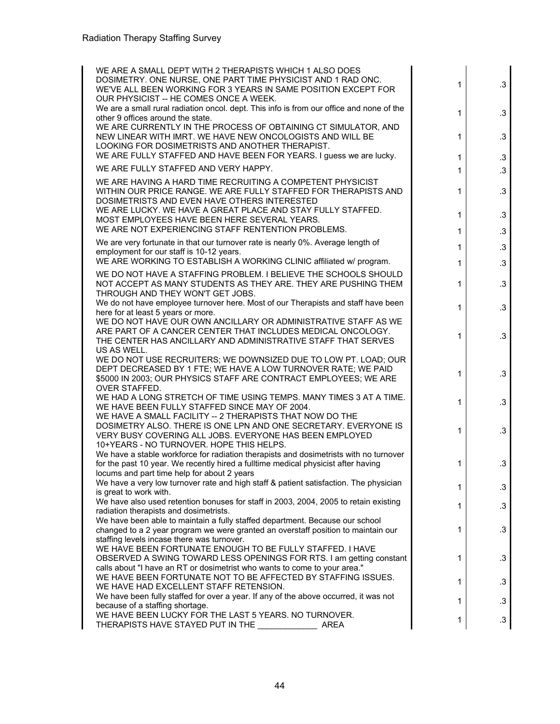| WE ARE A SMALL DEPT WITH 2 THERAPISTS WHICH 1 ALSO DOES<br>DOSIMETRY. ONE NURSE, ONE PART TIME PHYSICIST AND 1 RAD ONC.<br>WE'VE ALL BEEN WORKING FOR 3 YEARS IN SAME POSITION EXCEPT FOR<br>OUR PHYSICIST -- HE COMES ONCE A WEEK. | 1 | $\cdot$ 3 |
|-------------------------------------------------------------------------------------------------------------------------------------------------------------------------------------------------------------------------------------|---|-----------|
| We are a small rural radiation oncol. dept. This info is from our office and none of the<br>other 9 offices around the state.                                                                                                       | 1 | $\cdot$ 3 |
| WE ARE CURRENTLY IN THE PROCESS OF OBTAINING CT SIMULATOR, AND<br>NEW LINEAR WITH IMRT. WE HAVE NEW ONCOLOGISTS AND WILL BE<br>LOOKING FOR DOSIMETRISTS AND ANOTHER THERAPIST.                                                      | 1 | $\cdot$ 3 |
| WE ARE FULLY STAFFED AND HAVE BEEN FOR YEARS. I guess we are lucky.                                                                                                                                                                 | 1 | $\cdot$ 3 |
| WE ARE FULLY STAFFED AND VERY HAPPY.                                                                                                                                                                                                | 1 | .3        |
| WE ARE HAVING A HARD TIME RECRUITING A COMPETENT PHYSICIST<br>WITHIN OUR PRICE RANGE. WE ARE FULLY STAFFED FOR THERAPISTS AND<br>DOSIMETRISTS AND EVEN HAVE OTHERS INTERESTED                                                       | 1 | .3        |
| WE ARE LUCKY. WE HAVE A GREAT PLACE AND STAY FULLY STAFFED.<br>MOST EMPLOYEES HAVE BEEN HERE SEVERAL YEARS.                                                                                                                         | 1 | .3        |
| WE ARE NOT EXPERIENCING STAFF RENTENTION PROBLEMS.                                                                                                                                                                                  | 1 | .3        |
| We are very fortunate in that our turnover rate is nearly 0%. Average length of<br>employment for our staff is 10-12 years.                                                                                                         | 1 | .3        |
| WE ARE WORKING TO ESTABLISH A WORKING CLINIC affiliated w/ program.                                                                                                                                                                 | 1 | $\cdot$ 3 |
| WE DO NOT HAVE A STAFFING PROBLEM. I BELIEVE THE SCHOOLS SHOULD<br>NOT ACCEPT AS MANY STUDENTS AS THEY ARE. THEY ARE PUSHING THEM<br>THROUGH AND THEY WON'T GET JOBS.                                                               | 1 | .3        |
| We do not have employee turnover here. Most of our Therapists and staff have been<br>here for at least 5 years or more.                                                                                                             | 1 | $\cdot$ 3 |
| WE DO NOT HAVE OUR OWN ANCILLARY OR ADMINISTRATIVE STAFF AS WE<br>ARE PART OF A CANCER CENTER THAT INCLUDES MEDICAL ONCOLOGY.<br>THE CENTER HAS ANCILLARY AND ADMINISTRATIVE STAFF THAT SERVES<br>US AS WELL.                       | 1 | .3        |
| WE DO NOT USE RECRUITERS; WE DOWNSIZED DUE TO LOW PT. LOAD; OUR<br>DEPT DECREASED BY 1 FTE; WE HAVE A LOW TURNOVER RATE; WE PAID<br>\$5000 IN 2003; OUR PHYSICS STAFF ARE CONTRACT EMPLOYEES; WE ARE<br><b>OVER STAFFED.</b>        | 1 | $\cdot$ 3 |
| WE HAD A LONG STRETCH OF TIME USING TEMPS. MANY TIMES 3 AT A TIME.<br>WE HAVE BEEN FULLY STAFFED SINCE MAY OF 2004.                                                                                                                 | 1 | .3        |
| WE HAVE A SMALL FACILITY -- 2 THERAPISTS THAT NOW DO THE<br>DOSIMETRY ALSO. THERE IS ONE LPN AND ONE SECRETARY. EVERYONE IS<br>VERY BUSY COVERING ALL JOBS. EVERYONE HAS BEEN EMPLOYED<br>10+YEARS - NO TURNOVER. HOPE THIS HELPS.  | 1 | .3        |
| We have a stable workforce for radiation therapists and dosimetrists with no turnover<br>for the past 10 year. We recently hired a fulltime medical physicist after having<br>locums and part time help for about 2 years           | 1 | $\cdot$ 3 |
| We have a very low turnover rate and high staff & patient satisfaction. The physician<br>is great to work with.                                                                                                                     | 1 | $\cdot$ 3 |
| We have also used retention bonuses for staff in 2003, 2004, 2005 to retain existing<br>radiation therapists and dosimetrists.                                                                                                      | 1 | $\cdot$ 3 |
| We have been able to maintain a fully staffed department. Because our school<br>changed to a 2 year program we were granted an overstaff position to maintain our                                                                   | 1 | .3        |
| staffing levels incase there was turnover.<br>WE HAVE BEEN FORTUNATE ENOUGH TO BE FULLY STAFFED. I HAVE<br>OBSERVED A SWING TOWARD LESS OPENINGS FOR RTS. I am getting constant                                                     | 1 | .3        |
| calls about "I have an RT or dosimetrist who wants to come to your area."<br>WE HAVE BEEN FORTUNATE NOT TO BE AFFECTED BY STAFFING ISSUES.                                                                                          | 1 | $\cdot$ 3 |
| WE HAVE HAD EXCELLENT STAFF RETENSION.<br>We have been fully staffed for over a year. If any of the above occurred, it was not                                                                                                      | 1 | .3        |
| because of a staffing shortage.<br>WE HAVE BEEN LUCKY FOR THE LAST 5 YEARS. NO TURNOVER.<br>THERAPISTS HAVE STAYED PUT IN THE<br>AREA                                                                                               | 1 | .3        |
|                                                                                                                                                                                                                                     |   |           |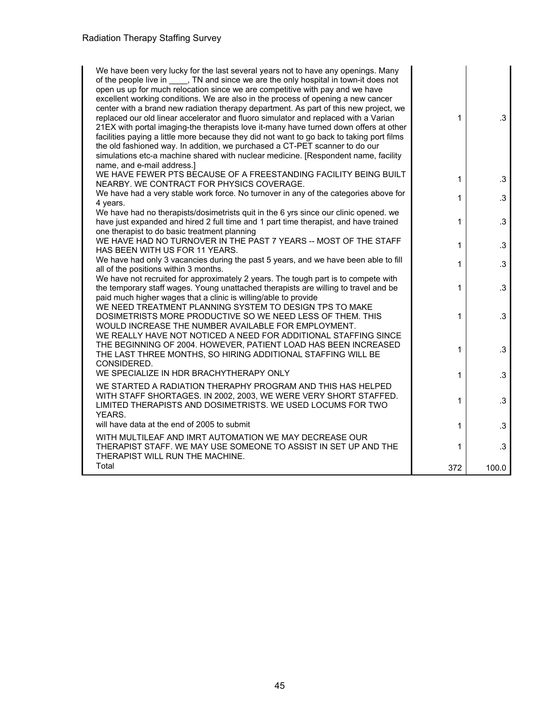| We have been very lucky for the last several years not to have any openings. Many<br>of the people live in _____, TN and since we are the only hospital in town-it does not<br>open us up for much relocation since we are competitive with pay and we have<br>excellent working conditions. We are also in the process of opening a new cancer<br>center with a brand new radiation therapy department. As part of this new project, we<br>replaced our old linear accelerator and fluoro simulator and replaced with a Varian<br>21EX with portal imaging-the therapists love it-many have turned down offers at other<br>facilities paying a little more because they did not want to go back to taking port films<br>the old fashioned way. In addition, we purchased a CT-PET scanner to do our<br>simulations etc-a machine shared with nuclear medicine. [Respondent name, facility<br>name, and e-mail address.] | 1   | $\cdot$ 3 |
|--------------------------------------------------------------------------------------------------------------------------------------------------------------------------------------------------------------------------------------------------------------------------------------------------------------------------------------------------------------------------------------------------------------------------------------------------------------------------------------------------------------------------------------------------------------------------------------------------------------------------------------------------------------------------------------------------------------------------------------------------------------------------------------------------------------------------------------------------------------------------------------------------------------------------|-----|-----------|
| WE HAVE FEWER PTS BECAUSE OF A FREESTANDING FACILITY BEING BUILT<br>NEARBY. WE CONTRACT FOR PHYSICS COVERAGE.                                                                                                                                                                                                                                                                                                                                                                                                                                                                                                                                                                                                                                                                                                                                                                                                            | 1   | .3        |
| We have had a very stable work force. No turnover in any of the categories above for<br>4 years.                                                                                                                                                                                                                                                                                                                                                                                                                                                                                                                                                                                                                                                                                                                                                                                                                         | 1   | $\cdot$ 3 |
| We have had no therapists/dosimetrists quit in the 6 yrs since our clinic opened. we<br>have just expanded and hired 2 full time and 1 part time therapist, and have trained<br>one therapist to do basic treatment planning                                                                                                                                                                                                                                                                                                                                                                                                                                                                                                                                                                                                                                                                                             | 1   | $\cdot$ 3 |
| WE HAVE HAD NO TURNOVER IN THE PAST 7 YEARS -- MOST OF THE STAFF<br>HAS BEEN WITH US FOR 11 YEARS.                                                                                                                                                                                                                                                                                                                                                                                                                                                                                                                                                                                                                                                                                                                                                                                                                       | 1   | $.3\,$    |
| We have had only 3 vacancies during the past 5 years, and we have been able to fill<br>all of the positions within 3 months.                                                                                                                                                                                                                                                                                                                                                                                                                                                                                                                                                                                                                                                                                                                                                                                             | 1   | $.3\,$    |
| We have not recruited for approximately 2 years. The tough part is to compete with<br>the temporary staff wages. Young unattached therapists are willing to travel and be<br>paid much higher wages that a clinic is willing/able to provide                                                                                                                                                                                                                                                                                                                                                                                                                                                                                                                                                                                                                                                                             | 1   | $\cdot$ 3 |
| WE NEED TREATMENT PLANNING SYSTEM TO DESIGN TPS TO MAKE<br>DOSIMETRISTS MORE PRODUCTIVE SO WE NEED LESS OF THEM. THIS<br>WOULD INCREASE THE NUMBER AVAILABLE FOR EMPLOYMENT.                                                                                                                                                                                                                                                                                                                                                                                                                                                                                                                                                                                                                                                                                                                                             | 1   | $\cdot$ 3 |
| WE REALLY HAVE NOT NOTICED A NEED FOR ADDITIONAL STAFFING SINCE<br>THE BEGINNING OF 2004. HOWEVER, PATIENT LOAD HAS BEEN INCREASED<br>THE LAST THREE MONTHS, SO HIRING ADDITIONAL STAFFING WILL BE<br>CONSIDERED.                                                                                                                                                                                                                                                                                                                                                                                                                                                                                                                                                                                                                                                                                                        | 1   | $\cdot$ 3 |
| WE SPECIALIZE IN HDR BRACHYTHERAPY ONLY                                                                                                                                                                                                                                                                                                                                                                                                                                                                                                                                                                                                                                                                                                                                                                                                                                                                                  | 1   | $\cdot$ 3 |
| WE STARTED A RADIATION THERAPHY PROGRAM AND THIS HAS HELPED<br>WITH STAFF SHORTAGES. IN 2002, 2003, WE WERE VERY SHORT STAFFED.<br>LIMITED THERAPISTS AND DOSIMETRISTS. WE USED LOCUMS FOR TWO<br>YEARS.                                                                                                                                                                                                                                                                                                                                                                                                                                                                                                                                                                                                                                                                                                                 | 1   | $\cdot$ 3 |
| will have data at the end of 2005 to submit                                                                                                                                                                                                                                                                                                                                                                                                                                                                                                                                                                                                                                                                                                                                                                                                                                                                              | 1   | .3        |
| WITH MULTILEAF AND IMRT AUTOMATION WE MAY DECREASE OUR<br>THERAPIST STAFF. WE MAY USE SOMEONE TO ASSIST IN SET UP AND THE<br>THERAPIST WILL RUN THE MACHINE.                                                                                                                                                                                                                                                                                                                                                                                                                                                                                                                                                                                                                                                                                                                                                             | 1   | $\cdot$ 3 |
| Total                                                                                                                                                                                                                                                                                                                                                                                                                                                                                                                                                                                                                                                                                                                                                                                                                                                                                                                    | 372 | 100.0     |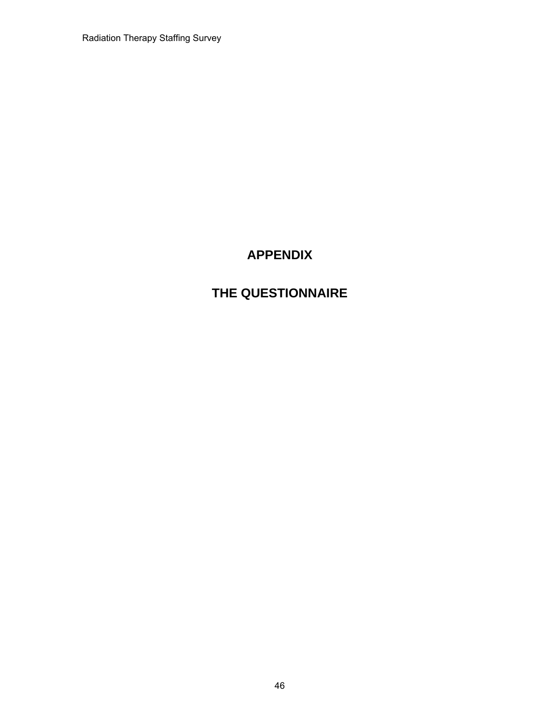Radiation Therapy Staffing Survey

# **APPENDIX**

# **THE QUESTIONNAIRE**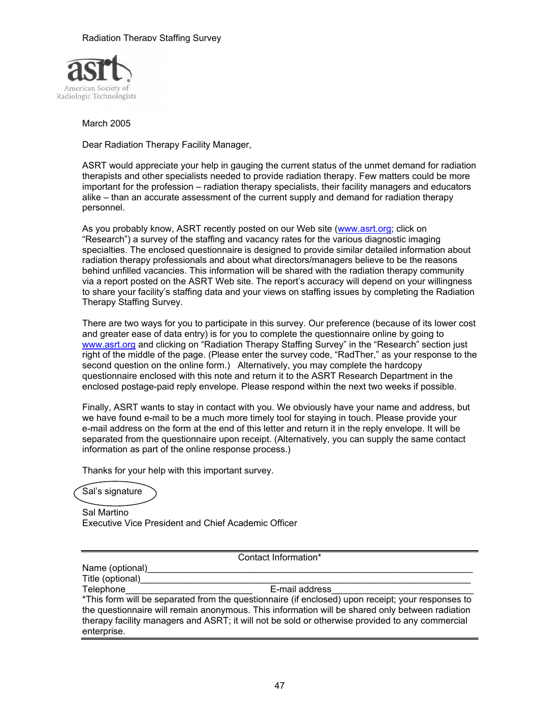

March 2005

Dear Radiation Therapy Facility Manager,

ASRT would appreciate your help in gauging the current status of the unmet demand for radiation therapists and other specialists needed to provide radiation therapy. Few matters could be more important for the profession – radiation therapy specialists, their facility managers and educators alike – than an accurate assessment of the current supply and demand for radiation therapy personnel.

As you probably know, ASRT recently posted on our Web site (www.asrt.org; click on "Research") a survey of the staffing and vacancy rates for the various diagnostic imaging specialties. The enclosed questionnaire is designed to provide similar detailed information about radiation therapy professionals and about what directors/managers believe to be the reasons behind unfilled vacancies. This information will be shared with the radiation therapy community via a report posted on the ASRT Web site. The report's accuracy will depend on your willingness to share your facility's staffing data and your views on staffing issues by completing the Radiation Therapy Staffing Survey.

There are two ways for you to participate in this survey. Our preference (because of its lower cost and greater ease of data entry) is for you to complete the questionnaire online by going to www.asrt.org and clicking on "Radiation Therapy Staffing Survey" in the "Research" section just right of the middle of the page. (Please enter the survey code, "RadTher," as your response to the second question on the online form.) Alternatively, you may complete the hardcopy questionnaire enclosed with this note and return it to the ASRT Research Department in the enclosed postage-paid reply envelope. Please respond within the next two weeks if possible.

Finally, ASRT wants to stay in contact with you. We obviously have your name and address, but we have found e-mail to be a much more timely tool for staying in touch. Please provide your e-mail address on the form at the end of this letter and return it in the reply envelope. It will be separated from the questionnaire upon receipt. (Alternatively, you can supply the same contact information as part of the online response process.)

Thanks for your help with this important survey.

Sal's signature

Sal Martino Executive Vice President and Chief Academic Officer

Contact Information\*

Name (optional)

Title (optional)

Telephone<br>
E-mail address \*This form will be separated from the questionnaire (if enclosed) upon receipt; your responses to the questionnaire will remain anonymous. This information will be shared only between radiation therapy facility managers and ASRT; it will not be sold or otherwise provided to any commercial enterprise.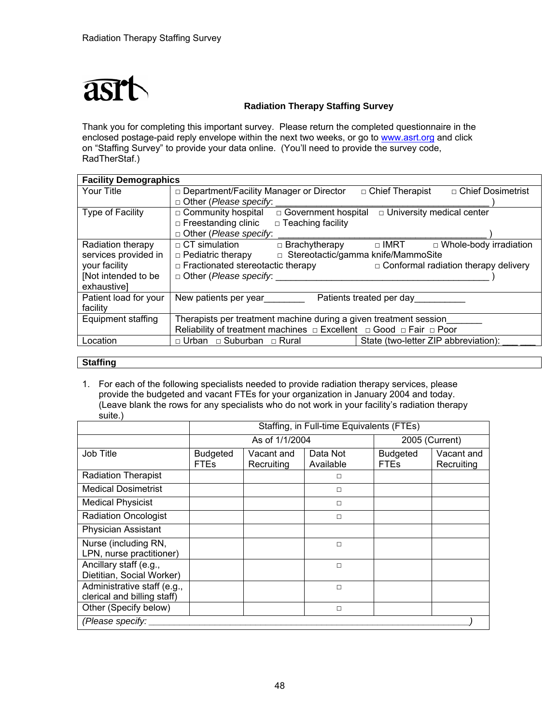

Thank you for completing this important survey. Please return the completed questionnaire in the enclosed postage-paid reply envelope within the next two weeks, or go to www.asrt.org and click on "Staffing Survey" to provide your data online. (You'll need to provide the survey code, RadTherStaf.)

| <b>Facility Demographics</b> |                                                                                        |                                              |  |  |
|------------------------------|----------------------------------------------------------------------------------------|----------------------------------------------|--|--|
| Your Title                   | □ Department/Facility Manager or Director                                              | □ Chief Dosimetrist<br>□ Chief Therapist     |  |  |
|                              | $\Box$ Other (Please specify:                                                          |                                              |  |  |
| <b>Type of Facility</b>      | □ Government hospital<br>$\Box$ Community hospital                                     | $\overline{\Box}$ University medical center  |  |  |
|                              | □ Freestanding clinic<br>$\Box$ Teaching facility                                      |                                              |  |  |
|                              | $\Box$ Other (Please specify:                                                          |                                              |  |  |
| Radiation therapy            | $\Box$ CT simulation<br>$\Box$ Brachytherapy                                           | $\Box$ IMRT<br>$\Box$ Whole-body irradiation |  |  |
| services provided in         | □ Stereotactic/gamma knife/MammoSite<br>$\Box$ Pediatric therapy                       |                                              |  |  |
| your facility                | $\Box$ Fractionated stereotactic therapy                                               | $\Box$ Conformal radiation therapy delivery  |  |  |
| [Not intended to be          | $\Box$ Other ( <i>Please specify</i> :                                                 |                                              |  |  |
| exhaustive]                  |                                                                                        |                                              |  |  |
| Patient load for your        | New patients per year________                                                          | Patients treated per day                     |  |  |
| facility                     |                                                                                        |                                              |  |  |
| Equipment staffing           | Therapists per treatment machine during a given treatment session                      |                                              |  |  |
|                              | Reliability of treatment machines $\Box$ Excellent $\Box$ Good $\Box$ Fair $\Box$ Poor |                                              |  |  |
| Location                     | $\Box$ Urban $\Box$ Suburban $\Box$ Rural                                              | State (two-letter ZIP abbreviation):         |  |  |

#### **Staffing**

1. For each of the following specialists needed to provide radiation therapy services, please provide the budgeted and vacant FTEs for your organization in January 2004 and today. (Leave blank the rows for any specialists who do not work in your facility's radiation therapy suite.)

|                                                            | Staffing, in Full-time Equivalents (FTEs)                                           |  |        |                                |                          |  |
|------------------------------------------------------------|-------------------------------------------------------------------------------------|--|--------|--------------------------------|--------------------------|--|
|                                                            | As of 1/1/2004                                                                      |  |        | 2005 (Current)                 |                          |  |
| <b>Job Title</b>                                           | Vacant and<br>Data Not<br><b>Budgeted</b><br><b>FTEs</b><br>Recruiting<br>Available |  |        | <b>Budgeted</b><br><b>FTEs</b> | Vacant and<br>Recruiting |  |
| <b>Radiation Therapist</b>                                 |                                                                                     |  | $\Box$ |                                |                          |  |
| <b>Medical Dosimetrist</b>                                 |                                                                                     |  | $\Box$ |                                |                          |  |
| <b>Medical Physicist</b>                                   |                                                                                     |  | □      |                                |                          |  |
| <b>Radiation Oncologist</b>                                |                                                                                     |  | $\Box$ |                                |                          |  |
| <b>Physician Assistant</b>                                 |                                                                                     |  |        |                                |                          |  |
| Nurse (including RN,<br>LPN, nurse practitioner)           |                                                                                     |  | $\Box$ |                                |                          |  |
| Ancillary staff (e.g.,<br>Dietitian, Social Worker)        |                                                                                     |  | $\Box$ |                                |                          |  |
| Administrative staff (e.g.,<br>clerical and billing staff) |                                                                                     |  | $\Box$ |                                |                          |  |
| Other (Specify below)                                      |                                                                                     |  | $\Box$ |                                |                          |  |
| (Please specify:                                           |                                                                                     |  |        |                                |                          |  |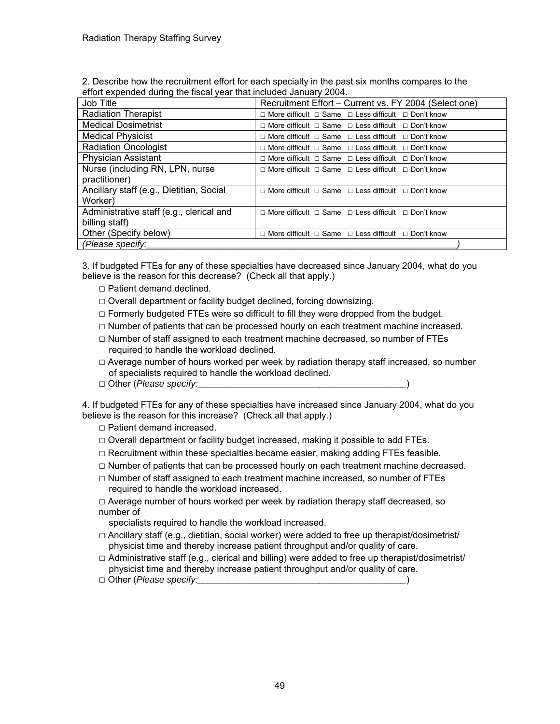2. Describe how the recruitment effort for each specialty in the past six months compares to the effort expended during the fiscal year that included January 2004.

| Job Title                                | Recruitment Effort - Current vs. FY 2004 (Select one)                     |
|------------------------------------------|---------------------------------------------------------------------------|
| <b>Radiation Therapist</b>               | $\Box$ More difficult $\Box$ Same $\Box$ Less difficult $\Box$ Don't know |
| <b>Medical Dosimetrist</b>               | $\Box$ More difficult $\Box$ Same $\Box$ Less difficult $\Box$ Don't know |
| <b>Medical Physicist</b>                 | $\Box$ More difficult $\Box$ Same $\Box$ Less difficult $\Box$ Don't know |
| <b>Radiation Oncologist</b>              | $\Box$ More difficult $\Box$ Same $\Box$ Less difficult $\Box$ Don't know |
| <b>Physician Assistant</b>               | $\Box$ More difficult $\Box$ Same $\Box$ Less difficult $\Box$ Don't know |
| Nurse (including RN, LPN, nurse          | $\Box$ More difficult $\Box$ Same $\Box$ Less difficult $\Box$ Don't know |
| practitioner)                            |                                                                           |
| Ancillary staff (e.g., Dietitian, Social | $\Box$ More difficult $\Box$ Same $\Box$ Less difficult $\Box$ Don't know |
| Worker)                                  |                                                                           |
| Administrative staff (e.g., clerical and | $\Box$ More difficult $\Box$ Same $\Box$ Less difficult $\Box$ Don't know |
| billing staff)                           |                                                                           |
| Other (Specify below)                    | $\Box$ More difficult $\Box$ Same $\Box$ Less difficult $\Box$ Don't know |
| (Please specify:                         |                                                                           |

3. If budgeted FTEs for any of these specialties have decreased since January 2004, what do you believe is the reason for this decrease? (Check all that apply.)

- □ Patient demand declined.
- $\Box$  Overall department or facility budget declined, forcing downsizing.
- $\Box$  Formerly budgeted FTEs were so difficult to fill they were dropped from the budget.
- □ Number of patients that can be processed hourly on each treatment machine increased.
- $\Box$  Number of staff assigned to each treatment machine decreased, so number of FTEs required to handle the workload declined.
- $\Box$  Average number of hours worked per week by radiation therapy staff increased, so number of specialists required to handle the workload declined.
- □ Other (*Please specify:\_\_\_\_\_\_\_\_\_\_\_\_\_\_\_\_\_\_\_\_\_\_\_\_\_\_\_\_\_\_\_\_\_\_\_\_\_\_\_\_\_*)

4. If budgeted FTEs for any of these specialties have increased since January 2004, what do you believe is the reason for this increase? (Check all that apply.)

□ Patient demand increased.

- $\Box$  Overall department or facility budget increased, making it possible to add FTEs.
- $\Box$  Recruitment within these specialties became easier, making adding FTEs feasible.
- $\Box$  Number of patients that can be processed hourly on each treatment machine decreased.
- $\Box$  Number of staff assigned to each treatment machine increased, so number of FTEs required to handle the workload increased.
- $\Box$  Average number of hours worked per week by radiation therapy staff decreased, so number of
	- specialists required to handle the workload increased.
- $\Box$  Ancillary staff (e.g., dietitian, social worker) were added to free up therapist/dosimetrist/ physicist time and thereby increase patient throughput and/or quality of care.
- $\Box$  Administrative staff (e.g., clerical and billing) were added to free up therapist/dosimetrist/ physicist time and thereby increase patient throughput and/or quality of care.
- □ Other (*Please specify:\_\_\_\_\_\_\_\_\_\_\_\_\_\_\_\_\_\_\_\_\_\_\_\_\_\_\_\_\_\_\_\_\_\_\_\_\_\_\_\_\_*)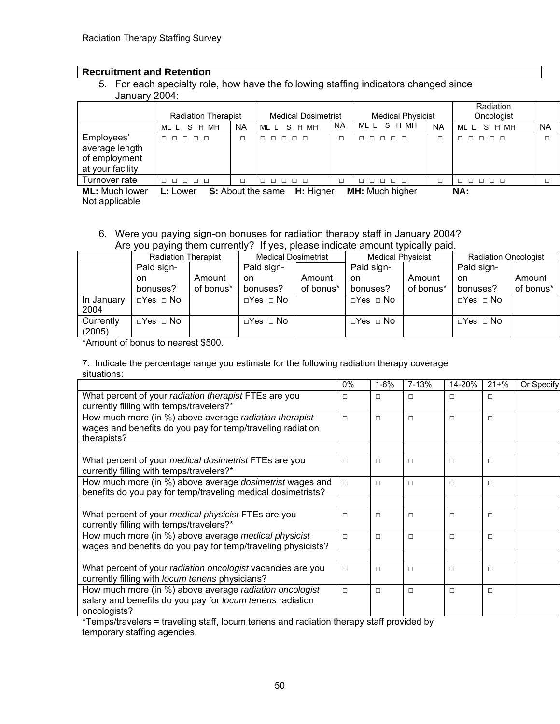#### **Recruitment and Retention**

5. For each specialty role, how have the following staffing indicators changed since January 2004:

|                                                                   | <b>Radiation Therapist</b> |           | <b>Medical Dosimetrist</b>         |           | <b>Medical Physicist</b>   |           | Radiation<br>Oncologist |           |
|-------------------------------------------------------------------|----------------------------|-----------|------------------------------------|-----------|----------------------------|-----------|-------------------------|-----------|
|                                                                   | MLL SHMH                   | <b>NA</b> | MLL SHMH                           | <b>NA</b> | S H MH<br>ML L             | <b>NA</b> | MLL SHMH                | <b>NA</b> |
| Employees'<br>average length<br>of employment<br>at your facility | 00000                      |           | .                                  |           | 00000                      |           | 00000                   |           |
| Turnover rate                                                     | 00000                      |           | 00000                              |           | 00000                      |           | 00000                   |           |
| $M = M \cdot A$                                                   | <b>I</b> . I               |           | <b>C.</b> About the same II. Habes |           | <b>BALL, BALLOW Window</b> |           | ALA.                    |           |

**ML:** Much lower **L:** Lower **S:** About the same **H:** Higher **MH:** Much higher **NA:**  Not applicable

#### 6. Were you paying sign-on bonuses for radiation therapy staff in January 2004? Are you paying them currently? If yes, please indicate amount typically paid.

|            |                      | <b>Radiation Therapist</b> |                      | <b>Medical Dosimetrist</b> |                      | <b>Medical Physicist</b> |                      | <b>Radiation Oncologist</b> |  |
|------------|----------------------|----------------------------|----------------------|----------------------------|----------------------|--------------------------|----------------------|-----------------------------|--|
|            | Paid sign-           |                            | Paid sign-           |                            | Paid sign-           |                          | Paid sign-           |                             |  |
|            | on                   | Amount                     | on                   | Amount                     | on.                  | Amount                   | on                   | Amount                      |  |
|            | bonuses?             | of bonus*                  | bonuses?             | of bonus*                  | bonuses?             | of bonus*                | bonuses?             | of bonus*                   |  |
| In January | $\Box$ Yes $\Box$ No |                            | $\Box$ Yes $\Box$ No |                            | $\Box$ Yes $\Box$ No |                          | $\Box$ Yes $\Box$ No |                             |  |
| 2004       |                      |                            |                      |                            |                      |                          |                      |                             |  |
| Currently  | $\Box$ Yes $\Box$ No |                            | $\Box$ Yes $\Box$ No |                            | $\Box$ Yes $\Box$ No |                          | $\Box$ Yes $\Box$ No |                             |  |
| (2005)     |                      |                            |                      |                            |                      |                          |                      |                             |  |

\*Amount of bonus to nearest \$500.

7. Indicate the percentage range you estimate for the following radiation therapy coverage situations:

|                                                                                                                                      | $0\%$  | $1 - 6%$ | 7-13%  | 14-20% | $21 + \%$ | Or Specify |
|--------------------------------------------------------------------------------------------------------------------------------------|--------|----------|--------|--------|-----------|------------|
| What percent of your radiation therapist FTEs are you<br>currently filling with temps/travelers?*                                    | П      | $\Box$   | П      | $\Box$ | $\Box$    |            |
| How much more (in %) above average radiation therapist<br>wages and benefits do you pay for temp/traveling radiation<br>therapists?  | $\Box$ | $\Box$   | $\Box$ | $\Box$ | $\Box$    |            |
|                                                                                                                                      |        |          |        |        |           |            |
| What percent of your medical dosimetrist FTEs are you<br>currently filling with temps/travelers?*                                    | $\Box$ | $\Box$   | $\Box$ | $\Box$ | $\Box$    |            |
| How much more (in %) above average <i>dosimetrist</i> wages and<br>benefits do you pay for temp/traveling medical dosimetrists?      | $\Box$ | $\Box$   | $\Box$ | $\Box$ | $\Box$    |            |
|                                                                                                                                      |        |          |        |        |           |            |
| What percent of your medical physicist FTEs are you<br>currently filling with temps/travelers?*                                      | $\Box$ | $\Box$   | $\Box$ | $\Box$ | $\Box$    |            |
| How much more (in %) above average medical physicist<br>wages and benefits do you pay for temp/traveling physicists?                 | $\Box$ | $\Box$   | $\Box$ | $\Box$ | $\Box$    |            |
|                                                                                                                                      |        |          |        |        |           |            |
| What percent of your radiation oncologist vacancies are you<br>currently filling with locum tenens physicians?                       | $\Box$ | $\Box$   | $\Box$ | $\Box$ | $\Box$    |            |
| How much more (in %) above average radiation oncologist<br>salary and benefits do you pay for locum tenens radiation<br>oncologists? | $\Box$ | $\Box$   | $\Box$ | $\Box$ | $\Box$    |            |

\*Temps/travelers = traveling staff, locum tenens and radiation therapy staff provided by temporary staffing agencies.